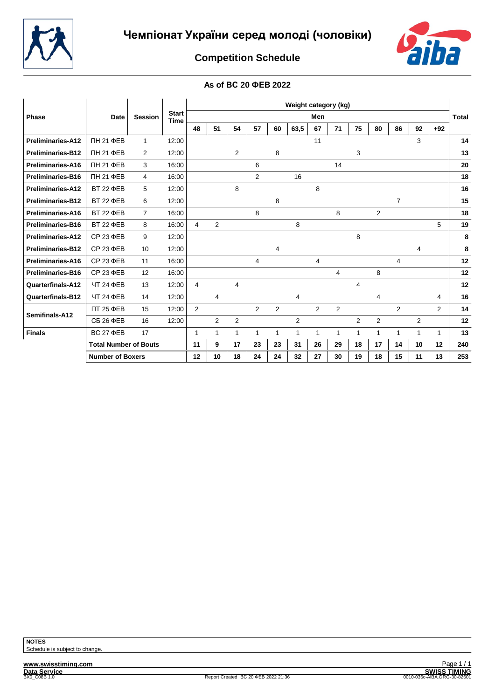



# **Competition Schedule**

#### **As of ВС 20 ФЕВ 2022**

|                          |                              |                |                             |                |                |                |                |    | Weight category (kg) |                |                |                |                |                |                |              |       |
|--------------------------|------------------------------|----------------|-----------------------------|----------------|----------------|----------------|----------------|----|----------------------|----------------|----------------|----------------|----------------|----------------|----------------|--------------|-------|
| Phase                    | Date                         | <b>Session</b> | <b>Start</b><br><b>Time</b> |                |                |                |                |    |                      | Men            |                |                |                |                |                |              | Total |
|                          |                              |                |                             | 48             | 51             | 54             | 57             | 60 | 63,5                 | 67             | 71             | 75             | 80             | 86             | 92             | $+92$        |       |
| <b>Preliminaries-A12</b> | ПН 21 ФЕВ                    | $\mathbf{1}$   | 12:00                       |                |                |                |                |    |                      | 11             |                |                |                |                | 3              |              | 14    |
| <b>Preliminaries-B12</b> | ПН 21 ФЕВ                    | $\overline{2}$ | 12:00                       |                |                | $\overline{2}$ |                | 8  |                      |                |                | 3              |                |                |                |              | 13    |
| Preliminaries-A16        | ПН 21 ФЕВ                    | 3              | 16:00                       |                |                |                | 6              |    |                      |                | 14             |                |                |                |                |              | 20    |
| <b>Preliminaries-B16</b> | ПН 21 ФЕВ                    | 4              | 16:00                       |                |                |                | $\overline{2}$ |    | 16                   |                |                |                |                |                |                |              | 18    |
| <b>Preliminaries-A12</b> | <b>BT 22 ΦEB</b>             | 5              | 12:00                       |                |                | 8              |                |    |                      | 8              |                |                |                |                |                |              | 16    |
| <b>Preliminaries-B12</b> | <b>BT 22 ΦEB</b>             | 6              | 12:00                       |                |                |                |                | 8  |                      |                |                |                |                | $\overline{7}$ |                |              | 15    |
| Preliminaries-A16        | <b>BT 22 ΦEB</b>             | $\overline{7}$ | 16:00                       |                |                |                | 8              |    |                      |                | 8              |                | 2              |                |                |              | 18    |
| <b>Preliminaries-B16</b> | <b>BT 22 ΦEB</b>             | 8              | 16:00                       | 4              | $\overline{2}$ |                |                |    | 8                    |                |                |                |                |                |                | 5            | 19    |
| <b>Preliminaries-A12</b> | $CP$ 23 $\Phi$ EB            | 9              | 12:00                       |                |                |                |                |    |                      |                |                | 8              |                |                |                |              | 8     |
| <b>Preliminaries-B12</b> | $CP$ 23 $\Phi$ EB            | 10             | 12:00                       |                |                |                |                | 4  |                      |                |                |                |                |                | $\overline{4}$ |              | 8     |
| Preliminaries-A16        | CP 23 ΦEB                    | 11             | 16:00                       |                |                |                | 4              |    |                      | 4              |                |                |                | 4              |                |              | 12    |
| Preliminaries-B16        | CP 23 ΦEB                    | 12             | 16:00                       |                |                |                |                |    |                      |                | $\overline{4}$ |                | 8              |                |                |              | 12    |
| <b>Quarterfinals-A12</b> | ЧТ 24 ФЕВ                    | 13             | 12:00                       | 4              |                | 4              |                |    |                      |                |                | 4              |                |                |                |              | 12    |
| <b>Quarterfinals-B12</b> | ЧТ 24 ФЕВ                    | 14             | 12:00                       |                | 4              |                |                |    | 4                    |                |                |                | 4              |                |                | 4            | 16    |
|                          | ПТ 25 ФЕВ                    | 15             | 12:00                       | $\overline{2}$ |                |                | 2              | 2  |                      | $\overline{2}$ | 2              |                |                | 2              |                | 2            | 14    |
| Semifinals-A12           | <b>СБ 26 ФЕВ</b>             | 16             | 12:00                       |                | 2              | $\overline{2}$ |                |    | $\overline{2}$       |                |                | $\overline{2}$ | $\overline{2}$ |                | $\overline{2}$ |              | 12    |
| <b>Finals</b>            | <b>BC 27 ΦEB</b>             | 17             |                             | 1              | $\mathbf{1}$   | 1              | 1              | 1  | 1                    | 1              | $\overline{1}$ | 1              | 1              | 1              | $\mathbf{1}$   | $\mathbf{1}$ | 13    |
|                          | <b>Total Number of Bouts</b> |                |                             | 11             | 9              | 17             | 23             | 23 | 31                   | 26             | 29             | 18             | 17             | 14             | 10             | 12           | 240   |
|                          | <b>Number of Boxers</b>      |                |                             | 12             | 10             | 18             | 24             | 24 | 32                   | 27             | 30             | 19             | 18             | 15             | 11             | 13           | 253   |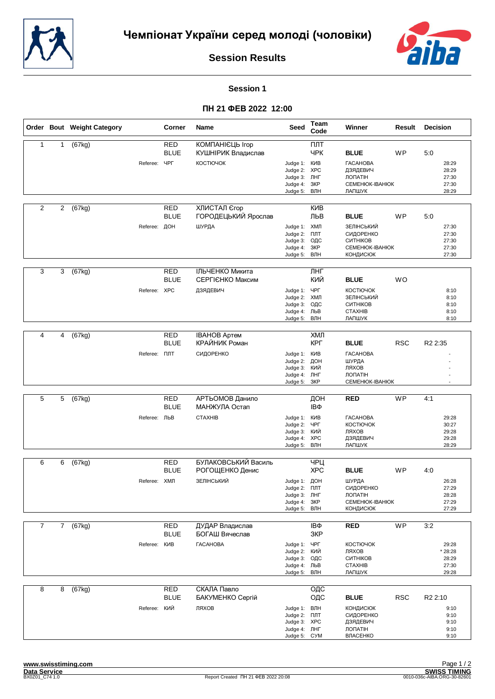



#### **Session 1**

|                |                | Order Bout Weight Category |                     | Corner                    | Name                                   | <b>Seed</b>                                                                         | Team<br>Code      | Winner                                                                      | Result     | <b>Decision</b>                             |
|----------------|----------------|----------------------------|---------------------|---------------------------|----------------------------------------|-------------------------------------------------------------------------------------|-------------------|-----------------------------------------------------------------------------|------------|---------------------------------------------|
| $\mathbf{1}$   | 1              | (67kg)                     |                     | <b>RED</b><br><b>BLUE</b> | КОМПАНІЄЦЬ Ігор<br>КУШНІРИК Владислав  |                                                                                     | ПЛТ<br>ЧРК        | <b>BLUE</b>                                                                 | <b>WP</b>  | 5:0                                         |
|                |                |                            | Referee:            | ЧРГ                       | КОСТЮЧОК                               | Judge 1: KVIB<br>Judge 2: XPC<br>Judge 3:<br>Judge 4:<br>Judge 5:                   | ЛНГ<br>3KP<br>ВЛН | <b><i>TACAHOBA</i></b><br>ДЗЯДЕВИЧ<br>ЛОПАТІН<br>CEMEHIOK-IBAHIOK<br>ЛАПШУК |            | 28:29<br>28:29<br>27:30<br>27:30<br>28:29   |
| $\overline{2}$ | $\overline{c}$ | (67kg)                     |                     | RED<br><b>BLUE</b>        | ХЛИСТАЛ Єгор<br>ГОРОДЕЦЬКИЙ Ярослав    |                                                                                     | <b>KNB</b><br>ЛЬВ | <b>BLUE</b>                                                                 | WP         | 5:0                                         |
|                |                |                            | Referee: ДОН        |                           | ШУРДА                                  | Judge 1: ХМЛ<br>Judge 2:<br>Judge 3: ОДС<br>Judge 4:<br>Judge 5: ВЛН                | ПЛТ<br>3KP        | ЗЕЛІНСЬКИЙ<br>СИДОРЕНКО<br>СИТНІКОВ<br>CEMEHIOK-IBAHIOK<br><b>КОНДИСЮК</b>  |            | 27:30<br>27:30<br>27:30<br>27:30<br>27:30   |
| 3              | 3              | (67kg)                     |                     | <b>RED</b><br><b>BLUE</b> | ІЛЬЧЕНКО Микита<br>СЕРГІЄНКО Максим    |                                                                                     | ЛНГ<br>КИЙ        | <b>BLUE</b>                                                                 | <b>WO</b>  |                                             |
|                |                |                            | Referee: XPC        |                           | ДЗЯДЕВИЧ                               | Judge 1: YPF<br>Judge 2: ХМЛ<br>Judge 3:<br>Judge 4: ЛЬВ<br>Judge 5:                | ОДС<br>ВЛН        | <b>КОСТЮЧОК</b><br>ЗЕЛІНСЬКИЙ<br>СИТНІКОВ<br><b>CTAXHIB</b><br>ЛАПШУК       |            | 8:10<br>8:10<br>8:10<br>8:10<br>8:10        |
|                |                |                            |                     |                           |                                        |                                                                                     |                   |                                                                             |            |                                             |
| $\overline{4}$ | 4              | (67kg)                     |                     | <b>RED</b><br><b>BLUE</b> | <b>IBAHOB Aptem</b><br>КРАЙНИК Роман   |                                                                                     | ХМЛ<br>КРГ        | <b>BLUE</b>                                                                 | <b>RSC</b> | R <sub>2</sub> 2:35                         |
|                |                |                            | Referee: <b>NNT</b> |                           | СИДОРЕНКО                              | Judge 1: KVIB<br>Judge 2:<br>Judge 3:<br>Judge 4: JIHF<br>Judge 5:                  | ДОН<br>кий<br>3KP | <b><i>TACAHOBA</i></b><br>ШУРДА<br>ЛЯХОВ<br>ЛОПАТІН<br>CEMEHIOK-IBAHIOK     |            |                                             |
|                |                |                            |                     |                           |                                        |                                                                                     |                   |                                                                             |            |                                             |
| 5              | 5              | (67kg)                     |                     | <b>RED</b><br><b>BLUE</b> | АРТЬОМОВ Данило<br>МАНЖУЛА Остап       |                                                                                     | ДОН<br>IΒΦ        | <b>RED</b>                                                                  | <b>WP</b>  | 4:1                                         |
|                |                |                            | Referee: ЛЬВ        |                           | <b>CTAXHIB</b>                         | Judge 1: KVIB<br>Judge 2:<br>Judge 3:<br>Judge 4: XPC<br>Judge 5:                   | ЧРГ<br>кий<br>ВЛН | <b><i>TACAHOBA</i></b><br>КОСТЮЧОК<br>ЛЯХОВ<br>ДЗЯДЕВИЧ<br>ЛАПШУК           |            | 29:28<br>30:27<br>29:28<br>29:28<br>28:29   |
|                |                |                            |                     |                           |                                        |                                                                                     |                   |                                                                             |            |                                             |
| 6              | 6              | (67kg)                     |                     | <b>RED</b><br><b>BLUE</b> | БУЛАКОВСЬКИЙ Василь<br>РОГОЩЕНКО Денис |                                                                                     | ЧРЦ<br><b>XPC</b> | <b>BLUE</b>                                                                 | <b>WP</b>  | 4:0                                         |
|                |                |                            | Referee: XMЛ        |                           | ЗЕЛІНСЬКИЙ                             | Judge 1: ДОН<br>Judge 2: <b>NIT</b><br>Judge 3: ЛНГ<br>Judge 4: 3KP<br>Judge 5: ВЛН |                   | ШУРДА<br>СИДОРЕНКО<br>ЛОПАТІН<br>CEMEHIOK-IBAHIOK<br><b>КОНДИСЮК</b>        |            | 26:28<br>27:29<br>28:28<br>27:29<br>27:29   |
| $\overline{7}$ |                | 7 (67kg)                   |                     | <b>RED</b><br><b>BLUE</b> | ДУДАР Владислав<br>БОГАШ Вячеслав      |                                                                                     | IΒΦ<br>3KP        | <b>RED</b>                                                                  | <b>WP</b>  | 3:2                                         |
|                |                |                            | Referee: KVIB       |                           | <b><i>TACAHOBA</i></b>                 | Judge 1: ЧРГ<br>Judge 2: КИЙ<br>Judge 3: ОДС<br>Judge 4: ЛЬВ<br>Judge 5: ВЛН        |                   | КОСТЮЧОК<br>ЛЯХОВ<br>СИТНІКОВ<br><b>CTAXHIB</b><br>ЛАПШУК                   |            | 29:28<br>* 28:28<br>28:29<br>27:30<br>29:28 |
| 8              | 8              | (67kg)                     |                     | <b>RED</b><br><b>BLUE</b> | СКАЛА Павло<br>БАКУМЕНКО Сергій        |                                                                                     | ОДС<br>ОДС        | <b>BLUE</b>                                                                 | <b>RSC</b> | R <sub>2</sub> 2:10                         |
|                |                |                            | Referee: КИЙ        |                           | ЛЯХОВ                                  | Judge 1: ВЛН<br>Judge 2: FIJIT<br>Judge 3: XPC<br>Judge 4: ЛНГ<br>Judge 5: CYM      |                   | <b>КОНДИСЮК</b><br>СИДОРЕНКО<br>ДЗЯДЕВИЧ<br>ЛОПАТІН<br>ВЛАСЕНКО             |            | 9:10<br>9:10<br>9:10<br>9:10<br>9:10        |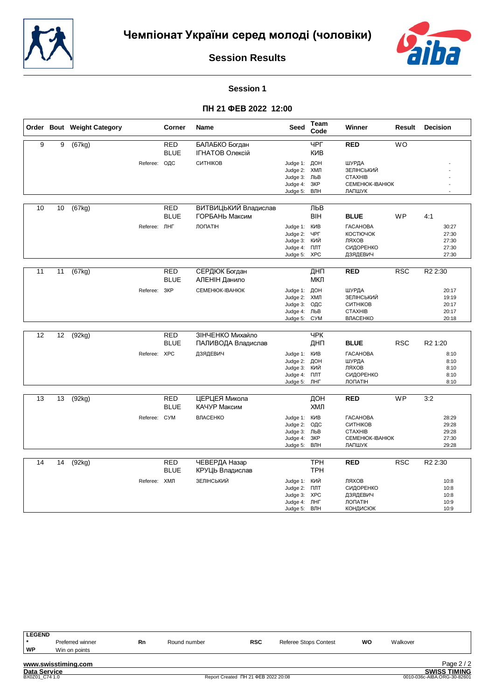



# **Session 1**

|                |    | Order Bout Weight Category |              | Corner                    | Name                                     | <b>Seed</b>                                                                  | Team<br>Code             | Winner                                                                             | Result          | <b>Decision</b>                           |
|----------------|----|----------------------------|--------------|---------------------------|------------------------------------------|------------------------------------------------------------------------------|--------------------------|------------------------------------------------------------------------------------|-----------------|-------------------------------------------|
| $\overline{9}$ | 9  | (67kg)                     |              | <b>RED</b><br><b>BLUE</b> | БАЛАБКО Богдан<br><b>ІГНАТОВ Олексій</b> |                                                                              | $\Psi$<br><b>KNB</b>     | <b>RED</b>                                                                         | $\overline{WO}$ |                                           |
|                |    |                            | Referee:     | ОДС                       | СИТНІКОВ                                 | Judge 1: ДОН<br>Judge 2:<br>Judge 3: ЛЬВ<br>Judge 4:                         | ХМЛ<br>ЗКР<br>ВЛН        | ШУРДА<br>ЗЕЛІНСЬКИЙ<br><b>CTAXHIB</b><br>CEMEHIOK-IBAHIOK<br>ЛАПШУК                |                 |                                           |
|                |    |                            |              |                           |                                          | Judge 5:                                                                     |                          |                                                                                    |                 |                                           |
| 10             | 10 | (67kg)                     |              | <b>RED</b><br><b>BLUE</b> | ВИТВИЦЬКИЙ Владислав<br>ГОРБАНЬ Максим   |                                                                              | ЛЬВ<br><b>BIH</b>        | <b>BLUE</b>                                                                        | <b>WP</b>       | 4:1                                       |
|                |    |                            | Referee: ЛНГ |                           | ЛОПАТІН                                  | Judge 1: KVIB<br>Judge 2:<br>Judge 3:<br>Judge 4: <b>NNT</b><br>Judge 5:     | ЧРГ<br>кий<br><b>XPC</b> | <b><i>TACAHOBA</i></b><br>КОСТЮЧОК<br>ЛЯХОВ<br>СИДОРЕНКО<br>ДЗЯДЕВИЧ               |                 | 30:27<br>27:30<br>27:30<br>27:30<br>27:30 |
| 11             | 11 | (67kg)                     |              | <b>RED</b><br><b>BLUE</b> | СЕРДЮК Богдан<br>АЛЕНІН Данило           |                                                                              | ДНП<br>МКЛ               | <b>RED</b>                                                                         | RSC             | R <sub>2</sub> 2:30                       |
|                |    |                            | Referee:     | 3KP                       | CEMEHIOK-IBAHIOK                         | Judge 1: ДОН<br>Judge 2:<br>Judge 3: ОДС<br>Judge 4: ЛЬВ<br>Judge 5:         | ХМЛ<br><b>CYM</b>        | ШУРДА<br>ЗЕЛІНСЬКИЙ<br>СИТНІКОВ<br><b>CTAXHIB</b><br><b>ВЛАСЕНКО</b>               |                 | 20:17<br>19:19<br>20:17<br>20:17<br>20:18 |
| 12             | 12 | (92kg)                     |              | <b>RED</b>                | ЗІНЧЕНКО Михайло                         |                                                                              | <b>YPK</b>               |                                                                                    |                 |                                           |
|                |    |                            |              | <b>BLUE</b>               | ПАЛИВОДА Владислав                       |                                                                              | ДНП                      | <b>BLUE</b>                                                                        | <b>RSC</b>      | R <sub>2</sub> 1:20                       |
|                |    |                            | Referee: XPC |                           | ДЗЯДЕВИЧ                                 | Judge 1:<br>Judge 2:<br>Judge 3: КИЙ<br>Judge 4:<br>Judge 5: JHF             | КИВ<br>ДОН<br>ПЛТ        | <b><i>TACAHOBA</i></b><br>ШУРДА<br>ЛЯХОВ<br>СИДОРЕНКО<br>ЛОПАТІН                   |                 | 8:10<br>8:10<br>8:10<br>8:10<br>8:10      |
| 13             | 13 | (92kg)                     |              | <b>RED</b><br><b>BLUE</b> | ЦЕРЦЕЯ Микола<br>КАЧУР Максим            |                                                                              | ДОН<br>ХМЛ               | <b>RED</b>                                                                         | <b>WP</b>       | 3:2                                       |
|                |    |                            | Referee: CYM |                           | ВЛАСЕНКО                                 | Judge 1: KVB<br>Judge 2:<br>Judge 3: ЛЬВ<br>Judge 4:<br>Judge 5:             | ОДС<br>3KP<br>ВЛН        | <b><i>TACAHOBA</i></b><br>СИТНІКОВ<br><b>CTAXHIB</b><br>CEMEHIOK-IBAHIOK<br>ЛАПШУК |                 | 28:29<br>29:28<br>29:28<br>27:30<br>29:28 |
| 14             | 14 | (92kg)                     |              | <b>RED</b><br><b>BLUE</b> | ЧЕВЕРДА Назар<br>КРУЦЬ Владислав         |                                                                              | <b>TPH</b><br><b>TPH</b> | <b>RED</b>                                                                         | <b>RSC</b>      | R <sub>2</sub> 2:30                       |
|                |    |                            | Referee: XMЛ |                           | ЗЕЛІНСЬКИЙ                               | Judge 1: КИЙ<br>Judge 2: NJT<br>Judge 3: XPC<br>Judge 4: ЛНГ<br>Judge 5: ВЛН |                          | ЛЯХОВ<br>СИДОРЕНКО<br>ДЗЯДЕВИЧ<br>ЛОПАТІН<br><b>КОНДИСЮК</b>                       |                 | 10:8<br>10:8<br>10:8<br>10:9<br>10:9      |

| <b>LEGEND</b>       |                     |    |              |                                     |                              |    |          |                             |
|---------------------|---------------------|----|--------------|-------------------------------------|------------------------------|----|----------|-----------------------------|
|                     | Preferred winner    | Rn | Round number | <b>RSC</b>                          | <b>Referee Stops Contest</b> | wo | Walkover |                             |
| WP                  | Win on points       |    |              |                                     |                              |    |          |                             |
|                     | www.swisstiming.com |    |              |                                     |                              |    |          | Page $2/2$                  |
| <b>Data Service</b> |                     |    |              |                                     |                              |    |          | <b>SWISS TIMING</b>         |
| BX0Z01 C74 1.0      |                     |    |              | Report Created NH 21 ΦEB 2022 20:08 |                              |    |          | 0010-036c-AIBA.ORG-30-82601 |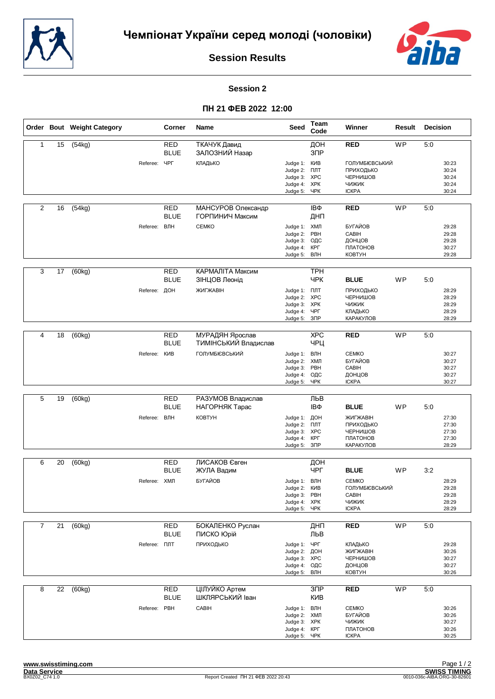



#### **Session 2**

|                |    | Order Bout Weight Category |                     | Corner                    | <b>Name</b>                             | Seed                                                                            | Team<br>Code                  | Winner                                                                         | Result    | Decision |                                           |
|----------------|----|----------------------------|---------------------|---------------------------|-----------------------------------------|---------------------------------------------------------------------------------|-------------------------------|--------------------------------------------------------------------------------|-----------|----------|-------------------------------------------|
| $\mathbf{1}$   | 15 | (54kg)                     |                     | <b>RED</b><br><b>BLUE</b> | ТКАЧУК Давид<br>ЗАЛОЗНИЙ Назар          |                                                                                 | ДОН<br>$3$ $\Pi$ P            | <b>RED</b>                                                                     | <b>WP</b> | 5:0      |                                           |
|                |    |                            | Referee:            | ЧРГ                       | КЛАДЬКО                                 | Judge 1: KVIB<br>Judge 2: NJT<br>Judge 3: XPC<br>Judge 4: XPK<br>Judge 5: YPK   |                               | <b>ГОЛУМБІЄВСЬКИЙ</b><br>ПРИХОДЬКО<br>ЧЕРНИШОВ<br><b>ЧИЖИК</b><br><b>ICKPA</b> |           |          | 30:23<br>30:24<br>30:24<br>30:24<br>30:24 |
| $\overline{2}$ | 16 | (54kg)                     |                     | RED<br><b>BLUE</b>        | МАНСУРОВ Олександр<br>ГОРПИНИЧ Максим   |                                                                                 | IΒΦ<br>ДНП                    | <b>RED</b>                                                                     | <b>WP</b> | 5:0      |                                           |
|                |    |                            | Referee: ВЛН        |                           | <b>CEMKO</b>                            | Judge 1: ХМЛ<br>Judge 2:<br>Judge 3:<br>Judge 4: KPF<br>Judge 5: ВЛН            | PBH<br>ОДС                    | БУГАЙОВ<br>CABIH<br>ДОНЦОВ<br>ПЛАТОНОВ<br><b>KOBTYH</b>                        |           |          | 29:28<br>29:28<br>29:28<br>30:27<br>29:28 |
| 3              | 17 | (60kg)                     |                     | <b>RED</b><br><b>BLUE</b> | КАРМАЛІТА Максим<br>ЗІНЦОВ Леонід       |                                                                                 | <b>TPH</b><br><b>YPK</b>      | <b>BLUE</b>                                                                    | WP        | 5:0      |                                           |
|                |    |                            | Referee: ДОН        |                           | ЖИГЖАВІН                                | Judge 1: <b>NNT</b><br>Judge 2: XPC<br>Judge 3: XPK<br>Judge 4: ЧРГ<br>Judge 5: | 3 <sup>7</sup>                | ПРИХОДЬКО<br>ЧЕРНИШОВ<br>ЧИЖИК<br>КЛАДЬКО<br>КАРАКУЛОВ                         |           |          | 28:29<br>28:29<br>28:29<br>28:29<br>28:29 |
|                |    |                            |                     |                           |                                         |                                                                                 |                               |                                                                                |           |          |                                           |
| 4              | 18 | (60kg)                     |                     | <b>RED</b><br><b>BLUE</b> | МУРАДЯН Ярослав<br>ТИМІНСЬКИЙ Владислав |                                                                                 | <b>XPC</b><br>ЧРЦ             | <b>RED</b>                                                                     | <b>WP</b> | 5:0      |                                           |
|                |    |                            | Referee: KVB        |                           | <b>ГОЛУМБІЄВСЬКИЙ</b>                   | Judge 1: ВЛН<br>Judge 2: ХМЛ<br>Judge 3:<br>Judge 4: ОДС<br>Judge 5:            | PBH<br>ЧРК                    | <b>CEMKO</b><br>БУГАЙОВ<br>CABIH<br>ДОНЦОВ<br><b>ICKPA</b>                     |           |          | 30:27<br>30:27<br>30:27<br>30:27<br>30:27 |
|                |    |                            |                     |                           |                                         |                                                                                 |                               |                                                                                |           |          |                                           |
| 5              | 19 | (60kg)                     |                     | <b>RED</b><br><b>BLUE</b> | РАЗУМОВ Владислав<br>НАГОРНЯК Тарас     |                                                                                 | ЛЬВ<br>IΒΦ                    | <b>BLUE</b>                                                                    | WP        | 5:0      |                                           |
|                |    |                            | Referee: ВЛН        |                           | <b>KOBTYH</b>                           | Judge 1: ДОН<br>Judge 2: NJT<br>Judge 3: XPC<br>Judge 4:<br>Judge 5:            | КРГ<br>$3\text{IP}$           | ЖИГЖАВІН<br>ПРИХОДЬКО<br>ЧЕРНИШОВ<br>ПЛАТОНОВ<br>КАРАКУЛОВ                     |           |          | 27:30<br>27:30<br>27:30<br>27:30<br>28:29 |
| 6              | 20 | (60kg)                     |                     | RED                       | ЛИСАКОВ Євген                           |                                                                                 | ДОН                           |                                                                                |           |          |                                           |
|                |    |                            |                     | <b>BLUE</b>               | ЖУЛА Вадим                              |                                                                                 | ЧРГ                           | <b>BLUE</b>                                                                    | <b>WP</b> | 3:2      |                                           |
|                |    |                            | Referee: ХМЛ        |                           | БУГАЙОВ                                 | Judge 1: ВЛН<br>Judge 2:<br>Judge 3: PBH<br>Judge 4: XPK<br>Judge 5: ЧРК        | <b>KNB</b>                    | <b>CEMKO</b><br>ГОЛУМБІЄВСЬКИЙ<br>CABIH<br>ЧИЖИК<br><b>ICKPA</b>               |           |          | 28:29<br>29:28<br>29:28<br>28:29<br>28:29 |
| $\overline{7}$ | 21 | (60kg)                     |                     | <b>RED</b>                | БОКАЛЕНКО Руслан                        |                                                                                 | ДНП                           | <b>RED</b>                                                                     | <b>WP</b> | 5:0      |                                           |
|                |    |                            |                     | <b>BLUE</b>               | ПИСКО Юрій                              |                                                                                 | ЛЬВ                           |                                                                                |           |          |                                           |
|                |    |                            | Referee: <b>NNT</b> |                           | ПРИХОДЬКО                               | Judge 1: ЧРГ<br>Judge 2:<br>Judge 3: XPC<br>Judge 4:<br>Judge 5:                | ДОН<br>ОДС<br>ВЛН             | КЛАДЬКО<br>ЖИГЖАВІН<br>ЧЕРНИШОВ<br>ДОНЦОВ<br><b>KOBTYH</b>                     |           |          | 29:28<br>30:26<br>30:27<br>30:27<br>30:26 |
| 8              | 22 | (60kg)                     |                     | <b>RED</b><br><b>BLUE</b> | ЦІЛУЙКО Артем<br>ШКЛЯРСЬКИЙ Іван        |                                                                                 | 3 <sub>DP</sub><br><b>KNB</b> | <b>RED</b>                                                                     | <b>WP</b> | 5:0      |                                           |
|                |    |                            | Referee: PBH        |                           | CABIH                                   | Judge 1: ВЛН<br>Judge 2: ХМЛ<br>Judge 3: XPK<br>Judge 4: KPF<br>Judge 5: YPK    |                               | <b>CEMKO</b><br>БУГАЙОВ<br>ЧИЖИК<br>ПЛАТОНОВ<br><b>ICKPA</b>                   |           |          | 30:26<br>30:26<br>30:27<br>30:26<br>30:25 |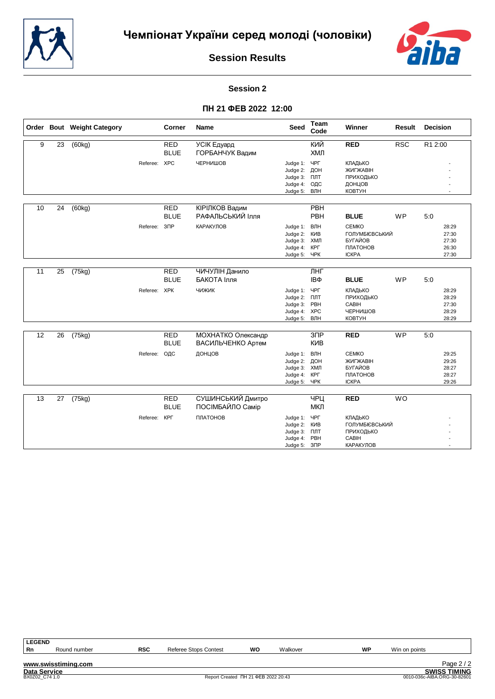



# **Session 2**

|    |    | Order Bout Weight Category |              | <b>Corner</b>             | <b>Name</b>                             | <b>Seed</b>                                                              | Team<br>Code                    | Winner                                                                       | <b>Result</b> | <b>Decision</b>                           |
|----|----|----------------------------|--------------|---------------------------|-----------------------------------------|--------------------------------------------------------------------------|---------------------------------|------------------------------------------------------------------------------|---------------|-------------------------------------------|
| 9  | 23 | (60kg)                     |              | <b>RED</b><br><b>BLUE</b> | УСІК Едуард<br>ГОРБАНЧУК Вадим          |                                                                          | КИЙ<br>ХМЛ                      | <b>RED</b>                                                                   | <b>RSC</b>    | R1 2:00                                   |
|    |    |                            | Referee: XPC |                           | ЧЕРНИШОВ                                | Judge 1:<br>Judge 2:<br>Judge 3: NJT<br>Judge 4:<br>Judge 5:             | ЧРГ<br>ДОН<br>ОДС<br>ВЛН        | КЛАДЬКО<br>ЖИГЖАВІН<br>ПРИХОДЬКО<br>ДОНЦОВ<br>КОВТУН                         |               |                                           |
| 10 | 24 | (60kg)                     |              | <b>RED</b><br><b>BLUE</b> | КІРІЛКОВ Вадим<br>РАФАЛЬСЬКИЙ Ілля      |                                                                          | PBH<br>PBH                      | <b>BLUE</b>                                                                  | WP            | 5:0                                       |
|    |    |                            | Referee:     | $3$ $\Pi$ P               | КАРАКУЛОВ                               | Judge 1:<br>Judge 2:<br>Judge 3: ХМЛ<br>Judge 4: KPL<br>Judge 5:         | ВЛН<br>KNB<br>ЧPК               | <b>CEMKO</b><br>ГОЛУМБІЄВСЬКИЙ<br><b>БУГАЙОВ</b><br>ПЛАТОНОВ<br><b>ICKPA</b> |               | 28:29<br>27:30<br>27:30<br>26:30<br>27:30 |
| 11 | 25 | (75kg)                     |              | <b>RED</b><br><b>BLUE</b> | ЧИЧУЛІН Данило<br>БАКОТА Ілля           |                                                                          | ЛНГ<br>IΒΦ                      | <b>BLUE</b>                                                                  | WP            | 5:0                                       |
|    |    |                            | Referee: XPK |                           | чижик                                   | Judge 1: ЧРГ<br>Judge 2: NJT<br>Judge 3:<br>Judge 4: XPC<br>Judge 5: ВЛН | PBH                             | КЛАДЬКО<br>ПРИХОДЬКО<br>CABIH<br>ЧЕРНИШОВ<br>КОВТУН                          |               | 28:29<br>28:29<br>27:30<br>28:29<br>28:29 |
| 12 | 26 | (75kg)                     |              | <b>RED</b><br><b>BLUE</b> | МОХНАТКО Олександр<br>ВАСИЛЬЧЕНКО Артем |                                                                          | 3 <sub>DP</sub><br><b>KVB</b>   | <b>RED</b>                                                                   | WP            | 5:0                                       |
|    |    |                            | Referee:     | ОДС                       | ДОНЦОВ                                  | Judge 1:<br>Judge 2:<br>Judge 3: ХМЛ<br>Judge 4:<br>Judge 5:             | ВЛН<br>ДОН<br>КРГ<br><b>YPK</b> | <b>CEMKO</b><br>ЖИГЖАВІН<br><b>БУГАЙОВ</b><br>ПЛАТОНОВ<br><b>ICKPA</b>       |               | 29:25<br>29:26<br>28:27<br>28:27<br>29:26 |
| 13 | 27 | (75kg)                     |              | <b>RED</b><br><b>BLUE</b> | СУШИНСЬКИЙ Дмитро<br>ПОСІМБАЙЛО Самір   |                                                                          | $\Psi$<br>МКЛ                   | <b>RED</b>                                                                   | <b>WO</b>     |                                           |
|    |    |                            | Referee:     | <b>KPL</b>                | ПЛАТОНОВ                                | Judge 1:<br>Judge 2: KVIB<br>Judge 3:<br>Judge 4: PBH<br>Judge 5: 3NP    | ЧРГ<br>ПЛТ                      | КЛАДЬКО<br>ГОЛУМБІЄВСЬКИЙ<br>ПРИХОДЬКО<br>CABIH<br><b>КАРАКУЛОВ</b>          |               |                                           |

| <b>LEGEND</b>       |                     |            |                              |                                     |          |    |                             |                     |
|---------------------|---------------------|------------|------------------------------|-------------------------------------|----------|----|-----------------------------|---------------------|
| Rn                  | Round number        | <b>RSC</b> | <b>Referee Stops Contest</b> | wo                                  | Walkover | WP | Win on points               |                     |
|                     |                     |            |                              |                                     |          |    |                             |                     |
|                     | www.swisstiming.com |            |                              |                                     |          |    |                             | Page $2/2$          |
| <b>Data Service</b> |                     |            |                              |                                     |          |    |                             | <b>SWISS TIMING</b> |
| BX0Z02 C74 1.0      |                     |            |                              | Report Created NH 21 ΦEB 2022 20:43 |          |    | 0010-036c-AIBA.ORG-30-82601 |                     |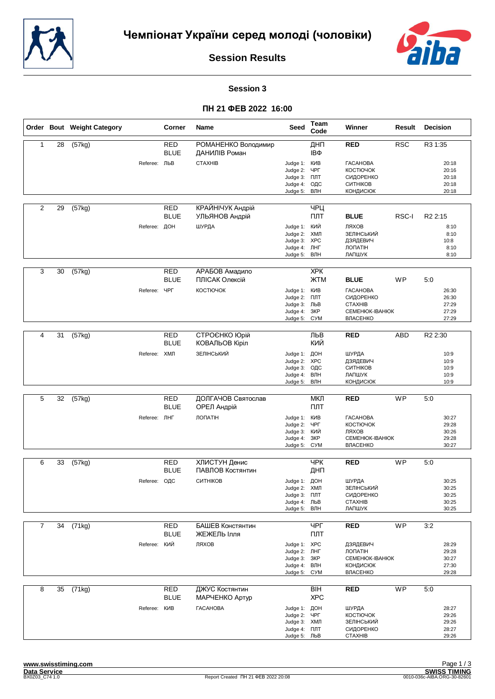



#### **Session 3**

|                |    | Order Bout Weight Category |              | Corner                    | Name                                 | Seed                                                                                | Team<br>Code                              | Winner                                                                                       | Result     | <b>Decision</b>                           |
|----------------|----|----------------------------|--------------|---------------------------|--------------------------------------|-------------------------------------------------------------------------------------|-------------------------------------------|----------------------------------------------------------------------------------------------|------------|-------------------------------------------|
| $\mathbf{1}$   | 28 | (57kg)                     |              | <b>RED</b><br><b>BLUE</b> | РОМАНЕНКО Володимир<br>ДАНИЛІВ Роман |                                                                                     | ДНП<br>IΒΦ                                | <b>RED</b>                                                                                   | <b>RSC</b> | R3 1:35                                   |
|                |    |                            | Referee: ЛЬВ |                           | <b>CTAXHIB</b>                       | Judge 1: KVIB<br>Judge 2:<br>Judge 3:<br>Judge 4:<br>Judge 5:                       | ЧРГ<br>ПЛТ<br>ОДС<br>ВЛН                  | <b><i>TACAHOBA</i></b><br><b>КОСТЮЧОК</b><br>СИДОРЕНКО<br>СИТНІКОВ<br><b>КОНДИСЮК</b>        |            | 20:18<br>20:16<br>20:18<br>20:18<br>20:18 |
| 2              | 29 | (57kg)                     |              | <b>RED</b><br><b>BLUE</b> | КРАЙНІЧУК Андрій<br>УЛЬЯНОВ Андрій   |                                                                                     | ЧРЦ<br>ПЛТ                                | <b>BLUE</b>                                                                                  | RSC-I      | R <sub>2</sub> 2:15                       |
|                |    |                            | Referee: ДОН |                           | ШУРДА                                | Judge 1: КИЙ<br>Judge 2:<br>Judge 3: XPC<br>Judge 4:<br>Judge 5: ВЛН                | ХМЛ<br>ЛНГ                                | ЛЯХОВ<br>ЗЕЛІНСЬКИЙ<br>ДЗЯДЕВИЧ<br>ЛОПАТІН<br>ЛАПШУК                                         |            | 8:10<br>8:10<br>10:8<br>8:10<br>8:10      |
| 3              | 30 | (57kg)                     |              | <b>RED</b><br><b>BLUE</b> | АРАБОВ Амадило<br>ПЛІСАК Олексій     |                                                                                     | <b>XPK</b><br><b>ЖТМ</b>                  | <b>BLUE</b>                                                                                  | <b>WP</b>  | 5:0                                       |
|                |    |                            | Referee:     | ЧРГ                       | КОСТЮЧОК                             | Judge 1:<br>Judge 2:<br>Judge 3: ЛЬВ<br>Judge 4:<br>Judge 5:                        | КИВ<br>ПЛТ<br>3KP<br><b>C<sub>N</sub></b> | <b><i>TACAHOBA</i></b><br>СИДОРЕНКО<br><b>CTAXHIB</b><br><b>CEMEHIOK-IBAHIOK</b><br>ВЛАСЕНКО |            | 26:30<br>26:30<br>27:29<br>27:29<br>27:29 |
| 4              |    |                            |              |                           |                                      |                                                                                     |                                           |                                                                                              |            |                                           |
|                | 31 | (57kg)                     |              | RED<br><b>BLUE</b>        | СТРОЄНКО Юрій<br>КОВАЛЬОВ Кіріл      |                                                                                     | ЛЬВ<br>КИЙ                                | <b>RED</b>                                                                                   | ABD        | R <sub>2</sub> 2:30                       |
|                |    |                            | Referee: ХМЛ |                           | ЗЕЛІНСЬКИЙ                           | Judge 1:<br>Judge 2:<br>Judge 3:<br>Judge 4:<br>Judge 5:                            | ДОН<br><b>XPC</b><br>ОДС<br>ВЛН<br>ВЛН    | ШУРДА<br>ДЗЯДЕВИЧ<br>СИТНІКОВ<br>ЛАПШУК<br><b>КОНДИСЮК</b>                                   |            | 10:9<br>10:9<br>10:9<br>10:9<br>10:9      |
| 5              | 32 |                            |              | <b>RED</b>                | ДОЛГАЧОВ Святослав                   |                                                                                     | МКЛ                                       | <b>RED</b>                                                                                   | <b>WP</b>  | 5:0                                       |
|                |    | (57kg)                     |              | <b>BLUE</b>               | ОРЕЛ Андрій                          |                                                                                     | ПЛТ                                       |                                                                                              |            |                                           |
|                |    |                            | Referee: ЛНГ |                           | <b>ЛОПАТІН</b>                       | Judge 1: KVB<br>Judge 2:<br>Judge 3:<br>Judge 4:<br>Judge 5:                        | ЧРГ<br>кий<br>3KP<br><b>C<sub>N</sub></b> | <b><i>TACAHOBA</i></b><br><b>КОСТЮЧОК</b><br>ЛЯХОВ<br>CEMEHIOK-IBAHIOK<br>ВЛАСЕНКО           |            | 30:27<br>29:28<br>30:26<br>29:28<br>30:27 |
| 6              | 33 | (57kg)                     |              | RED                       | ХЛИСТУН Денис                        |                                                                                     | <b>YPK</b>                                | <b>RED</b>                                                                                   | <b>WP</b>  | 5:0                                       |
|                |    |                            |              | <b>BLUE</b>               | ПАВЛОВ Костянтин                     |                                                                                     | ДНП                                       |                                                                                              |            |                                           |
|                |    |                            | Referee: ОДС |                           | СИТНІКОВ                             | Judge 1: ДОН<br>Judge 2: ХМЛ<br>Judge 3: NJT<br>Judge 4: ЛЬВ<br>Judge 5: ВЛН        |                                           | ШУРДА<br>ЗЕЛІНСЬКИЙ<br>СИДОРЕНКО<br><b>CTAXHIB</b><br>ЛАПШУК                                 |            | 30:25<br>30:25<br>30:25<br>30:25<br>30:25 |
| $\overline{7}$ | 34 | (71kg)                     |              | <b>RED</b>                | БАШЕВ Констянтин                     |                                                                                     | ЧРГ                                       | <b>RED</b>                                                                                   | <b>WP</b>  | 3:2                                       |
|                |    |                            |              | <b>BLUE</b>               | ЖЕЖЕЛЬ Ілля                          |                                                                                     | ПЛТ                                       |                                                                                              |            |                                           |
|                |    |                            | Referee:     | КИЙ                       | ЛЯХОВ                                | Judge 1: XPC<br>Judge 2: JHF<br>Judge 3:<br>Judge 4: ВЛН<br>Judge 5:                | 3KP<br><b>C<sub>N</sub></b>               | ДЗЯДЕВИЧ<br>ЛОПАТІН<br>CEMEHIOK-IBAHIOK<br><b>КОНДИСЮК</b><br>ВЛАСЕНКО                       |            | 28:29<br>29:28<br>30:27<br>27:30<br>29:28 |
| 8              | 35 | (71kg)                     |              | <b>RED</b><br><b>BLUE</b> | ДЖУС Костянтин<br>МАРЧЕНКО Артур     |                                                                                     | <b>BIH</b><br><b>XPC</b>                  | <b>RED</b>                                                                                   | WP         | 5:0                                       |
|                |    |                            | Referee: KVB |                           | <b><i>TACAHOBA</i></b>               | Judge 1: ДОН<br>Judge 2: YPF<br>Judge 3: ХМЛ<br>Judge 4: <b>NNT</b><br>Judge 5: ЛЬВ |                                           | ШУРДА<br>КОСТЮЧОК<br>ЗЕЛІНСЬКИЙ<br>СИДОРЕНКО<br><b>CTAXHIB</b>                               |            | 28:27<br>29:26<br>29:26<br>28:27<br>29:26 |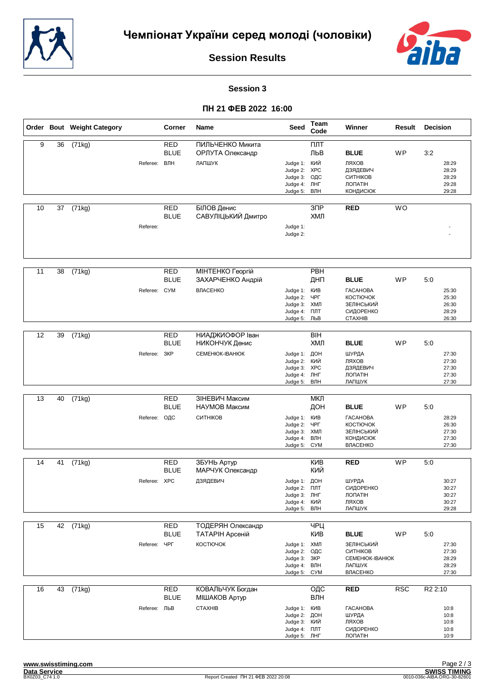



#### **Session 3**

|    |    | Order Bout Weight Category |              | Corner                    | <b>Name</b>                          | Seed                                                              | Team<br>Code          | Winner                                                                                 | Result    | <b>Decision</b>                           |
|----|----|----------------------------|--------------|---------------------------|--------------------------------------|-------------------------------------------------------------------|-----------------------|----------------------------------------------------------------------------------------|-----------|-------------------------------------------|
| 9  | 36 | (71kg)                     |              | <b>RED</b><br><b>BLUE</b> | ПИЛЬЧЕНКО Микита<br>ОРЛУТА Олександр |                                                                   | ПЛТ<br>ЛЬВ            | <b>BLUE</b>                                                                            | WP        | 3:2                                       |
|    |    |                            | Referee:     | ВЛН                       | ЛАПШУК                               | Judge 1: КИЙ<br>Judge 2: XPC<br>Judge 3:<br>Judge 4:<br>Judge 5:  | ОДС<br>ЛНГ<br>ВЛН     | ЛЯХОВ<br>ДЗЯДЕВИЧ<br>СИТНІКОВ<br><b>ЛОПАТІН</b><br><b>КОНДИСЮК</b>                     |           | 28:29<br>28:29<br>28:29<br>29:28<br>29:28 |
| 10 | 37 | (71kg)                     |              | <b>RED</b><br><b>BLUE</b> | БІЛОВ Денис<br>САВУЛІЦЬКИЙ Дмитро    |                                                                   | 3 <sup>7</sup><br>ХМЛ | <b>RED</b>                                                                             | <b>WO</b> |                                           |
|    |    |                            | Referee:     |                           |                                      | Judge 1:<br>Judge 2:                                              |                       |                                                                                        |           |                                           |
| 11 | 38 | (71kg)                     |              | <b>RED</b>                | <b>MIHTEHKO Георгій</b>              |                                                                   | PBH                   |                                                                                        |           |                                           |
|    |    |                            |              | <b>BLUE</b>               | ЗАХАРЧЕНКО Андрій                    |                                                                   | ДНП                   | <b>BLUE</b>                                                                            | WP        | 5:0                                       |
|    |    |                            | Referee: CYM |                           | ВЛАСЕНКО                             | Judge 1: KVIB<br>Judge 2:<br>Judge 3: ХМЛ<br>Judge 4:<br>Judge 5: | ЧРГ<br>ПЛТ<br>ЛЬВ     | <b><i>TACAHOBA</i></b><br><b>КОСТЮЧОК</b><br>ЗЕЛІНСЬКИЙ<br>СИДОРЕНКО<br><b>CTAXHIB</b> |           | 25:30<br>25:30<br>26:30<br>28:29<br>26:30 |
| 12 | 39 |                            |              |                           |                                      |                                                                   | <b>BIH</b>            |                                                                                        |           |                                           |
|    |    | (71kg)                     |              | <b>RED</b><br><b>BLUE</b> | НИАДЖИОФОР Іван<br>НИКОНЧУК Денис    |                                                                   | ХМЛ                   | <b>BLUE</b>                                                                            | <b>WP</b> | 5:0                                       |
|    |    |                            | Referee:     | 3KP                       | CEMEHIOK-IBAHIOK                     | Judge 1: ДОН<br>Judge 2:<br>Judge 3: XPC<br>Judge 4:<br>Judge 5:  | КИЙ<br>ЛНГ<br>ВЛН     | ШУРДА<br>ЛЯХОВ<br>ДЗЯДЕВИЧ<br><b>ЛОПАТІН</b><br>ЛАПШУК                                 |           | 27:30<br>27:30<br>27:30<br>27:30<br>27:30 |
| 13 | 40 |                            |              |                           | ЗІНЕВИЧ Максим                       |                                                                   | МКЛ                   |                                                                                        |           |                                           |
|    |    | (71kg)                     |              | <b>RED</b><br><b>BLUE</b> | НАУМОВ Максим                        |                                                                   | ДОН                   | <b>BLUE</b>                                                                            | WP        | 5:0                                       |
|    |    |                            | Referee:     | ОДС                       | СИТНІКОВ                             | Judge 1: KVIB<br>Judge 2:                                         | ЧРГ                   | <b><i>TACAHOBA</i></b><br><b>КОСТЮЧОК</b>                                              |           | 28:29<br>26:30                            |
|    |    |                            |              |                           |                                      | Judge 3: ХМЛ                                                      |                       | ЗЕЛІНСЬКИЙ                                                                             |           | 27:30                                     |
|    |    |                            |              |                           |                                      | Judge 4:<br>Judge 5:                                              | ВЛН<br><b>CYM</b>     | <b>КОНДИСЮК</b><br>ВЛАСЕНКО                                                            |           | 27:30<br>27:30                            |
| 14 | 41 | (71kg)                     |              | <b>RED</b>                | ЗБУНЬ Артур                          |                                                                   | <b>KVB</b>            | <b>RED</b>                                                                             | <b>WP</b> | 5:0                                       |
|    |    |                            |              | <b>BLUE</b>               | МАРЧУК Олександр                     |                                                                   | кий                   |                                                                                        |           |                                           |
|    |    |                            | Referee: XPC |                           | ДЗЯДЕВИЧ                             | Judge 1:<br>Judge 2: <b>NNT</b>                                   | ДОН                   | ШУРДА<br>СИДОРЕНКО                                                                     |           | 30:27<br>30:27                            |
|    |    |                            |              |                           |                                      | Judge 3: ЛНГ                                                      |                       | ЛОПАТІН                                                                                |           | 30:27                                     |
|    |    |                            |              |                           |                                      | Judge 4: КИЙ<br>Judge 5:                                          | ВЛН                   | ЛЯХОВ<br>ЛАПШУК                                                                        |           | 30:27<br>29:28                            |
| 15 | 42 | (71kg)                     |              | <b>RED</b>                | ТОДЕРЯН Олександр                    |                                                                   | ЧРЦ                   |                                                                                        |           |                                           |
|    |    |                            |              | <b>BLUE</b>               | ТАТАРІН Арсеній                      |                                                                   | KNB                   | <b>BLUE</b>                                                                            | <b>WP</b> | 5:0                                       |
|    |    |                            | Referee: ЧРГ |                           | КОСТЮЧОК                             | Judge 1: ХМЛ<br>Judge 2:                                          | ОДС                   | ЗЕЛІНСЬКИЙ<br>СИТНІКОВ                                                                 |           | 27:30<br>27:30                            |
|    |    |                            |              |                           |                                      | Judge 3: 3KP<br>Judge 4: ВЛН                                      |                       | CEMEHIOK-IBAHIOK<br>ЛАПШУК                                                             |           | 28:29<br>28:29                            |
|    |    |                            |              |                           |                                      | Judge 5:                                                          | <b>CYM</b>            | ВЛАСЕНКО                                                                               |           | 27:30                                     |
| 16 | 43 | (71kg)                     |              | <b>RED</b>                | КОВАЛЬЧУК Богдан                     |                                                                   | ОДС                   | <b>RED</b>                                                                             | RSC       | R <sub>2</sub> 2:10                       |
|    |    |                            |              | <b>BLUE</b>               | <b>МІШАКОВ Артур</b>                 |                                                                   | ВЛН                   |                                                                                        |           |                                           |
|    |    |                            | Referee: ЛЬВ |                           | <b>CTAXHIB</b>                       | Judge 1: KVIB<br>Judge 2: ДОН                                     |                       | <b><i>TACAHOBA</i></b><br>ШУРДА                                                        |           | 10:8<br>10:8                              |
|    |    |                            |              |                           |                                      | Judge 3:                                                          | кий                   | ЛЯХОВ                                                                                  |           | 10:8                                      |
|    |    |                            |              |                           |                                      | Judge 4: NTT<br>Judge 5: JHF                                      |                       | СИДОРЕНКО<br>ЛОПАТІН                                                                   |           | 10:8<br>10:9                              |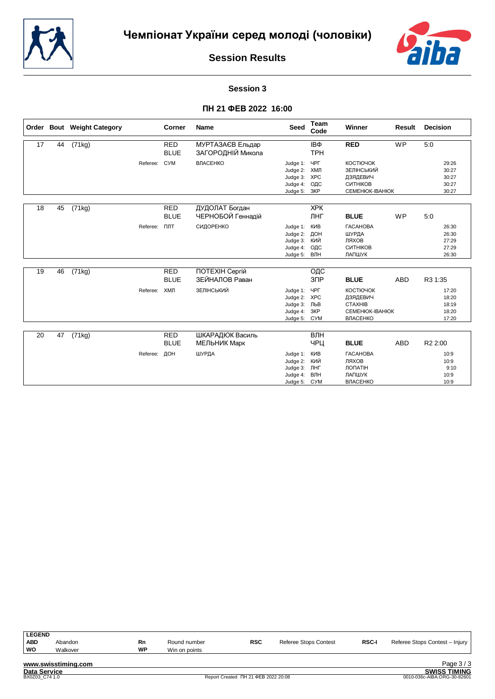



#### **Session 3**

|    |    | Order Bout Weight Category |          | Corner                    | <b>Name</b>                           | <b>Seed</b>                                                              | Team<br>Code                    | Winner                                                                                      | Result     | <b>Decision</b>                           |
|----|----|----------------------------|----------|---------------------------|---------------------------------------|--------------------------------------------------------------------------|---------------------------------|---------------------------------------------------------------------------------------------|------------|-------------------------------------------|
| 17 | 44 | (71kg)                     |          | <b>RED</b><br><b>BLUE</b> | МУРТАЗАЄВ Ельдар<br>ЗАГОРОДНІЙ Микола |                                                                          | IΒΦ<br><b>TPH</b>               | <b>RED</b>                                                                                  | <b>WP</b>  | 5:0                                       |
|    |    |                            | Referee: | <b>CYM</b>                | ВЛАСЕНКО                              | Judge 1:<br>Judge 2: ХМЛ<br>Judge 3: XPC<br>Judge 4:<br>Judge 5:         | ЧРГ<br>ОДС<br>ЗКР               | <b>КОСТЮЧОК</b><br>ЗЕЛІНСЬКИЙ<br>ДЗЯДЕВИЧ<br>СИТНІКОВ<br>CEMEHIOK-IBAHIOK                   |            | 29:26<br>30:27<br>30:27<br>30:27<br>30:27 |
| 18 | 45 | (71kg)                     |          | <b>RED</b><br><b>BLUE</b> | ДУДОЛАТ Богдан<br>ЧЕРНОБОЙ Геннадій   |                                                                          | <b>XPK</b><br>ЛНГ               | <b>BLUE</b>                                                                                 | <b>WP</b>  | 5:0                                       |
|    |    |                            | Referee: | ПЛТ                       | СИДОРЕНКО                             | Judge 1:<br>Judge 2:<br>Judge 3:<br>Judge 4:<br>Judge 5:                 | КИВ<br>ДОН<br>КИЙ<br>ОДС<br>ВЛН | <b><i>TACAHOBA</i></b><br>ШУРДА<br>ЛЯХОВ<br>СИТНІКОВ<br>ЛАПШУК                              |            | 26:30<br>26:30<br>27:29<br>27:29<br>26:30 |
| 19 | 46 | (71kg)                     |          | <b>RED</b><br><b>BLUE</b> | ПОТЕХІН Сергій<br>ЗЕЙНАЛОВ Раван      |                                                                          | ОДС<br>3 <sub>DP</sub>          | <b>BLUE</b>                                                                                 | <b>ABD</b> | R3 1:35                                   |
|    |    |                            | Referee: | ХМЛ                       | ЗЕЛІНСЬКИЙ                            | Judge 1: ЧРГ<br>Judge 2: XPC<br>Judge 3: ЛЬВ<br>Judge 4:<br>Judge 5: CYM | ЗКР                             | <b>КОСТЮЧОК</b><br>ДЗЯДЕВИЧ<br><b>CTAXHIB</b><br><b>CEMEHIOK-IBAHIOK</b><br><b>ВЛАСЕНКО</b> |            | 17:20<br>18:20<br>18:19<br>18:20<br>17:20 |
| 20 | 47 | (71kg)                     |          | <b>RED</b><br><b>BLUE</b> | ШКАРАДЮК Василь<br>МЕЛЬНИК Марк       |                                                                          | ВЛН<br>ЧРЦ                      | <b>BLUE</b>                                                                                 | <b>ABD</b> | R <sub>2</sub> 2:00                       |
|    |    |                            | Referee: | ДОН                       | ШУРДА                                 | Judge 1:<br>Judge 2:<br>Judge 3:<br>Judge 4:<br>Judge 5: CYM             | КИВ<br>КИЙ<br>ЛНГ<br>ВЛН        | <b><i>TACAHOBA</i></b><br>ЛЯХОВ<br>ЛОПАТІН<br>ЛАПШУК<br><b>ВЛАСЕНКО</b>                     |            | 10:9<br>10:9<br>9:10<br>10:9<br>10:9      |

| <b>LEGEND</b> |                     |    |               |            |                       |              |                                |
|---------------|---------------------|----|---------------|------------|-----------------------|--------------|--------------------------------|
| <b>ABD</b>    | Abandon             | Rn | Round number  | <b>RSC</b> | Referee Stops Contest | <b>RSC-I</b> | Referee Stops Contest - Injury |
| WO            | Walkover            | WP | Win on points |            |                       |              |                                |
|               | www.swisstiming.com |    |               |            |                       |              | Page $3/3$                     |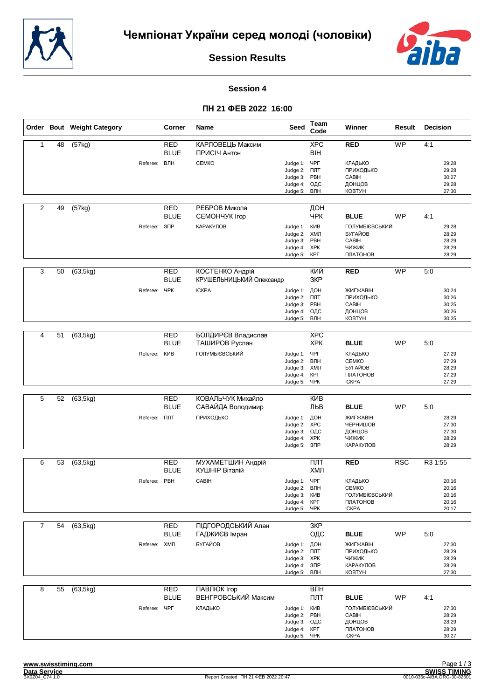



#### **Session 4**

|                |    | Order Bout Weight Category |                          | Corner                    | <b>Name</b>                                 | <b>Seed</b>                                                                   | Team<br>Code                                | Winner                                                                        | Result          | Decision                                         |
|----------------|----|----------------------------|--------------------------|---------------------------|---------------------------------------------|-------------------------------------------------------------------------------|---------------------------------------------|-------------------------------------------------------------------------------|-----------------|--------------------------------------------------|
| $\mathbf{1}$   | 48 | (57kg)                     |                          | <b>RED</b><br><b>BLUE</b> | КАРЛОВЕЦЬ Максим<br>ПРИСІЧ Антон            |                                                                               | <b>XPC</b><br><b>BIH</b>                    | <b>RED</b>                                                                    | WP              | 4:1                                              |
|                |    |                            | Referee: ВЛН             |                           | <b>CEMKO</b>                                | Judge 1: YPF<br>Judge 2: FIJIT<br>Judge 3:<br>Judge 4:<br>Judge 5:            | PBH<br>ОДС<br>ВЛН                           | <b>КЛАДЬКО</b><br>ПРИХОДЬКО<br>CABIH<br>ДОНЦОВ<br><b>KOBTYH</b>               |                 | 29:28<br>29:28<br>30:27<br>29:28<br>27:30        |
| $\overline{2}$ | 49 | (57kg)                     |                          | RED<br><b>BLUE</b>        | РЕБРОВ Микола<br>CEMOHYYK Irop              |                                                                               | ДОН<br>ЧРК                                  | <b>BLUE</b>                                                                   | <b>WP</b>       | 4:1                                              |
|                |    |                            | Referee: 3 <sub>ΠP</sub> |                           | КАРАКУЛОВ                                   | Judge 1:<br>Judge 2:<br>Judge 3: PBH<br>Judge 4:<br>Judge 5: KPL              | КИВ<br>ХМЛ<br><b>XPK</b>                    | <b>ГОЛУМБІЄВСЬКИЙ</b><br>БУГАЙОВ<br>CABIH<br>ЧИЖИК<br>ПЛАТОНОВ                |                 | 29:28<br>28:29<br>28:29<br>28:29<br>28:29        |
| 3              | 50 | $\overline{(63,5kg)}$      |                          | <b>RED</b><br><b>BLUE</b> | КОСТЕНКО Андрій<br>КРУШЕЛЬНИЦЬКИЙ Олександр |                                                                               | КИЙ<br>3KP                                  | <b>RED</b>                                                                    | $\overline{WP}$ | 5:0                                              |
|                |    |                            | Referee:                 | ЧРК                       | <b>ICKPA</b>                                | Judge 1:<br>Judge 2:<br>Judge 3:<br>Judge 4:<br>Judge 5:                      | ДОН<br>ПЛТ<br>PBH<br>ОДС<br>ВЛН             | ЖИГЖАВІН<br>ПРИХОДЬКО<br>CABIH<br>ДОНЦОВ<br><b>KOBTYH</b>                     |                 | 30:24<br>30:26<br>30:25<br>30:26<br>30:25        |
| 4              | 51 | (63, 5kg)                  |                          | <b>RED</b>                | БОЛДИРЄВ Владислав                          |                                                                               | <b>XPC</b>                                  |                                                                               |                 |                                                  |
|                |    |                            | Referee: KVB             | <b>BLUE</b>               | ТАШИРОВ Руслан<br>ГОЛУМБІЄВСЬКИЙ            | Judge 1: ЧРГ<br>Judge 2:<br>Judge 3: ХМЛ<br>Judge 4:<br>Judge 5:              | <b>XPK</b><br>ВЛН<br>КРГ<br>ЧPК             | <b>BLUE</b><br>КЛАДЬКО<br><b>CEMKO</b><br>БУГАЙОВ<br>ПЛАТОНОВ<br><b>ICKPA</b> | <b>WP</b>       | 5:0<br>27:29<br>27:29<br>28:29<br>27:29<br>27:29 |
|                |    |                            |                          |                           |                                             |                                                                               |                                             |                                                                               |                 |                                                  |
| 5              | 52 | (63, 5kg)                  |                          | <b>RED</b><br><b>BLUE</b> | КОВАЛЬЧУК Михайло<br>САВАЙДА Володимир      |                                                                               | <b>KNB</b><br>ЛЬВ                           | <b>BLUE</b>                                                                   | WP              | 5:0                                              |
|                |    |                            | Referee: <b>NNT</b>      |                           | ПРИХОДЬКО                                   | Judge 1:<br>Judge 2: XPC<br>Judge 3:<br>Judge 4:<br>Judge 5:                  | ДОН<br>ОДС<br><b>XPK</b><br>3 <sup>CP</sup> | <b>ЖИГЖАВІН</b><br>ЧЕРНИШОВ<br>ДОНЦОВ<br>ЧИЖИК<br>КАРАКУЛОВ                   |                 | 28:29<br>27:30<br>27:30<br>28:29<br>28:29        |
| 6              | 53 | (63, 5kg)                  |                          | RED<br><b>BLUE</b>        | МУХАМЕТШИН Андрій<br>КУШНІР Віталій         |                                                                               | ПЛТ<br>ХМЛ                                  | <b>RED</b>                                                                    | <b>RSC</b>      | R3 1:55                                          |
|                |    |                            | Referee: PBH             |                           | CABIH                                       | Judge 1: ЧРГ<br>Judge 2: ВЛН<br>Judge 3: KVIB<br>Judge 4: KPF<br>Judge 5: ЧРК |                                             | КЛАДЬКО<br><b>CEMKO</b><br><b>ГОЛУМБІЄВСЬКИЙ</b><br>ПЛАТОНОВ<br><b>ICKPA</b>  |                 | 20:16<br>20:16<br>20:16<br>20:16<br>20:17        |
| $\overline{7}$ | 54 | (63, 5kg)                  |                          | RED                       | ПІДГОРОДСЬКИЙ Алан                          |                                                                               | 3KP                                         |                                                                               |                 |                                                  |
|                |    |                            |                          | <b>BLUE</b>               | ГАДЖИЄВ Імран                               |                                                                               | ОДС                                         | <b>BLUE</b>                                                                   | <b>WP</b>       | 5:0                                              |
|                |    |                            | Referee: ХМЛ             |                           | БУГАЙОВ                                     | Judge 1: ДОН<br>Judge 2: NJT<br>Judge 3: XPK<br>Judge 4:<br>Judge 5:          | $3\Pi P$<br>ВЛН                             | ЖИГЖАВІН<br>ПРИХОДЬКО<br>ЧИЖИК<br>КАРАКУЛОВ<br><b>KOBTYH</b>                  |                 | 27:30<br>28:29<br>28:29<br>28:29<br>27:30        |
| 8              | 55 | (63, 5kg)                  |                          | <b>RED</b><br><b>BLUE</b> | ПАВЛЮК Ігор<br>ВЕНГРОВСЬКИЙ Максим          |                                                                               | ВЛН<br>ПЛТ                                  | <b>BLUE</b>                                                                   | <b>WP</b>       | 4:1                                              |
|                |    |                            | Referee:                 | ЧРГ                       | КЛАДЬКО                                     | Judge 1: KVIB<br>Judge 2: PBH<br>Judge 3: ОДС<br>Judge 4: KPL<br>Judge 5: YPK |                                             | <b>ГОЛУМБІЄВСЬКИЙ</b><br>CABIH<br>ДОНЦОВ<br>ПЛАТОНОВ<br><b>ICKPA</b>          |                 | 27:30<br>28:29<br>28:29<br>28:29<br>30:27        |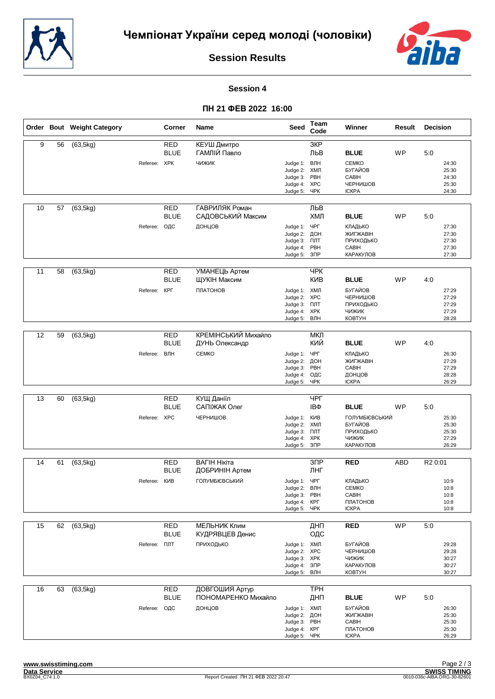



#### **Session 4**

|    |    | Order Bout Weight Category |                     | Corner                    | Name                                  | <b>Seed</b>                                                                  | Team<br>Code                                   | Winner                                                       | Result     | <b>Decision</b>                           |
|----|----|----------------------------|---------------------|---------------------------|---------------------------------------|------------------------------------------------------------------------------|------------------------------------------------|--------------------------------------------------------------|------------|-------------------------------------------|
| 9  | 56 | (63, 5kg)                  |                     | <b>RED</b><br><b>BLUE</b> | КЕУШ Дмитро<br>ГАМЛІЙ Павло           |                                                                              | 3KP<br>ЛЬВ                                     | <b>BLUE</b>                                                  | <b>WP</b>  | 5:0                                       |
|    |    |                            | Referee: XPK        |                           | ЧИЖИК                                 | Judge 1: ВЛН<br>Judge 2:<br>Judge 3:<br>Judge 4:<br>Judge 5:                 | ХМЛ<br>PBH<br><b>XPC</b><br>ЧРК                | <b>CEMKO</b><br>БУГАЙОВ<br>CABIH<br>ЧЕРНИШОВ<br><b>ICKPA</b> |            | 24:30<br>25:30<br>24:30<br>25:30<br>24:30 |
| 10 | 57 | (63, 5kg)                  |                     | RED<br><b>BLUE</b>        | ГАВРИЛЯК Роман<br>САДОВСЬКИЙ Максим   |                                                                              | ЛЬВ<br>ХМЛ                                     | <b>BLUE</b>                                                  | WP         | 5:0                                       |
|    |    |                            | Referee:            | ОДС                       | ДОНЦОВ                                | Judge 1:<br>Judge 2:<br>Judge 3: NJT<br>Judge 4:<br>Judge 5: 3NP             | ЧРГ<br>ДОН<br>PBH                              | КЛАДЬКО<br>ЖИГЖАВІН<br>ПРИХОДЬКО<br>CABIH<br>КАРАКУЛОВ       |            | 27:30<br>27:30<br>27:30<br>27:30<br>27:30 |
| 11 | 58 | (63, 5kg)                  |                     | <b>RED</b><br><b>BLUE</b> | УМАНЕЦЬ Артем<br>ЩУКІН Максим         |                                                                              | <b>YPK</b><br><b>KNB</b>                       | <b>BLUE</b>                                                  | WP         | 4:0                                       |
|    |    |                            | Referee:            | КРГ                       | ПЛАТОНОВ                              | Judge 1: ХМЛ<br>Judge 2:<br>Judge 3:<br>Judge 4:<br>Judge 5:                 | <b>XPC</b><br>ПЛТ<br><b>XPK</b><br>ВЛН         | БУГАЙОВ<br>ЧЕРНИШОВ<br>ПРИХОДЬКО<br>ЧИЖИК<br><b>KOBTYH</b>   |            | 27:29<br>27:29<br>27:29<br>27:29<br>28:28 |
| 12 | 59 | (63, 5kg)                  |                     | <b>RED</b>                | КРЕМІНСЬКИЙ Михайло                   |                                                                              | МКЛ                                            |                                                              |            |                                           |
|    |    |                            |                     | <b>BLUE</b>               | ДУНЬ Олександр                        |                                                                              | КИЙ                                            | <b>BLUE</b><br>КЛАДЬКО                                       | <b>WP</b>  | 4:0                                       |
|    |    |                            | Referee:            | ВЛН                       | <b>CEMKO</b>                          | Judge 1:<br>Judge 2:<br>Judge 3:<br>Judge 4:<br>Judge 5:                     | ЧРГ<br>ДОН<br>PBH<br>ОДС<br>ЧРК                | ЖИГЖАВІН<br>CABIH<br>ДОНЦОВ<br><b>ICKPA</b>                  |            | 26:30<br>27:29<br>27:29<br>28:28<br>26:29 |
|    |    |                            |                     |                           |                                       |                                                                              |                                                |                                                              |            |                                           |
| 13 | 60 | (63, 5kg)                  |                     | <b>RED</b><br><b>BLUE</b> | КУЩ Даніїл<br>САПІЖАК Олег            |                                                                              | ЧРГ<br>IΒΦ                                     | <b>BLUE</b>                                                  | <b>WP</b>  | 5:0                                       |
|    |    |                            | Referee: XPC        |                           | ЧЕРНИШОВ                              | Judge 1:<br>Judge 2: ХМЛ<br>Judge 3:<br>Judge 4:<br>Judge 5:                 | КИВ<br>ПЛТ<br><b>XPK</b><br>$3$ <sub>D</sub> P | ГОЛУМБІЄВСЬКИЙ<br>БУГАЙОВ<br>ПРИХОДЬКО<br>ЧИЖИК<br>КАРАКУЛОВ |            | 25:30<br>25:30<br>25:30<br>27:29<br>26:29 |
| 14 | 61 | (63, 5kg)                  |                     | <b>RED</b>                | ВАГІН Нікіта                          |                                                                              | 3 <sub>DP</sub>                                | <b>RED</b>                                                   | <b>ABD</b> | R <sub>2</sub> 0:01                       |
|    |    |                            | Referee:            | <b>BLUE</b><br>КИВ        | ДОБРИНІН Артем<br>ГОЛУМБІЄВСЬКИЙ      | Judge 1:<br>Judge 2: ВЛН<br>Judge 3: PBH<br>Judge 4: KPF<br>Judge 5: YPK     | ЛНГ<br>ЧРГ                                     | КЛАДЬКО<br><b>CEMKO</b><br>CABIH<br>ПЛАТОНОВ<br><b>ICKPA</b> |            | 10:9<br>10:8<br>10:8<br>10:8<br>10:8      |
| 15 | 62 | (63, 5kg)                  |                     | <b>RED</b>                | <b>МЕЛЬНИК Клим</b>                   |                                                                              | ДНП                                            | <b>RED</b>                                                   | <b>WP</b>  | 5:0                                       |
|    |    |                            |                     | <b>BLUE</b>               | КУДРЯВЦЕВ Денис                       |                                                                              | ОДС                                            |                                                              |            |                                           |
|    |    |                            | Referee: <b>NTT</b> |                           | ПРИХОДЬКО                             | Judge 1: ХМЛ<br>Judge 2: XPC<br>Judge 3: XPK<br>Judge 4: 3NP<br>Judge 5:     | ВЛН                                            | БУГАЙОВ<br>ЧЕРНИШОВ<br>ЧИЖИК<br>КАРАКУЛОВ<br><b>KOBTYH</b>   |            | 29:28<br>29:28<br>30:27<br>30:27<br>30:27 |
| 16 | 63 | (63, 5kg)                  |                     | <b>RED</b><br><b>BLUE</b> | ДОВГОШИЯ Артур<br>ПОНОМАРЕНКО Михайло |                                                                              | <b>TPH</b><br>ДНП                              | <b>BLUE</b>                                                  | WP         | 5:0                                       |
|    |    |                            | Referee: ОДС        |                           | ДОНЦОВ                                | Judge 1: ХМЛ<br>Judge 2: ДОН<br>Judge 3: PBH<br>Judge 4: KPL<br>Judge 5: YPK |                                                | БУГАЙОВ<br>ЖИГЖАВІН<br>CABIH<br>ПЛАТОНОВ<br><b>ICKPA</b>     |            | 26:30<br>25:30<br>25:30<br>25:30<br>26:29 |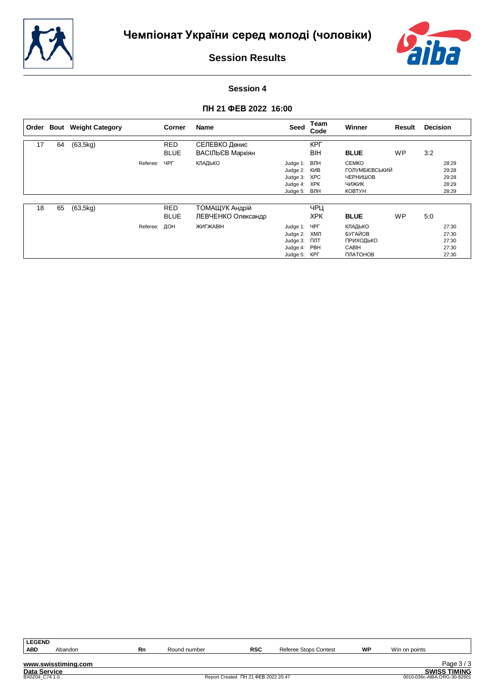



# **Session 4**

| Order |    | <b>Bout</b> Weight Category |          | Corner                    | Name                                 | Seed                                                                           | Team<br>Code             | <b>Winner</b>                                                               | Result    | <b>Decision</b> |                                           |
|-------|----|-----------------------------|----------|---------------------------|--------------------------------------|--------------------------------------------------------------------------------|--------------------------|-----------------------------------------------------------------------------|-----------|-----------------|-------------------------------------------|
| 17    | 64 | (63, 5kg)                   |          | <b>RED</b><br><b>BLUE</b> | СЕЛЕВКО Денис<br>ВАСІЛЬЄВ Маркіян    |                                                                                | <b>KPL</b><br><b>BIH</b> | <b>BLUE</b>                                                                 | <b>WP</b> | 3:2             |                                           |
|       |    |                             | Referee: | ЧРГ                       | КЛАДЬКО                              | Judge 1: BJIH<br>Judge 2: KIAB<br>Judge 3: XPC<br>Judge 4: XPK<br>Judge 5: ВЛН |                          | <b>CEMKO</b><br>ГОЛУМБІЄВСЬКИЙ<br>ЧЕРНИШОВ<br><b>ЧИЖИК</b><br><b>KOBTYH</b> |           |                 | 28:29<br>29:28<br>29:28<br>28:29<br>28:29 |
| 18    | 65 | (63, 5kg)                   |          | <b>RED</b><br><b>BLUE</b> | ТОМАЩУК Андрій<br>ЛЕВЧЕНКО Олександр |                                                                                | ЧРЦ<br><b>XPK</b>        | <b>BLUE</b>                                                                 | <b>WP</b> | 5:0             |                                           |
|       |    |                             | Referee: | ДОН                       | <b>ЖИГЖАВІН</b>                      | Judge 1: YPF<br>Judge 2: ХМЛ<br>Judge 3:<br>Judge 4: PBH<br>Judge 5: KPL       | ПЛТ                      | КЛАДЬКО<br>БУГАЙОВ<br>ПРИХОДЬКО<br><b>CABIH</b><br>ПЛАТОНОВ                 |           |                 | 27:30<br>27:30<br>27:30<br>27:30<br>27:30 |

| <b>LEGEND</b>  |                     |    |              |                                     |                       |    |                             |                     |
|----------------|---------------------|----|--------------|-------------------------------------|-----------------------|----|-----------------------------|---------------------|
| <b>ABD</b>     | Abandon             | Rn | Round number | <b>RSC</b>                          | Referee Stops Contest | WF | Win on points               |                     |
|                | www.swisstiming.com |    |              |                                     |                       |    |                             | Page $3/3$          |
| Data Service   |                     |    |              |                                     |                       |    |                             | <b>SWISS TIMING</b> |
| BX0Z04 C74 1.0 |                     |    |              | Report Created TH 21 ΦEB 2022 20:47 |                       |    | 0010-036c-AIBA.ORG-30-82601 |                     |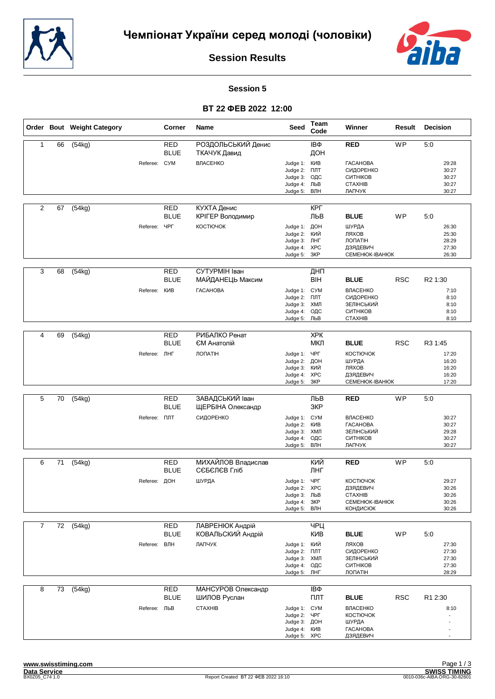



#### **Session 5**

|                |    | Order Bout Weight Category |                     | Corner                    | Name                                   | Seed                                                                          | Team<br>Code             | Winner                                                                               | Result     | <b>Decision</b>                           |
|----------------|----|----------------------------|---------------------|---------------------------|----------------------------------------|-------------------------------------------------------------------------------|--------------------------|--------------------------------------------------------------------------------------|------------|-------------------------------------------|
| 1              | 66 | (54kg)                     |                     | <b>RED</b><br><b>BLUE</b> | РОЗДОЛЬСЬКИЙ Денис<br>ТКАЧУК Давид     |                                                                               | IΒΦ<br>ДОН               | <b>RED</b>                                                                           | <b>WP</b>  | 5:0                                       |
|                |    |                            | Referee: CYM        |                           | ВЛАСЕНКО                               | Judge 1: KVIB<br>Judge 2:<br>Judge 3:<br>Judge 4:<br>Judge 5: ВЛН             | ПЛТ<br>ОДС<br>ЛЬВ        | <b><i>TACAHOBA</i></b><br>СИДОРЕНКО<br>СИТНІКОВ<br><b>CTAXHIB</b><br>ЛАПЧУК          |            | 29:28<br>30:27<br>30:27<br>30:27<br>30:27 |
| 2              | 67 | (54kg)                     |                     | <b>RED</b><br><b>BLUE</b> | <b>КУХТА Денис</b><br>КРІГЕР Володимир |                                                                               | КРГ<br>ЛЬВ               | <b>BLUE</b>                                                                          | WP         | 5:0                                       |
|                |    |                            | Referee:            | <b>HPL</b>                | КОСТЮЧОК                               | Judge 1: ДОН<br>Judge 2:<br>Judge 3: JHF<br>Judge 4:<br>Judge 5: 3KP          | кий<br><b>XPC</b>        | ШУРДА<br>ЛЯХОВ<br>ЛОПАТІН<br>ДЗЯДЕВИЧ<br>CEMEHIOK-IBAHIOK                            |            | 26:30<br>25:30<br>28:29<br>27:30<br>26:30 |
| 3              | 68 | (54kg)                     |                     | <b>RED</b><br><b>BLUE</b> | СУТУРМІН Іван<br>МАЙДАНЕЦЬ Максим      |                                                                               | ДНП<br>BIH               | <b>BLUE</b>                                                                          | <b>RSC</b> | R <sub>2</sub> 1:30                       |
|                |    |                            | Referee:            | КИВ                       | <b><i>TACAHOBA</i></b>                 | Judge 1: CYM<br>Judge 2:<br>Judge 3:<br>Judge 4:<br>Judge 5: ЛЬВ              | ПЛТ<br>ХМЛ<br>ОДС        | <b>ВЛАСЕНКО</b><br>СИДОРЕНКО<br>ЗЕЛІНСЬКИЙ<br>СИТНІКОВ<br><b>CTAXHIB</b>             |            | 7:10<br>8:10<br>8:10<br>8:10<br>8:10      |
|                |    |                            |                     |                           |                                        |                                                                               |                          |                                                                                      |            |                                           |
| $\overline{4}$ | 69 | (54kg)                     |                     | RED<br><b>BLUE</b>        | РИБАЛКО Ренат<br>ЄМ Анатолій           |                                                                               | <b>XPK</b><br>МКЛ        | <b>BLUE</b>                                                                          | <b>RSC</b> | R3 1:45                                   |
|                |    |                            | Referee: ЛНГ        |                           | <b>ЛОПАТІН</b>                         | Judge 1:<br>Judge 2:<br>Judge 3:<br>Judge 4: XPC<br>Judge 5:                  | ЧРГ<br>ДОН<br>кий<br>3KP | КОСТЮЧОК<br>ШУРДА<br>ЛЯХОВ<br>ДЗЯДЕВИЧ<br>CEMEHIOK-IBAHIOK                           |            | 17:20<br>16:20<br>16:20<br>16:20<br>17:20 |
|                |    |                            |                     |                           |                                        |                                                                               |                          |                                                                                      |            |                                           |
| 5              | 70 | (54kg)                     |                     | <b>RED</b><br><b>BLUE</b> | ЗАВАДСЬКИЙ Іван<br>ЩЕРБІНА Олександр   |                                                                               | ЛЬВ<br>3KP               | <b>RED</b>                                                                           | WP         | 5:0                                       |
|                |    |                            | Referee: <b>NNT</b> |                           | СИДОРЕНКО                              | Judge 1: CYM<br>Judge 2:<br>Judge 3:<br>Judge 4:<br>Judge 5:                  | КИВ<br>ХМЛ<br>ОДС<br>ВЛН | <b>ВЛАСЕНКО</b><br><b><i>TACAHOBA</i></b><br>ЗЕЛІНСЬКИЙ<br><b>СИТНІКОВ</b><br>ЛАПЧУК |            | 30:27<br>30:27<br>29:28<br>30:27<br>30:27 |
| 6              | 71 | (54kg)                     |                     | <b>RED</b>                | МИХАЙЛОВ Владислав                     |                                                                               | КИЙ                      | <b>RED</b>                                                                           | <b>WP</b>  | 5:0                                       |
|                |    |                            |                     | <b>BLUE</b>               | СЄБЄЛЄВ Гліб                           |                                                                               | ЛНГ                      |                                                                                      |            |                                           |
|                |    |                            | Referee: ДОН        |                           | ШУРДА                                  | Judge 1:<br>Judge 2: XPC<br>Judge 3: ЛЬВ<br>Judge 4: 3KP<br>Judge 5: ВЛН      | ЧРГ                      | КОСТЮЧОК<br>ДЗЯДЕВИЧ<br><b>CTAXHIB</b><br>CEMEHIOK-IBAHIOK<br><b>КОНДИСЮК</b>        |            | 29:27<br>30:26<br>30:26<br>30:26<br>30:26 |
| $\overline{7}$ | 72 | (54kg)                     |                     | <b>RED</b><br><b>BLUE</b> | ЛАВРЕНЮК Андрій<br>КОВАЛЬСКИЙ Андрій   |                                                                               | ЧРЦ<br>КИВ               | <b>BLUE</b>                                                                          | WP         | 5:0                                       |
|                |    |                            | Referee:            | ВЛН                       | ЛАПЧУК                                 | Judge 1: КИЙ<br>Judge 2: NJT<br>Judge 3:<br>Judge 4:<br>Judge 5:              | ХМЛ<br>ОДС<br>ЛНГ        | ЛЯХОВ<br>СИДОРЕНКО<br>ЗЕЛІНСЬКИЙ<br>СИТНІКОВ<br>ЛОПАТІН                              |            | 27:30<br>27:30<br>27:30<br>27:30<br>28:29 |
| 8              | 73 | (54kg)                     |                     | <b>RED</b><br><b>BLUE</b> | МАНСУРОВ Олександр<br>ШИЛОВ Руслан     |                                                                               | IΒΦ<br>ПЛТ               | <b>BLUE</b>                                                                          | <b>RSC</b> | R1 2:30                                   |
|                |    |                            | Referee: ЛЬВ        |                           | <b>CTAXHIB</b>                         | Judge 1: CYM<br>Judge 2: ЧРГ<br>Judge 3: ДОН<br>Judge 4: KVIB<br>Judge 5: XPC |                          | <b>ВЛАСЕНКО</b><br><b>КОСТЮЧОК</b><br>ШУРДА<br><b><i>TACAHOBA</i></b><br>ДЗЯДЕВИЧ    |            | 8:10                                      |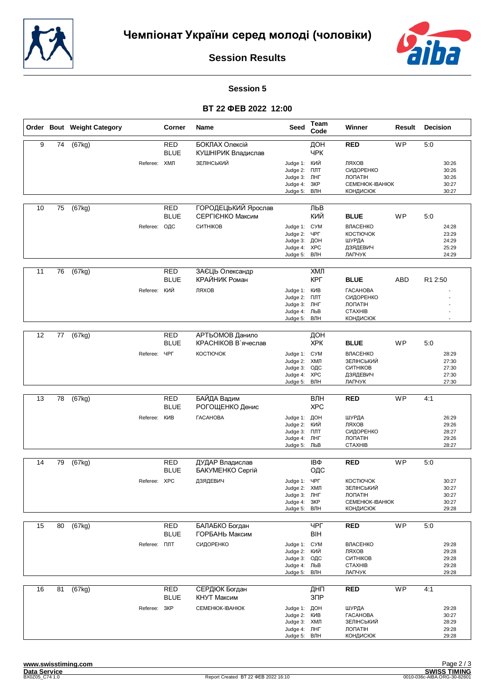



#### **Session 5**

|    |    | Order Bout Weight Category |                     | Corner                    | Name                                    | <b>Seed</b>                                                                     | Team<br>Code             | Winner                                                                              | Result    | <b>Decision</b>                           |
|----|----|----------------------------|---------------------|---------------------------|-----------------------------------------|---------------------------------------------------------------------------------|--------------------------|-------------------------------------------------------------------------------------|-----------|-------------------------------------------|
| 9  | 74 | (67kg)                     |                     | <b>RED</b><br><b>BLUE</b> | БОКЛАХ Олексій<br>КУШНІРИК Владислав    |                                                                                 | ДОН<br>ЧРК               | <b>RED</b>                                                                          | <b>WP</b> | $\overline{5:0}$                          |
|    |    |                            | Referee: ХМЛ        |                           | ЗЕЛІНСЬКИЙ                              | Judge 1: КИЙ<br>Judge 2:<br>Judge 3: ЛНГ<br>Judge 4:<br>Judge 5:                | ПЛТ<br>3KP<br>ВЛН        | ЛЯХОВ<br>СИДОРЕНКО<br>ЛОПАТІН<br><b>CEMEHIOK-IBAHIOK</b><br><b>КОНДИСЮК</b>         |           | 30:26<br>30:26<br>30:26<br>30:27<br>30:27 |
| 10 | 75 | (67kg)                     |                     | <b>RED</b><br><b>BLUE</b> | ГОРОДЕЦЬКИЙ Ярослав<br>СЕРГІЄНКО Максим |                                                                                 | ЛЬВ<br>КИЙ               | <b>BLUE</b>                                                                         | <b>WP</b> | 5:0                                       |
|    |    |                            | Referee: ОДС        |                           | СИТНІКОВ                                | Judge 1: CYM<br>Judge 2:<br>Judge 3: ДОН<br>Judge 4:<br>Judge 5:                | ЧРГ<br><b>XPC</b><br>ВЛН | ВЛАСЕНКО<br>КОСТЮЧОК<br>ШУРДА<br>ДЗЯДЕВИЧ<br>ЛАПЧУК                                 |           | 24:28<br>23:29<br>24:29<br>25:29<br>24:29 |
| 11 | 76 | (67kg)                     |                     | <b>RED</b><br><b>BLUE</b> | ЗАЄЦЬ Олександр<br>КРАЙНИК Роман        |                                                                                 | ХМЛ<br><b>KPL</b>        | <b>BLUE</b>                                                                         | ABD       | R1 2:50                                   |
|    |    |                            | Referee:            | кий                       | ЛЯХОВ                                   | Judge 1: KVIB<br>Judge 2: NJT<br>Judge 3: JHF<br>Judge 4: ЛЬВ<br>Judge 5:       | ВЛН                      | <b><i>TACAHOBA</i></b><br>СИДОРЕНКО<br><b>ЛОПАТІН</b><br><b>CTAXHIB</b><br>КОНДИСЮК |           |                                           |
|    |    |                            |                     |                           |                                         |                                                                                 |                          |                                                                                     |           |                                           |
| 12 | 77 | (67kg)                     |                     | <b>RED</b><br><b>BLUE</b> | АРТЬОМОВ Данило<br>КРАСНІКОВ В'ячеслав  |                                                                                 | ДОН<br><b>XPK</b>        | <b>BLUE</b>                                                                         | <b>WP</b> | 5:0                                       |
|    |    |                            | Referee:            | ЧРГ                       | КОСТЮЧОК                                | Judge 1: CYM<br>Judge 2: ХМЛ<br>Judge 3:<br>Judge 4: XPC<br>Judge 5:            | ОДС<br>ВЛН               | ВЛАСЕНКО<br>ЗЕЛІНСЬКИЙ<br>СИТНІКОВ<br>ДЗЯДЕВИЧ<br>ЛАПЧУК                            |           | 28:29<br>27:30<br>27:30<br>27:30<br>27:30 |
|    |    |                            |                     |                           |                                         |                                                                                 |                          |                                                                                     |           |                                           |
| 13 | 78 | (67kg)                     |                     | <b>RED</b><br><b>BLUE</b> | БАЙДА Вадим<br>РОГОЩЕНКО Денис          |                                                                                 | ВЛН<br><b>XPC</b>        | <b>RED</b>                                                                          | <b>WP</b> | 4:1                                       |
|    |    |                            | Referee:            | КИВ                       | <b><i>TACAHOBA</i></b>                  | Judge 1: ДОН<br>Judge 2:<br>Judge 3: <b>NUT</b><br>Judge 4: JHF<br>Judge 5: ЛЬВ | кий                      | ШУРДА<br>ЛЯХОВ<br>СИДОРЕНКО<br>ЛОПАТІН<br><b>CTAXHIB</b>                            |           | 26:29<br>29:26<br>28:27<br>29:26<br>28:27 |
| 14 | 79 |                            |                     | <b>RED</b>                | ДУДАР Владислав                         |                                                                                 | IΒΦ                      | <b>RED</b>                                                                          | <b>WP</b> | 5:0                                       |
|    |    | (67kg)                     |                     | <b>BLUE</b>               | БАКУМЕНКО Сергій                        |                                                                                 | ОДС                      |                                                                                     |           |                                           |
|    |    |                            | Referee: XPC        |                           | ДЗЯДЕВИЧ                                | Judge 1: YPF<br>Judge 2: ХМЛ<br>Judge 3: ЛНГ<br>Judge 4:<br>Judge 5:            | 3KP<br>ВЛН               | <b>КОСТЮЧОК</b><br>ЗЕЛІНСЬКИЙ<br>ЛОПАТІН<br>CEMEHIOK-IBAHIOK<br><b>КОНДИСЮК</b>     |           | 30:27<br>30:27<br>30:27<br>30:27<br>29:28 |
| 15 | 80 | (67kg)                     |                     | <b>RED</b>                | БАЛАБКО Богдан                          |                                                                                 | <b>YPF</b>               | <b>RED</b>                                                                          | <b>WP</b> | 5:0                                       |
|    |    |                            |                     | <b>BLUE</b>               | ГОРБАНЬ Максим                          |                                                                                 | <b>BIH</b>               |                                                                                     |           |                                           |
|    |    |                            | Referee: <b>NNT</b> |                           | СИДОРЕНКО                               | Judge 1: CYM<br>Judge 2: КИЙ<br>Judge 3: ОДС<br>Judge 4: ЛЬВ<br>Judge 5: ВЛН    |                          | ВЛАСЕНКО<br>ЛЯХОВ<br>СИТНІКОВ<br><b>CTAXHIB</b><br>ЛАПЧУК                           |           | 29:28<br>29:28<br>29:28<br>29:28<br>29:28 |
| 16 | 81 | (67kg)                     |                     | <b>RED</b><br><b>BLUE</b> | СЕРДЮК Богдан<br>КНУТ Максим            |                                                                                 | ДНП<br>3 <sup>7</sup>    | <b>RED</b>                                                                          | WP        | 4:1                                       |
|    |    |                            | Referee: 3KP        |                           | <b>CEMEHIOK-IBAHIOK</b>                 | Judge 1: ДОН<br>Judge 2: KVIB<br>Judge 3: ХМЛ<br>Judge 4: JHF<br>Judge 5: ВЛН   |                          | ШУРДА<br><b><i>TACAHOBA</i></b><br>ЗЕЛІНСЬКИЙ<br>ЛОПАТІН<br><b>КОНДИСЮК</b>         |           | 29:28<br>30:27<br>28:29<br>29:28<br>29:28 |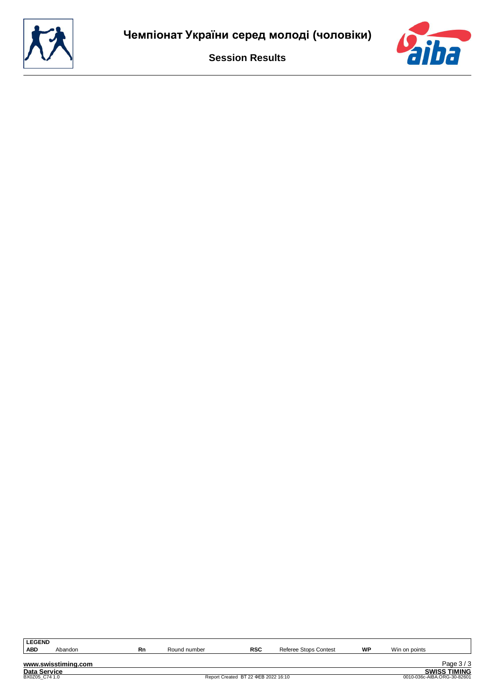

| <b>LEGEND</b> |         |    |              |            |                          |    |                  |
|---------------|---------|----|--------------|------------|--------------------------|----|------------------|
| <b>ABD</b>    | Abandon | Rn | Round number | <b>RSC</b> | Stops Contest<br>Referee | WP | Win on<br>points |
|               |         |    |              |            |                          |    |                  |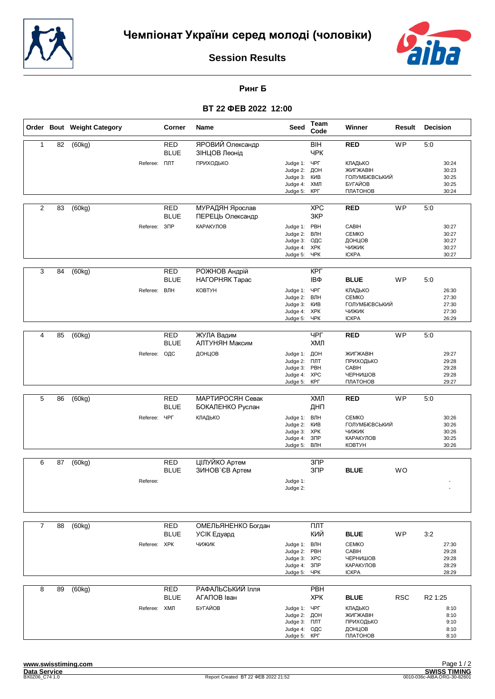



**Ринг Б**

|                |    | Order Bout Weight Category |                     | Corner                    | <b>Name</b>                         | Seed                                                                         | Team<br>Code             | Winner                                                                       | Result     | Decision                                                    |
|----------------|----|----------------------------|---------------------|---------------------------|-------------------------------------|------------------------------------------------------------------------------|--------------------------|------------------------------------------------------------------------------|------------|-------------------------------------------------------------|
| $\mathbf{1}$   | 82 | (60kg)                     |                     | <b>RED</b><br><b>BLUE</b> | ЯРОВИЙ Олександр<br>ЗІНЦОВ Леонід   |                                                                              | BIH<br><b>YPK</b>        | <b>RED</b>                                                                   | <b>WP</b>  | 5:0                                                         |
|                |    |                            | Referee: <b>NNT</b> |                           | ПРИХОДЬКО                           | Judge 1: ЧРГ<br>Judge 2:<br>Judge 3:<br>Judge 4:<br>Judge 5:                 | ДОН<br>КИВ<br>ХМЛ<br>КРГ | КЛАДЬКО<br>ЖИГЖАВІН<br>ГОЛУМБІЄВСЬКИЙ<br>БУГАЙОВ<br>ПЛАТОНОВ                 |            | 30:24<br>30:23<br>30:25<br>30:25<br>30:24                   |
| $\overline{2}$ | 83 | (60kg)                     |                     | RED<br><b>BLUE</b>        | МУРАДЯН Ярослав<br>ПЕРЕЦЬ Олександр |                                                                              | <b>XPC</b><br>3KP        | <b>RED</b>                                                                   | <b>WP</b>  | 5:0                                                         |
|                |    |                            | Referee:            | 3 <sup>7</sup>            | КАРАКУЛОВ                           | Judge 1: PBH<br>Judge 2:<br>Judge 3:<br>Judge 4: XPK<br>Judge 5: ЧРК         | ВЛН<br>ОДС               | CABIH<br><b>CEMKO</b><br>ДОНЦОВ<br>ЧИЖИК<br><b>ICKPA</b>                     |            | 30:27<br>30:27<br>30:27<br>30:27<br>30:27                   |
| 3              | 84 | (60kg)                     |                     | <b>RED</b><br><b>BLUE</b> | РОЖНОВ Андрій<br>НАГОРНЯК Тарас     |                                                                              | <b>KPL</b><br>IΒΦ        | <b>BLUE</b>                                                                  | WP         | 5:0                                                         |
|                |    |                            | Referee: ВЛН        |                           | КОВТУН                              | Judge 1: ЧРГ<br>Judge 2: ВЛН<br>Judge 3:<br>Judge 4: XPK<br>Judge 5:         | КИВ<br>ЧРК               | КЛАДЬКО<br><b>CEMKO</b><br>ГОЛУМБІЄВСЬКИЙ<br><b>ЧИЖИК</b><br><b>ICKPA</b>    |            | 26:30<br>27:30<br>27:30<br>27:30<br>26:29                   |
| 4              | 85 | (60kg)                     |                     | <b>RED</b>                | ЖУЛА Вадим                          |                                                                              | ЧРГ                      | <b>RED</b>                                                                   | WP         | 5:0                                                         |
|                |    |                            |                     | <b>BLUE</b>               | АЛТУНЯН Максим                      |                                                                              | ХМЛ                      |                                                                              |            |                                                             |
|                |    |                            | Referee: ОДС        |                           | ДОНЦОВ                              | Judge 1: ДОН<br>Judge 2: NJT<br>Judge 3:<br>Judge 4: XPC<br>Judge 5:         | PBH<br>КРГ               | ЖИГЖАВІН<br>ПРИХОДЬКО<br>CABIH<br>ЧЕРНИШОВ<br>ПЛАТОНОВ                       |            | 29:27<br>29:28<br>29:28<br>29:28<br>29:27                   |
| 5              | 86 | (60kg)                     |                     | <b>RED</b>                | МАРТИРОСЯН Севак                    |                                                                              | ХМЛ                      | <b>RED</b>                                                                   | WP         | 5:0                                                         |
|                |    |                            |                     | <b>BLUE</b>               | БОКАЛЕНКО Руслан                    |                                                                              | ДНП                      |                                                                              |            |                                                             |
|                |    |                            | Referee:            | ЧРГ                       | КЛАДЬКО                             | Judge 1: ВЛН<br>Judge 2: KIAB<br>Judge 3: XPK<br>Judge 4:<br>Judge 5:        | 3 <sup>7</sup><br>ВЛН    | <b>CEMKO</b><br>ГОЛУМБІЄВСЬКИЙ<br><b>ЧИЖИК</b><br>КАРАКУЛОВ<br><b>KOBTYH</b> |            | 30:26<br>30:26<br>30:26<br>30:25<br>30:26                   |
| 6              | 87 | (60kg)                     |                     | <b>RED</b>                | ЦІЛУЙКО Артем                       |                                                                              | $3$ $\Pi$ P              |                                                                              |            |                                                             |
|                |    |                            | Referee:            | <b>BLUE</b>               | ЗИНОВ`ЄВ Артем                      | Judge 1:<br>Judge 2:                                                         | 3 <sub>DP</sub>          | <b>BLUE</b>                                                                  | <b>WO</b>  |                                                             |
|                |    |                            |                     |                           |                                     |                                                                              |                          |                                                                              |            |                                                             |
| $\overline{7}$ | 88 | (60kg)                     |                     | <b>RED</b>                | ОМЕЛЬЯНЕНКО Богдан                  |                                                                              | ПЛТ                      |                                                                              |            |                                                             |
|                |    |                            |                     | <b>BLUE</b>               | УСІК Едуард                         |                                                                              | КИЙ                      | <b>BLUE</b>                                                                  | WP         | 3:2                                                         |
|                |    |                            | Referee: XPK        |                           | <b>ЧИЖИК</b>                        | Judge 1: ВЛН<br>Judge 2:<br>Judge 3: XPC<br>Judge 4: 3NP<br>Judge 5:         | PBH<br>ЧРК               | <b>CEMKO</b><br>CABIH<br>ЧЕРНИШОВ<br>КАРАКУЛОВ<br><b>ICKPA</b>               |            | 27:30<br>29:28<br>29:28<br>28:29<br>28:29                   |
| 8              | 89 | (60kg)                     |                     | <b>RED</b>                | РАФАЛЬСЬКИЙ Ілля                    |                                                                              | PBH                      |                                                                              |            |                                                             |
|                |    |                            | Referee: ХМЛ        | <b>BLUE</b>               | АГАПОВ Іван<br>БУГАЙОВ              | Judge 1: YPF<br>Judge 2: ДОН<br>Judge 3: NTT<br>Judge 4: ОДС<br>Judge 5: KPF | <b>XPK</b>               | <b>BLUE</b><br>КЛАДЬКО<br>ЖИГЖАВІН<br>ПРИХОДЬКО<br>ДОНЦОВ<br>ПЛАТОНОВ        | <b>RSC</b> | R <sub>2</sub> 1:25<br>8:10<br>8:10<br>9:10<br>8:10<br>8:10 |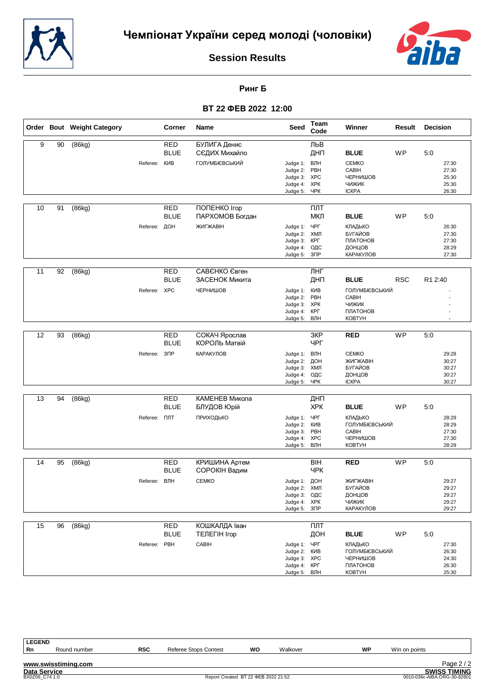



**Ринг Б**

# **ВТ 22 ФЕВ 2022 12:00**

| 9<br>90<br>(86kg)<br><b>RED</b><br>БУЛИГА Денис<br>ЛЬВ<br><b>BLUE</b><br>ДНП<br>WP<br>СЄДИХ Михайло<br><b>BLUE</b><br>5:0<br><b>ГОЛУМБІЄВСЬКИЙ</b><br>КИВ<br>ВЛН<br><b>CEMKO</b><br>27:30<br>Referee:<br>Judge 1:<br>PBH<br>CABIH<br>Judge 2:<br>27:30<br>Judge 3: XPC<br>ЧЕРНИШОВ<br>25:30<br><b>XPK</b><br><b>ЧИЖИК</b><br>25:30<br>Judge 4:<br>ЧРК<br><b>ICKPA</b><br>26:30<br>Judge 5:<br><b>RED</b><br>10<br>91<br>(86kg)<br>ПОПЕНКО Iгор<br>ПЛТ<br><b>BLUE</b><br>МКЛ<br>WP<br>ПАРХОМОВ Богдан<br><b>BLUE</b><br>5:0<br>Referee: ДОН<br>ЖИГЖАВІН<br>ЧРГ<br>КЛАДЬКО<br>Judge 1:<br>26:30<br>ХМЛ<br>Judge 2:<br>БУГАЙОВ<br>27:30<br>КРГ<br>ПЛАТОНОВ<br>27:30<br>Judge 3:<br>Judge 4:<br>ОДС<br>ДОНЦОВ<br>28:29<br>Judge 5:<br>$3\Box P$<br>КАРАКУЛОВ<br>27:30<br>11<br>92<br>(86kg)<br><b>RED</b><br>САВЄНКО Євген<br>ЛНГ<br><b>BLUE</b><br><b>RSC</b><br>ЗАСЕНОК Микита<br>ДНП<br>R1 2:40<br><b>BLUE</b><br>Referee: XPC<br>ЧЕРНИШОВ<br>КИВ<br>ГОЛУМБІЄВСЬКИЙ<br>Judge 1:<br>Judge 2: PBH<br>CABIH<br><b>XPK</b><br><b>ЧИЖИК</b><br>Judge 3:<br>Judge 4: KPF<br>ПЛАТОНОВ<br>Judge 5:<br>ВЛН<br><b>KOBTYH</b><br><b>WP</b><br>12<br>(86kg)<br><b>RED</b><br>СОКАЧ Ярослав<br>3KP<br>93<br><b>RED</b><br>5:0<br><b>BLUE</b><br>КОРОЛЬ Матвій<br><b>YPF</b><br>3 <sup>7</sup><br><b>КАРАКУЛОВ</b><br>Judge 1: ВЛН<br><b>CEMKO</b><br>Referee:<br>29:28<br>ЖИГЖАВІН<br>ДОН<br>Judge 2:<br>30:27<br>ХМЛ<br>БУГАЙОВ<br>30:27<br>Judge 3:<br>ОДС<br>ДОНЦОВ<br>30:27<br>Judge 4:<br>ЧРК<br><b>ICKPA</b><br>30:27<br>Judge 5:<br>(86kg)<br><b>RED</b><br>КАМЕНЕВ Микола<br>13<br>94<br>ДНП<br><b>BLUE</b><br><b>XPK</b><br><b>BLUE</b><br>WP<br>5:0<br>БЛУДОВ Юрій<br>ЧРГ<br>Referee: <b>NNT</b><br>ПРИХОДЬКО<br>КЛАДЬКО<br>28:29<br>Judge 1:<br><b>KNB</b><br>ГОЛУМБІЄВСЬКИЙ<br>Judge 2:<br>28:29<br>Judge 3: PBH<br>CABIH<br>27:30<br><b>XPC</b><br>ЧЕРНИШОВ<br>Judge 4:<br>27:30<br><b>КОВТУН</b><br>Judge 5: ВЛН<br>28:29<br><b>WP</b><br>(86kg)<br><b>RED</b><br>КРИШИНА Артем<br><b>BIH</b><br><b>RED</b><br>5:0<br>14<br>95<br><b>BLUE</b><br>СОРОКІН Вадим<br><b>YPK</b><br>ВЛН<br><b>CEMKO</b><br>ДОН<br>ЖИГЖАВІН<br>Referee:<br>Judge 1:<br>29:27<br><b>БУГАЙОВ</b><br>29:27<br>Judge 2: ХМЛ<br>Judge 3: ОДС<br>ДОНЦОВ<br>29:27<br>Judge 4: XPK<br>чижик<br>29:27<br>Judge 5: 3NP<br>КАРАКУЛОВ<br>29:27<br><b>RED</b><br><b>КОШКАЛДА Іван</b><br>$\overline{nnT}$<br>15<br>96<br>(86kg)<br><b>BLUE</b><br><b>ТЕЛЕГІН Ігор</b><br>ДОН<br><b>BLUE</b><br>WP<br>5:0<br>Referee: PBH<br>CABIH<br>ЧРГ<br>Judge 1:<br>КЛАДЬКО<br>27:30<br>Judge 2: KIAB<br><b>ГОЛУМБІЄВСЬКИЙ</b><br>26:30<br>Judge 3: XPC<br>ЧЕРНИШОВ<br>24:30<br>Judge 4: KPL<br>ПЛАТОНОВ<br>26:30<br><b>KOBTYH</b><br>25:30<br>Judge 5: ВЛН |  | Order Bout Weight Category | Corner | Name | Seed | Team<br>Code | Winner | Result | <b>Decision</b> |
|---------------------------------------------------------------------------------------------------------------------------------------------------------------------------------------------------------------------------------------------------------------------------------------------------------------------------------------------------------------------------------------------------------------------------------------------------------------------------------------------------------------------------------------------------------------------------------------------------------------------------------------------------------------------------------------------------------------------------------------------------------------------------------------------------------------------------------------------------------------------------------------------------------------------------------------------------------------------------------------------------------------------------------------------------------------------------------------------------------------------------------------------------------------------------------------------------------------------------------------------------------------------------------------------------------------------------------------------------------------------------------------------------------------------------------------------------------------------------------------------------------------------------------------------------------------------------------------------------------------------------------------------------------------------------------------------------------------------------------------------------------------------------------------------------------------------------------------------------------------------------------------------------------------------------------------------------------------------------------------------------------------------------------------------------------------------------------------------------------------------------------------------------------------------------------------------------------------------------------------------------------------------------------------------------------------------------------------------------------------------------------------------------------------------------------------------------------------------------------------------------------------------------------------------------------------------------------------------------------------------------------------------------------------------------------------------------------------|--|----------------------------|--------|------|------|--------------|--------|--------|-----------------|
|                                                                                                                                                                                                                                                                                                                                                                                                                                                                                                                                                                                                                                                                                                                                                                                                                                                                                                                                                                                                                                                                                                                                                                                                                                                                                                                                                                                                                                                                                                                                                                                                                                                                                                                                                                                                                                                                                                                                                                                                                                                                                                                                                                                                                                                                                                                                                                                                                                                                                                                                                                                                                                                                                                               |  |                            |        |      |      |              |        |        |                 |
|                                                                                                                                                                                                                                                                                                                                                                                                                                                                                                                                                                                                                                                                                                                                                                                                                                                                                                                                                                                                                                                                                                                                                                                                                                                                                                                                                                                                                                                                                                                                                                                                                                                                                                                                                                                                                                                                                                                                                                                                                                                                                                                                                                                                                                                                                                                                                                                                                                                                                                                                                                                                                                                                                                               |  |                            |        |      |      |              |        |        |                 |
|                                                                                                                                                                                                                                                                                                                                                                                                                                                                                                                                                                                                                                                                                                                                                                                                                                                                                                                                                                                                                                                                                                                                                                                                                                                                                                                                                                                                                                                                                                                                                                                                                                                                                                                                                                                                                                                                                                                                                                                                                                                                                                                                                                                                                                                                                                                                                                                                                                                                                                                                                                                                                                                                                                               |  |                            |        |      |      |              |        |        |                 |
|                                                                                                                                                                                                                                                                                                                                                                                                                                                                                                                                                                                                                                                                                                                                                                                                                                                                                                                                                                                                                                                                                                                                                                                                                                                                                                                                                                                                                                                                                                                                                                                                                                                                                                                                                                                                                                                                                                                                                                                                                                                                                                                                                                                                                                                                                                                                                                                                                                                                                                                                                                                                                                                                                                               |  |                            |        |      |      |              |        |        |                 |
|                                                                                                                                                                                                                                                                                                                                                                                                                                                                                                                                                                                                                                                                                                                                                                                                                                                                                                                                                                                                                                                                                                                                                                                                                                                                                                                                                                                                                                                                                                                                                                                                                                                                                                                                                                                                                                                                                                                                                                                                                                                                                                                                                                                                                                                                                                                                                                                                                                                                                                                                                                                                                                                                                                               |  |                            |        |      |      |              |        |        |                 |
|                                                                                                                                                                                                                                                                                                                                                                                                                                                                                                                                                                                                                                                                                                                                                                                                                                                                                                                                                                                                                                                                                                                                                                                                                                                                                                                                                                                                                                                                                                                                                                                                                                                                                                                                                                                                                                                                                                                                                                                                                                                                                                                                                                                                                                                                                                                                                                                                                                                                                                                                                                                                                                                                                                               |  |                            |        |      |      |              |        |        |                 |
|                                                                                                                                                                                                                                                                                                                                                                                                                                                                                                                                                                                                                                                                                                                                                                                                                                                                                                                                                                                                                                                                                                                                                                                                                                                                                                                                                                                                                                                                                                                                                                                                                                                                                                                                                                                                                                                                                                                                                                                                                                                                                                                                                                                                                                                                                                                                                                                                                                                                                                                                                                                                                                                                                                               |  |                            |        |      |      |              |        |        |                 |
|                                                                                                                                                                                                                                                                                                                                                                                                                                                                                                                                                                                                                                                                                                                                                                                                                                                                                                                                                                                                                                                                                                                                                                                                                                                                                                                                                                                                                                                                                                                                                                                                                                                                                                                                                                                                                                                                                                                                                                                                                                                                                                                                                                                                                                                                                                                                                                                                                                                                                                                                                                                                                                                                                                               |  |                            |        |      |      |              |        |        |                 |
|                                                                                                                                                                                                                                                                                                                                                                                                                                                                                                                                                                                                                                                                                                                                                                                                                                                                                                                                                                                                                                                                                                                                                                                                                                                                                                                                                                                                                                                                                                                                                                                                                                                                                                                                                                                                                                                                                                                                                                                                                                                                                                                                                                                                                                                                                                                                                                                                                                                                                                                                                                                                                                                                                                               |  |                            |        |      |      |              |        |        |                 |
|                                                                                                                                                                                                                                                                                                                                                                                                                                                                                                                                                                                                                                                                                                                                                                                                                                                                                                                                                                                                                                                                                                                                                                                                                                                                                                                                                                                                                                                                                                                                                                                                                                                                                                                                                                                                                                                                                                                                                                                                                                                                                                                                                                                                                                                                                                                                                                                                                                                                                                                                                                                                                                                                                                               |  |                            |        |      |      |              |        |        |                 |
|                                                                                                                                                                                                                                                                                                                                                                                                                                                                                                                                                                                                                                                                                                                                                                                                                                                                                                                                                                                                                                                                                                                                                                                                                                                                                                                                                                                                                                                                                                                                                                                                                                                                                                                                                                                                                                                                                                                                                                                                                                                                                                                                                                                                                                                                                                                                                                                                                                                                                                                                                                                                                                                                                                               |  |                            |        |      |      |              |        |        |                 |
|                                                                                                                                                                                                                                                                                                                                                                                                                                                                                                                                                                                                                                                                                                                                                                                                                                                                                                                                                                                                                                                                                                                                                                                                                                                                                                                                                                                                                                                                                                                                                                                                                                                                                                                                                                                                                                                                                                                                                                                                                                                                                                                                                                                                                                                                                                                                                                                                                                                                                                                                                                                                                                                                                                               |  |                            |        |      |      |              |        |        |                 |
|                                                                                                                                                                                                                                                                                                                                                                                                                                                                                                                                                                                                                                                                                                                                                                                                                                                                                                                                                                                                                                                                                                                                                                                                                                                                                                                                                                                                                                                                                                                                                                                                                                                                                                                                                                                                                                                                                                                                                                                                                                                                                                                                                                                                                                                                                                                                                                                                                                                                                                                                                                                                                                                                                                               |  |                            |        |      |      |              |        |        |                 |
|                                                                                                                                                                                                                                                                                                                                                                                                                                                                                                                                                                                                                                                                                                                                                                                                                                                                                                                                                                                                                                                                                                                                                                                                                                                                                                                                                                                                                                                                                                                                                                                                                                                                                                                                                                                                                                                                                                                                                                                                                                                                                                                                                                                                                                                                                                                                                                                                                                                                                                                                                                                                                                                                                                               |  |                            |        |      |      |              |        |        |                 |
|                                                                                                                                                                                                                                                                                                                                                                                                                                                                                                                                                                                                                                                                                                                                                                                                                                                                                                                                                                                                                                                                                                                                                                                                                                                                                                                                                                                                                                                                                                                                                                                                                                                                                                                                                                                                                                                                                                                                                                                                                                                                                                                                                                                                                                                                                                                                                                                                                                                                                                                                                                                                                                                                                                               |  |                            |        |      |      |              |        |        |                 |
|                                                                                                                                                                                                                                                                                                                                                                                                                                                                                                                                                                                                                                                                                                                                                                                                                                                                                                                                                                                                                                                                                                                                                                                                                                                                                                                                                                                                                                                                                                                                                                                                                                                                                                                                                                                                                                                                                                                                                                                                                                                                                                                                                                                                                                                                                                                                                                                                                                                                                                                                                                                                                                                                                                               |  |                            |        |      |      |              |        |        |                 |
|                                                                                                                                                                                                                                                                                                                                                                                                                                                                                                                                                                                                                                                                                                                                                                                                                                                                                                                                                                                                                                                                                                                                                                                                                                                                                                                                                                                                                                                                                                                                                                                                                                                                                                                                                                                                                                                                                                                                                                                                                                                                                                                                                                                                                                                                                                                                                                                                                                                                                                                                                                                                                                                                                                               |  |                            |        |      |      |              |        |        |                 |
|                                                                                                                                                                                                                                                                                                                                                                                                                                                                                                                                                                                                                                                                                                                                                                                                                                                                                                                                                                                                                                                                                                                                                                                                                                                                                                                                                                                                                                                                                                                                                                                                                                                                                                                                                                                                                                                                                                                                                                                                                                                                                                                                                                                                                                                                                                                                                                                                                                                                                                                                                                                                                                                                                                               |  |                            |        |      |      |              |        |        |                 |
|                                                                                                                                                                                                                                                                                                                                                                                                                                                                                                                                                                                                                                                                                                                                                                                                                                                                                                                                                                                                                                                                                                                                                                                                                                                                                                                                                                                                                                                                                                                                                                                                                                                                                                                                                                                                                                                                                                                                                                                                                                                                                                                                                                                                                                                                                                                                                                                                                                                                                                                                                                                                                                                                                                               |  |                            |        |      |      |              |        |        |                 |
|                                                                                                                                                                                                                                                                                                                                                                                                                                                                                                                                                                                                                                                                                                                                                                                                                                                                                                                                                                                                                                                                                                                                                                                                                                                                                                                                                                                                                                                                                                                                                                                                                                                                                                                                                                                                                                                                                                                                                                                                                                                                                                                                                                                                                                                                                                                                                                                                                                                                                                                                                                                                                                                                                                               |  |                            |        |      |      |              |        |        |                 |
|                                                                                                                                                                                                                                                                                                                                                                                                                                                                                                                                                                                                                                                                                                                                                                                                                                                                                                                                                                                                                                                                                                                                                                                                                                                                                                                                                                                                                                                                                                                                                                                                                                                                                                                                                                                                                                                                                                                                                                                                                                                                                                                                                                                                                                                                                                                                                                                                                                                                                                                                                                                                                                                                                                               |  |                            |        |      |      |              |        |        |                 |
|                                                                                                                                                                                                                                                                                                                                                                                                                                                                                                                                                                                                                                                                                                                                                                                                                                                                                                                                                                                                                                                                                                                                                                                                                                                                                                                                                                                                                                                                                                                                                                                                                                                                                                                                                                                                                                                                                                                                                                                                                                                                                                                                                                                                                                                                                                                                                                                                                                                                                                                                                                                                                                                                                                               |  |                            |        |      |      |              |        |        |                 |
|                                                                                                                                                                                                                                                                                                                                                                                                                                                                                                                                                                                                                                                                                                                                                                                                                                                                                                                                                                                                                                                                                                                                                                                                                                                                                                                                                                                                                                                                                                                                                                                                                                                                                                                                                                                                                                                                                                                                                                                                                                                                                                                                                                                                                                                                                                                                                                                                                                                                                                                                                                                                                                                                                                               |  |                            |        |      |      |              |        |        |                 |
|                                                                                                                                                                                                                                                                                                                                                                                                                                                                                                                                                                                                                                                                                                                                                                                                                                                                                                                                                                                                                                                                                                                                                                                                                                                                                                                                                                                                                                                                                                                                                                                                                                                                                                                                                                                                                                                                                                                                                                                                                                                                                                                                                                                                                                                                                                                                                                                                                                                                                                                                                                                                                                                                                                               |  |                            |        |      |      |              |        |        |                 |
|                                                                                                                                                                                                                                                                                                                                                                                                                                                                                                                                                                                                                                                                                                                                                                                                                                                                                                                                                                                                                                                                                                                                                                                                                                                                                                                                                                                                                                                                                                                                                                                                                                                                                                                                                                                                                                                                                                                                                                                                                                                                                                                                                                                                                                                                                                                                                                                                                                                                                                                                                                                                                                                                                                               |  |                            |        |      |      |              |        |        |                 |
|                                                                                                                                                                                                                                                                                                                                                                                                                                                                                                                                                                                                                                                                                                                                                                                                                                                                                                                                                                                                                                                                                                                                                                                                                                                                                                                                                                                                                                                                                                                                                                                                                                                                                                                                                                                                                                                                                                                                                                                                                                                                                                                                                                                                                                                                                                                                                                                                                                                                                                                                                                                                                                                                                                               |  |                            |        |      |      |              |        |        |                 |
|                                                                                                                                                                                                                                                                                                                                                                                                                                                                                                                                                                                                                                                                                                                                                                                                                                                                                                                                                                                                                                                                                                                                                                                                                                                                                                                                                                                                                                                                                                                                                                                                                                                                                                                                                                                                                                                                                                                                                                                                                                                                                                                                                                                                                                                                                                                                                                                                                                                                                                                                                                                                                                                                                                               |  |                            |        |      |      |              |        |        |                 |
|                                                                                                                                                                                                                                                                                                                                                                                                                                                                                                                                                                                                                                                                                                                                                                                                                                                                                                                                                                                                                                                                                                                                                                                                                                                                                                                                                                                                                                                                                                                                                                                                                                                                                                                                                                                                                                                                                                                                                                                                                                                                                                                                                                                                                                                                                                                                                                                                                                                                                                                                                                                                                                                                                                               |  |                            |        |      |      |              |        |        |                 |
|                                                                                                                                                                                                                                                                                                                                                                                                                                                                                                                                                                                                                                                                                                                                                                                                                                                                                                                                                                                                                                                                                                                                                                                                                                                                                                                                                                                                                                                                                                                                                                                                                                                                                                                                                                                                                                                                                                                                                                                                                                                                                                                                                                                                                                                                                                                                                                                                                                                                                                                                                                                                                                                                                                               |  |                            |        |      |      |              |        |        |                 |
|                                                                                                                                                                                                                                                                                                                                                                                                                                                                                                                                                                                                                                                                                                                                                                                                                                                                                                                                                                                                                                                                                                                                                                                                                                                                                                                                                                                                                                                                                                                                                                                                                                                                                                                                                                                                                                                                                                                                                                                                                                                                                                                                                                                                                                                                                                                                                                                                                                                                                                                                                                                                                                                                                                               |  |                            |        |      |      |              |        |        |                 |
|                                                                                                                                                                                                                                                                                                                                                                                                                                                                                                                                                                                                                                                                                                                                                                                                                                                                                                                                                                                                                                                                                                                                                                                                                                                                                                                                                                                                                                                                                                                                                                                                                                                                                                                                                                                                                                                                                                                                                                                                                                                                                                                                                                                                                                                                                                                                                                                                                                                                                                                                                                                                                                                                                                               |  |                            |        |      |      |              |        |        |                 |
|                                                                                                                                                                                                                                                                                                                                                                                                                                                                                                                                                                                                                                                                                                                                                                                                                                                                                                                                                                                                                                                                                                                                                                                                                                                                                                                                                                                                                                                                                                                                                                                                                                                                                                                                                                                                                                                                                                                                                                                                                                                                                                                                                                                                                                                                                                                                                                                                                                                                                                                                                                                                                                                                                                               |  |                            |        |      |      |              |        |        |                 |
|                                                                                                                                                                                                                                                                                                                                                                                                                                                                                                                                                                                                                                                                                                                                                                                                                                                                                                                                                                                                                                                                                                                                                                                                                                                                                                                                                                                                                                                                                                                                                                                                                                                                                                                                                                                                                                                                                                                                                                                                                                                                                                                                                                                                                                                                                                                                                                                                                                                                                                                                                                                                                                                                                                               |  |                            |        |      |      |              |        |        |                 |
|                                                                                                                                                                                                                                                                                                                                                                                                                                                                                                                                                                                                                                                                                                                                                                                                                                                                                                                                                                                                                                                                                                                                                                                                                                                                                                                                                                                                                                                                                                                                                                                                                                                                                                                                                                                                                                                                                                                                                                                                                                                                                                                                                                                                                                                                                                                                                                                                                                                                                                                                                                                                                                                                                                               |  |                            |        |      |      |              |        |        |                 |
|                                                                                                                                                                                                                                                                                                                                                                                                                                                                                                                                                                                                                                                                                                                                                                                                                                                                                                                                                                                                                                                                                                                                                                                                                                                                                                                                                                                                                                                                                                                                                                                                                                                                                                                                                                                                                                                                                                                                                                                                                                                                                                                                                                                                                                                                                                                                                                                                                                                                                                                                                                                                                                                                                                               |  |                            |        |      |      |              |        |        |                 |
|                                                                                                                                                                                                                                                                                                                                                                                                                                                                                                                                                                                                                                                                                                                                                                                                                                                                                                                                                                                                                                                                                                                                                                                                                                                                                                                                                                                                                                                                                                                                                                                                                                                                                                                                                                                                                                                                                                                                                                                                                                                                                                                                                                                                                                                                                                                                                                                                                                                                                                                                                                                                                                                                                                               |  |                            |        |      |      |              |        |        |                 |
|                                                                                                                                                                                                                                                                                                                                                                                                                                                                                                                                                                                                                                                                                                                                                                                                                                                                                                                                                                                                                                                                                                                                                                                                                                                                                                                                                                                                                                                                                                                                                                                                                                                                                                                                                                                                                                                                                                                                                                                                                                                                                                                                                                                                                                                                                                                                                                                                                                                                                                                                                                                                                                                                                                               |  |                            |        |      |      |              |        |        |                 |
|                                                                                                                                                                                                                                                                                                                                                                                                                                                                                                                                                                                                                                                                                                                                                                                                                                                                                                                                                                                                                                                                                                                                                                                                                                                                                                                                                                                                                                                                                                                                                                                                                                                                                                                                                                                                                                                                                                                                                                                                                                                                                                                                                                                                                                                                                                                                                                                                                                                                                                                                                                                                                                                                                                               |  |                            |        |      |      |              |        |        |                 |
|                                                                                                                                                                                                                                                                                                                                                                                                                                                                                                                                                                                                                                                                                                                                                                                                                                                                                                                                                                                                                                                                                                                                                                                                                                                                                                                                                                                                                                                                                                                                                                                                                                                                                                                                                                                                                                                                                                                                                                                                                                                                                                                                                                                                                                                                                                                                                                                                                                                                                                                                                                                                                                                                                                               |  |                            |        |      |      |              |        |        |                 |
|                                                                                                                                                                                                                                                                                                                                                                                                                                                                                                                                                                                                                                                                                                                                                                                                                                                                                                                                                                                                                                                                                                                                                                                                                                                                                                                                                                                                                                                                                                                                                                                                                                                                                                                                                                                                                                                                                                                                                                                                                                                                                                                                                                                                                                                                                                                                                                                                                                                                                                                                                                                                                                                                                                               |  |                            |        |      |      |              |        |        |                 |
|                                                                                                                                                                                                                                                                                                                                                                                                                                                                                                                                                                                                                                                                                                                                                                                                                                                                                                                                                                                                                                                                                                                                                                                                                                                                                                                                                                                                                                                                                                                                                                                                                                                                                                                                                                                                                                                                                                                                                                                                                                                                                                                                                                                                                                                                                                                                                                                                                                                                                                                                                                                                                                                                                                               |  |                            |        |      |      |              |        |        |                 |
|                                                                                                                                                                                                                                                                                                                                                                                                                                                                                                                                                                                                                                                                                                                                                                                                                                                                                                                                                                                                                                                                                                                                                                                                                                                                                                                                                                                                                                                                                                                                                                                                                                                                                                                                                                                                                                                                                                                                                                                                                                                                                                                                                                                                                                                                                                                                                                                                                                                                                                                                                                                                                                                                                                               |  |                            |        |      |      |              |        |        |                 |
|                                                                                                                                                                                                                                                                                                                                                                                                                                                                                                                                                                                                                                                                                                                                                                                                                                                                                                                                                                                                                                                                                                                                                                                                                                                                                                                                                                                                                                                                                                                                                                                                                                                                                                                                                                                                                                                                                                                                                                                                                                                                                                                                                                                                                                                                                                                                                                                                                                                                                                                                                                                                                                                                                                               |  |                            |        |      |      |              |        |        |                 |
|                                                                                                                                                                                                                                                                                                                                                                                                                                                                                                                                                                                                                                                                                                                                                                                                                                                                                                                                                                                                                                                                                                                                                                                                                                                                                                                                                                                                                                                                                                                                                                                                                                                                                                                                                                                                                                                                                                                                                                                                                                                                                                                                                                                                                                                                                                                                                                                                                                                                                                                                                                                                                                                                                                               |  |                            |        |      |      |              |        |        |                 |
|                                                                                                                                                                                                                                                                                                                                                                                                                                                                                                                                                                                                                                                                                                                                                                                                                                                                                                                                                                                                                                                                                                                                                                                                                                                                                                                                                                                                                                                                                                                                                                                                                                                                                                                                                                                                                                                                                                                                                                                                                                                                                                                                                                                                                                                                                                                                                                                                                                                                                                                                                                                                                                                                                                               |  |                            |        |      |      |              |        |        |                 |
|                                                                                                                                                                                                                                                                                                                                                                                                                                                                                                                                                                                                                                                                                                                                                                                                                                                                                                                                                                                                                                                                                                                                                                                                                                                                                                                                                                                                                                                                                                                                                                                                                                                                                                                                                                                                                                                                                                                                                                                                                                                                                                                                                                                                                                                                                                                                                                                                                                                                                                                                                                                                                                                                                                               |  |                            |        |      |      |              |        |        |                 |
|                                                                                                                                                                                                                                                                                                                                                                                                                                                                                                                                                                                                                                                                                                                                                                                                                                                                                                                                                                                                                                                                                                                                                                                                                                                                                                                                                                                                                                                                                                                                                                                                                                                                                                                                                                                                                                                                                                                                                                                                                                                                                                                                                                                                                                                                                                                                                                                                                                                                                                                                                                                                                                                                                                               |  |                            |        |      |      |              |        |        |                 |
|                                                                                                                                                                                                                                                                                                                                                                                                                                                                                                                                                                                                                                                                                                                                                                                                                                                                                                                                                                                                                                                                                                                                                                                                                                                                                                                                                                                                                                                                                                                                                                                                                                                                                                                                                                                                                                                                                                                                                                                                                                                                                                                                                                                                                                                                                                                                                                                                                                                                                                                                                                                                                                                                                                               |  |                            |        |      |      |              |        |        |                 |
|                                                                                                                                                                                                                                                                                                                                                                                                                                                                                                                                                                                                                                                                                                                                                                                                                                                                                                                                                                                                                                                                                                                                                                                                                                                                                                                                                                                                                                                                                                                                                                                                                                                                                                                                                                                                                                                                                                                                                                                                                                                                                                                                                                                                                                                                                                                                                                                                                                                                                                                                                                                                                                                                                                               |  |                            |        |      |      |              |        |        |                 |
|                                                                                                                                                                                                                                                                                                                                                                                                                                                                                                                                                                                                                                                                                                                                                                                                                                                                                                                                                                                                                                                                                                                                                                                                                                                                                                                                                                                                                                                                                                                                                                                                                                                                                                                                                                                                                                                                                                                                                                                                                                                                                                                                                                                                                                                                                                                                                                                                                                                                                                                                                                                                                                                                                                               |  |                            |        |      |      |              |        |        |                 |

**LEGEND** Round number **RSC** Referee Stops Contest **WO** Walkover **WP** Win on points

Page 2 / 2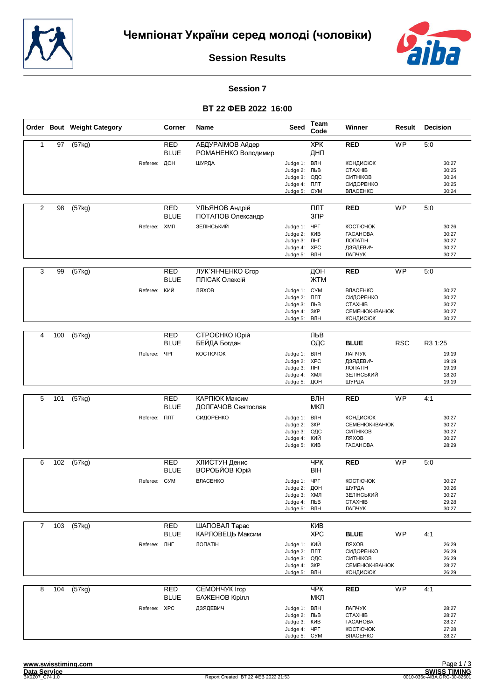



#### **Session 7**

|                |     | Order Bout Weight Category |                     | <b>Corner</b>             | Name                                    | Seed                                                                          | Team<br>Code                              | Winner                                                                                    | Result          | <b>Decision</b>                                  |
|----------------|-----|----------------------------|---------------------|---------------------------|-----------------------------------------|-------------------------------------------------------------------------------|-------------------------------------------|-------------------------------------------------------------------------------------------|-----------------|--------------------------------------------------|
| $\mathbf{1}$   | 97  | (57kg)                     |                     | <b>RED</b><br><b>BLUE</b> | АБДУРАІМОВ Айдер<br>РОМАНЕНКО Володимир |                                                                               | <b>XPK</b><br>ДНП                         | <b>RED</b>                                                                                | WP              | 5:0                                              |
|                |     |                            | Referee: ДОН        |                           | ШУРДА                                   | Judge 1: ВЛН<br>Judge 2:<br>Judge 3:<br>Judge 4:<br>Judge 5:                  | ЛЬВ<br>ОДС<br>ПЛТ<br><b>C<sub>N</sub></b> | <b>КОНДИСЮК</b><br><b>CTAXHIB</b><br>СИТНІКОВ<br>СИДОРЕНКО<br>ВЛАСЕНКО                    |                 | 30:27<br>30:25<br>30:24<br>30:25<br>30:24        |
| 2              | 98  | (57kg)                     |                     | RED<br><b>BLUE</b>        | УЛЬЯНОВ Андрій<br>ПОТАПОВ Олександр     |                                                                               | ПЛТ<br>3 <sup>7</sup>                     | <b>RED</b>                                                                                | WP              | 5:0                                              |
|                |     |                            | Referee: ХМЛ        |                           | ЗЕЛІНСЬКИЙ                              | Judge 1: YPF<br>Judge 2:<br>Judge 3: JHF<br>Judge 4:<br>Judge 5: ВЛН          | <b>KNB</b><br>XPC                         | <b>КОСТЮЧОК</b><br><b><i>TACAHOBA</i></b><br><b>ЛОПАТІН</b><br>ДЗЯДЕВИЧ<br>ЛАПЧУК         |                 | 30:26<br>30:27<br>30:27<br>30:27<br>30:27        |
| 3              | 99  | (57kg)                     |                     | <b>RED</b><br><b>BLUE</b> | ЛУК ЯНЧЕНКО Єгор<br>ПЛІСАК Олексій      |                                                                               | ДОН<br><b>ЖТМ</b>                         | <b>RED</b>                                                                                | $\overline{WP}$ | 5:0                                              |
|                |     |                            | Referee:            | КИЙ                       | ЛЯХОВ                                   | Judge 1: CYM<br>Judge 2: NJT<br>Judge 3:<br>Judge 4:<br>Judge 5:              | ЛЬВ<br>3KP<br>ВЛН                         | ВЛАСЕНКО<br>СИДОРЕНКО<br><b>CTAXHIB</b><br>CEMEHIOK-IBAHIOK<br><b>КОНДИСЮК</b>            |                 | 30:27<br>30:27<br>30:27<br>30:27<br>30:27        |
| 4              | 100 | (57kg)                     |                     | <b>RED</b><br><b>BLUE</b> | СТРОЄНКО Юрій<br>БЕЙДА Богдан           |                                                                               | ЛЬВ<br>ОДС                                | <b>BLUE</b>                                                                               | <b>RSC</b>      | R3 1:25                                          |
|                |     |                            | Referee:            | ЧРГ                       | КОСТЮЧОК                                | Judge 1: ВЛН<br>Judge 2: XPC<br>Judge 3: ЛНГ<br>Judge 4: ХМЛ<br>Judge 5:      | ДОН                                       | ЛАПЧУК<br>ДЗЯДЕВИЧ<br><b>ЛОПАТІН</b><br>ЗЕЛІНСЬКИЙ<br>ШУРДА                               |                 | 19:19<br>19:19<br>19:19<br>18:20<br>19:19        |
| 5              | 101 | (57kg)                     |                     | <b>RED</b>                | КАРПЮК Максим                           |                                                                               | ВЛН                                       | <b>RED</b>                                                                                | <b>WP</b>       | 4:1                                              |
|                |     |                            | Referee: <b>NNT</b> | <b>BLUE</b>               | ДОЛГАЧОВ Святослав<br>СИДОРЕНКО         | Judge 1: ВЛН<br>Judge 2:<br>Judge 3:<br>Judge 4:<br>Judge 5:                  | МКЛ<br>3KP<br>ОДС<br>кий<br>KNB           | <b>КОНДИСЮК</b><br><b>CEMEHIOK-IBAHIOK</b><br>СИТНІКОВ<br>ЛЯХОВ<br><b><i>TACAHOBA</i></b> |                 | 30:27<br>30:27<br>30:27<br>30:27<br>28:29        |
| 6              | 102 | (57kg)                     |                     | RED                       | ХЛИСТУН Денис                           |                                                                               | <b>YPK</b>                                | <b>RED</b>                                                                                | <b>WP</b>       | 5:0                                              |
|                |     |                            | Referee: CYM        | <b>BLUE</b>               | <b>ВОРОБЙОВ Юрій</b><br>ВЛАСЕНКО        | Judge 1: ЧРГ<br>Judge 2: ДОН<br>Judge 3: ХМЛ<br>Judge 4: ЛЬВ<br>Judge 5: ВЛН  | <b>BIH</b>                                | <b>КОСТЮЧОК</b><br>ШУРДА<br>ЗЕЛІНСЬКИЙ<br><b>CTAXHIB</b><br>ЛАПЧУК                        |                 | 30:27<br>30:26<br>30:27<br>29:28<br>30:27        |
| $\overline{7}$ | 103 | (57kg)                     |                     | <b>RED</b>                | ШАПОВАЛ Тарас                           |                                                                               | <b>KNB</b>                                |                                                                                           |                 |                                                  |
|                |     |                            | Referee: ЛНГ        | <b>BLUE</b>               | КАРЛОВЕЦЬ Максим<br>ЛОПАТІН             | Judge 1: КИЙ<br>Judge 2:<br>Judge 3:<br>Judge 4:<br>Judge 5:                  | <b>XPC</b><br>ПЛТ<br>ОДС<br>3KP<br>ВЛН    | <b>BLUE</b><br>ЛЯХОВ<br>СИДОРЕНКО<br>СИТНІКОВ<br>CEMEHIOK-IBAHIOK<br><b>КОНДИСЮК</b>      | WP              | 4:1<br>26:29<br>26:29<br>26:29<br>28:27<br>26:29 |
| 8              | 104 | (57kg)                     |                     | <b>RED</b><br><b>BLUE</b> | CEMOHYYK Irop<br>БАЖЕНОВ Кірілл         |                                                                               | <b>YPK</b><br>МКЛ                         | <b>RED</b>                                                                                | WP              | 4:1                                              |
|                |     |                            | Referee: XPC        |                           | ДЗЯДЕВИЧ                                | Judge 1: ВЛН<br>Judge 2: ЛЬВ<br>Judge 3: KVIB<br>Judge 4: YPF<br>Judge 5: CYM |                                           | ЛАПЧУК<br><b>CTAXHIB</b><br><b><i>TACAHOBA</i></b><br><b>КОСТЮЧОК</b><br>ВЛАСЕНКО         |                 | 28:27<br>28:27<br>28:27<br>27:28<br>28:27        |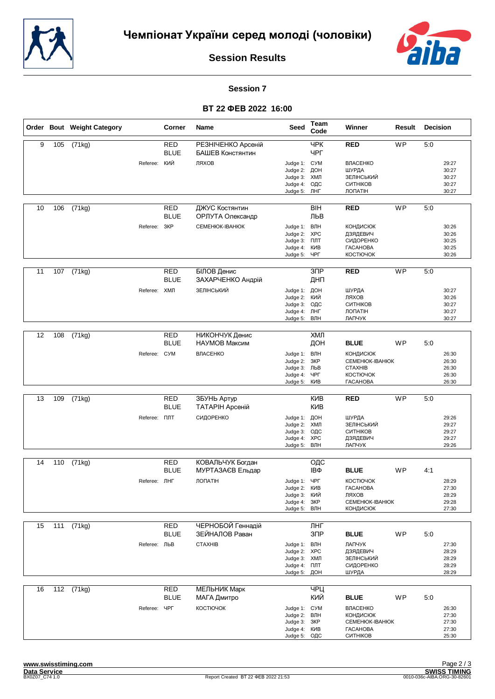



#### **Session 7**

|    |     | Order Bout Weight Category |                     | Corner                    | <b>Name</b>                            | <b>Seed</b>                                                                   | Team<br>Code           | Winner                                                                                                    | Result          | Decision                                         |  |
|----|-----|----------------------------|---------------------|---------------------------|----------------------------------------|-------------------------------------------------------------------------------|------------------------|-----------------------------------------------------------------------------------------------------------|-----------------|--------------------------------------------------|--|
| 9  | 105 | (71kg)                     |                     | <b>RED</b><br><b>BLUE</b> | РЕЗНІЧЕНКО Арсеній<br>БАШЕВ Констянтин |                                                                               | <b>YPK</b><br>ЧРГ      | <b>RED</b>                                                                                                | <b>WP</b>       | 5:0                                              |  |
|    |     |                            | Referee: КИЙ        |                           | ЛЯХОВ                                  | Judge 1: CYM<br>Judge 2: ДОН<br>Judge 3: ХМЛ<br>Judge 4:<br>Judge 5: ЛНГ      | ОДС                    | ВЛАСЕНКО<br>ШУРДА<br>ЗЕЛІНСЬКИЙ<br>СИТНІКОВ<br>ЛОПАТІН                                                    |                 | 29:27<br>30:27<br>30:27<br>30:27<br>30:27        |  |
| 10 | 106 | (71kg)                     |                     | RED<br><b>BLUE</b>        | ДЖУС Костянтин<br>ОРЛУТА Олександр     |                                                                               | <b>BIH</b><br>ЛЬВ      | <b>RED</b>                                                                                                | <b>WP</b>       | 5:0                                              |  |
|    |     |                            | Referee:            | ЗКР                       | CEMEHIOK-IBAHIOK                       | Judge 1: ВЛН<br>Judge 2: XPC<br>Judge 3: NJT<br>Judge 4: KVIB<br>Judge 5: ЧРГ |                        | <b>КОНДИСЮК</b><br>ДЗЯДЕВИЧ<br>СИДОРЕНКО<br><b><i>TACAHOBA</i></b><br>КОСТЮЧОК                            |                 | 30:26<br>30:26<br>30:25<br>30:25<br>30:26        |  |
| 11 | 107 | (71kg)                     |                     | <b>RED</b><br><b>BLUE</b> | БІЛОВ Денис<br>ЗАХАРЧЕНКО Андрій       |                                                                               | 3 <sub>DP</sub><br>ДНП | <b>RED</b>                                                                                                | $\overline{WP}$ | 5:0                                              |  |
|    |     |                            | Referee: ХМЛ        |                           | ЗЕЛІНСЬКИЙ                             | Judge 1: ДОН<br>Judge 2:<br>Judge 3: ОДС<br>Judge 4: ЛНГ<br>Judge 5:          | кий<br>ВЛН             | ШУРДА<br>ЛЯХОВ<br>СИТНІКОВ<br>ЛОПАТІН<br>ЛАПЧУК                                                           |                 | 30:27<br>30:26<br>30:27<br>30:27<br>30:27        |  |
| 12 | 108 | (71kg)                     |                     | <b>RED</b>                | НИКОНЧУК Денис                         |                                                                               | ХМЛ                    |                                                                                                           |                 |                                                  |  |
|    |     |                            |                     | <b>BLUE</b>               | НАУМОВ Максим                          |                                                                               | ДОН                    | <b>BLUE</b>                                                                                               | WP              | 5:0                                              |  |
|    |     |                            | Referee: CYM        |                           | ВЛАСЕНКО                               | Judge 1: ВЛН<br>Judge 2:<br>Judge 3: ЛЬВ<br>Judge 4: ЧРГ<br>Judge 5:          | 3KP<br>KNB             | <b>КОНДИСЮК</b><br><b>CEMEHIOK-IBAHIOK</b><br><b>CTAXHIB</b><br><b>КОСТЮЧОК</b><br><b><i>TACAHOBA</i></b> |                 | 26:30<br>26:30<br>26:30<br>26:30<br>26:30        |  |
| 13 | 109 | (71kg)                     |                     | <b>RED</b>                | ЗБУНЬ Артур                            |                                                                               | <b>KNB</b>             | <b>RED</b>                                                                                                | <b>WP</b>       | 5:0                                              |  |
|    |     |                            |                     | <b>BLUE</b>               | ТАТАРІН Арсеній                        |                                                                               | <b>KNB</b>             |                                                                                                           |                 |                                                  |  |
|    |     |                            | Referee: <b>NNT</b> |                           | СИДОРЕНКО                              | Judge 1: ДОН<br>Judge 2: ХМЛ<br>Judge 3:<br>Judge 4: XPC<br>Judge 5:          | ОДС<br>ВЛН             | ШУРДА<br>ЗЕЛІНСЬКИЙ<br>СИТНІКОВ<br>ДЗЯДЕВИЧ<br>ЛАПЧУК                                                     |                 | 29:26<br>29:27<br>29:27<br>29:27<br>29:26        |  |
| 14 | 110 | (71kg)                     |                     | RED                       | КОВАЛЬЧУК Богдан                       |                                                                               | ОДС                    |                                                                                                           |                 |                                                  |  |
|    |     |                            |                     | <b>BLUE</b>               | МУРТАЗАЄВ Ельдар                       |                                                                               | IΒΦ                    | <b>BLUE</b>                                                                                               | <b>WP</b>       | 4:1                                              |  |
|    |     |                            | Referee: ЛНГ        |                           | <b>ЛОПАТІН</b>                         | Judge 1: ЧРГ<br>Judge 2:<br>Judge 3: КИЙ<br>Judge 4: 3KP<br>Judge 5: ВЛН      | <b>KNB</b>             | КОСТЮЧОК<br><b><i>TACAHOBA</i></b><br>ЛЯХОВ<br>CEMEHIOK-IBAHIOK<br>КОНДИСЮК                               |                 | 28:29<br>27:30<br>28:29<br>29:28<br>27:30        |  |
| 15 |     | 111 (71kg)                 |                     | RED                       | ЧЕРНОБОЙ Геннадій                      |                                                                               | ЛНГ                    |                                                                                                           |                 |                                                  |  |
|    |     |                            |                     | <b>BLUE</b>               | ЗЕЙНАЛОВ Раван                         |                                                                               | $3$ $\Pi$ P            | <b>BLUE</b>                                                                                               | <b>WP</b>       | 5:0                                              |  |
|    |     |                            | Referee: ЛЬВ        |                           | <b>CTAXHIB</b>                         | Judge 1: ВЛН<br>Judge 2: XPC<br>Judge 3: ХМЛ<br>Judge 4: NTT<br>Judge 5: ДОН  |                        | ЛАПЧУК<br>ДЗЯДЕВИЧ<br>ЗЕЛІНСЬКИЙ<br>СИДОРЕНКО<br>ШУРДА                                                    |                 | 27:30<br>28:29<br>28:29<br>28:29<br>28:29        |  |
| 16 | 112 | (71kg)                     |                     | <b>RED</b>                | МЕЛЬНИК Марк                           |                                                                               | ЧРЦ                    |                                                                                                           |                 |                                                  |  |
|    |     |                            | Referee:            | <b>BLUE</b><br>ЧРГ        | МАГА Дмитро<br>КОСТЮЧОК                | Judge 1: CYM<br>Judge 2:<br>Judge 3: 3KP<br>Judge 4: KVIB<br>Judge 5: ОДС     | КИЙ<br>ВЛН             | <b>BLUE</b><br>ВЛАСЕНКО<br><b>КОНДИСЮК</b><br>CEMEHIOK-IBAHIOK<br><b><i>TACAHOBA</i></b><br>СИТНІКОВ      | WP              | 5:0<br>26:30<br>27:30<br>27:30<br>27:30<br>25:30 |  |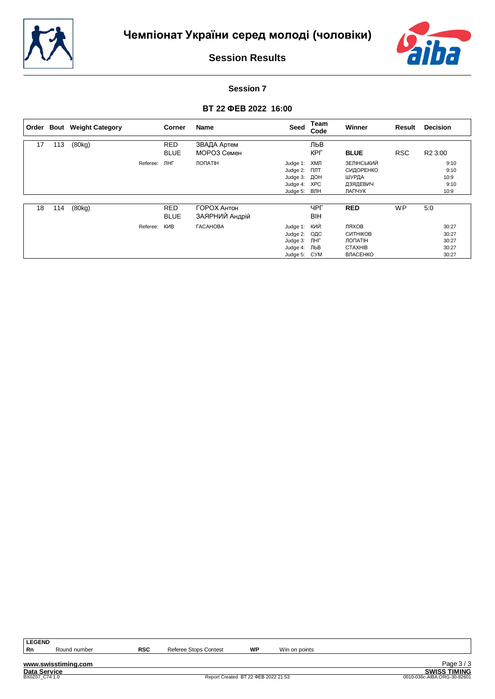



**Session 7**

# **ВТ 22 ФЕВ 2022 16:00**

| Order |     | <b>Bout</b> Weight Category |          | <b>Corner</b>             | Name                          | Seed                                                                     | Team<br>Code      | Winner                                                                   | Result     | <b>Decision</b>                           |
|-------|-----|-----------------------------|----------|---------------------------|-------------------------------|--------------------------------------------------------------------------|-------------------|--------------------------------------------------------------------------|------------|-------------------------------------------|
| 17    | 113 | (80kg)                      |          | <b>RED</b><br><b>BLUE</b> | ЗВАДА Артем<br>МОРОЗ Семен    |                                                                          | ЛЬВ<br><b>KPL</b> | <b>BLUE</b>                                                              | <b>RSC</b> | R <sub>2</sub> 3:00                       |
|       |     |                             | Referee: | ЛНГ                       | ЛОПАТІН                       | Judge 1: XMЛ<br>Judge 2:<br>Judge 3: ДОН<br>Judge 4: XPC<br>Judge 5: ВЛН | плт               | ЗЕЛІНСЬКИЙ<br>СИДОРЕНКО<br>ШУРДА<br>ДЗЯДЕВИЧ<br>ЛАПЧУК                   |            | 9:10<br>9:10<br>10:9<br>9:10<br>10:9      |
| 18    | 114 | (80kg)                      |          | <b>RED</b><br><b>BLUE</b> | ГОРОХ Антон<br>ЗАЯРНИЙ Андрій |                                                                          | ЧРГ<br><b>BIH</b> | <b>RED</b>                                                               | <b>WP</b>  | 5:0                                       |
|       |     |                             | Referee: | КИВ                       | <b><i>TACAHOBA</i></b>        | Judge 1: КИЙ<br>Judge 2:<br>Judge 3: ЛНГ<br>Judge 4: ЛЬВ<br>Judge 5: CYM | ОДС               | ЛЯХОВ<br><b>СИТНІКОВ</b><br>ЛОПАТІН<br><b>CTAXHIB</b><br><b>ВЛАСЕНКО</b> |            | 30:27<br>30:27<br>30:27<br>30:27<br>30:27 |

**LEGEND**

**www.swisstiming.com**

Round number **RSC** Referee Stops Contest **WP** Win on points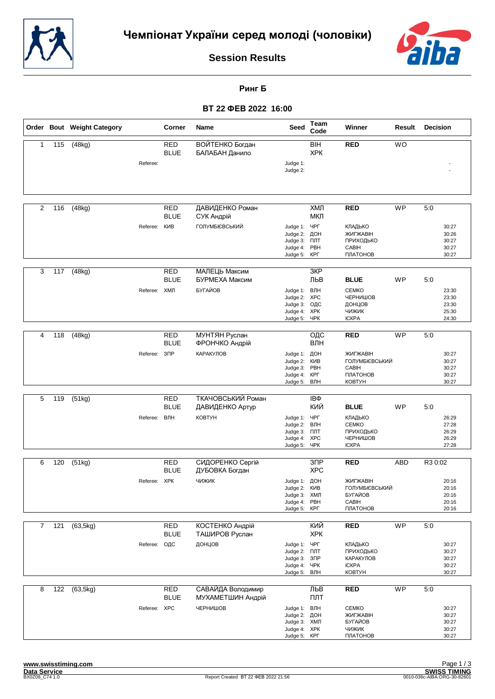



**Ринг Б**

|                |     | Order Bout Weight Category |              | Corner                    | Name                                   | <b>Seed</b>                                                                  | Team<br>Code                  | Winner                                                                  | Result     | Decision                                  |
|----------------|-----|----------------------------|--------------|---------------------------|----------------------------------------|------------------------------------------------------------------------------|-------------------------------|-------------------------------------------------------------------------|------------|-------------------------------------------|
| 1              | 115 | (48kg)                     |              | <b>RED</b><br><b>BLUE</b> | ВОЙТЕНКО Богдан<br>БАЛАБАН Данило      |                                                                              | <b>BIH</b><br><b>XPK</b>      | <b>RED</b>                                                              | <b>WO</b>  |                                           |
|                |     |                            | Referee:     |                           |                                        | Judge 1:<br>Judge 2:                                                         |                               |                                                                         |            |                                           |
| 2              | 116 | (48kg)                     |              | <b>RED</b><br><b>BLUE</b> | ДАВИДЕНКО Роман<br>СУК Андрій          |                                                                              | ХМЛ<br>МКЛ                    | <b>RED</b>                                                              | <b>WP</b>  | 5:0                                       |
|                |     |                            | Referee:     | КИВ                       | <b>ГОЛУМБІЄВСЬКИЙ</b>                  | Judge 1: YPF<br>Judge 2:<br>Judge 3: FIJIT<br>Judge 4:<br>Judge 5:           | ДОН<br>PBH<br>КРГ             | КЛАДЬКО<br>ЖИГЖАВІН<br>ПРИХОДЬКО<br>CABIH<br>ПЛАТОНОВ                   |            | 30:27<br>30:26<br>30:27<br>30:27<br>30:27 |
| 3              | 117 | (48kg)                     |              | <b>RED</b><br><b>BLUE</b> | МАЛЕЦЬ Максим<br>БУРМЕХА Максим        |                                                                              | 3KP<br>ЛЬВ                    | <b>BLUE</b>                                                             | WP         | 5:0                                       |
|                |     |                            | Referee: ХМЛ |                           | БУГАЙОВ                                | Judge 1:<br>Judge 2: XPC<br>Judge 3:<br>Judge 4: XPK<br>Judge 5:             | ВЛН<br>ОДС<br>ЧРК             | <b>CEMKO</b><br>ЧЕРНИШОВ<br>ДОНЦОВ<br>чижик<br><b>ICKPA</b>             |            | 23:30<br>23:30<br>23:30<br>25:30<br>24:30 |
| 4              | 118 |                            |              | <b>RED</b>                |                                        |                                                                              |                               | <b>RED</b>                                                              | WP         | 5:0                                       |
|                |     | (48kg)                     |              | <b>BLUE</b>               | МУНТЯН Руслан<br>ФРОНЧКО Андрій        |                                                                              | ОДС<br>ВЛН                    |                                                                         |            |                                           |
|                |     |                            | Referee:     | $3\Box P$                 | КАРАКУЛОВ                              | Judge 1: ДОН<br>Judge 2: KVIB<br>Judge 3:<br>Judge 4:<br>Judge 5:            | PBH<br>КРГ<br>ВЛН             | ЖИГЖАВІН<br>ГОЛУМБІЄВСЬКИЙ<br><b>CABIH</b><br>ПЛАТОНОВ<br><b>KOBTYH</b> |            | 30:27<br>30:27<br>30:27<br>30:27<br>30:27 |
|                |     |                            |              |                           |                                        |                                                                              |                               |                                                                         |            |                                           |
| 5              | 119 | (51kg)                     |              | RED<br><b>BLUE</b>        | ТКАЧОВСЬКИЙ Роман<br>ДАВИДЕНКО Артур   |                                                                              | IΒΦ<br>КИЙ                    | <b>BLUE</b>                                                             | WP         | 5:0                                       |
|                |     |                            | Referee:     | ВЛН                       | КОВТУН                                 | Judge 1: ЧРГ<br>Judge 2:<br>Judge 3: NTT<br>Judge 4: XPC<br>Judge 5: YPK     | ВЛН                           | КЛАДЬКО<br><b>CEMKO</b><br>ПРИХОДЬКО<br>ЧЕРНИШОВ<br><b>ICKPA</b>        |            | 26:29<br>27:28<br>26:29<br>26:29<br>27:28 |
| 6              | 120 | (51kg)                     |              | <b>RED</b><br><b>BLUE</b> | СИДОРЕНКО Сергій<br>ДУБОВКА Богдан     |                                                                              | 3 <sub>DP</sub><br><b>XPC</b> | <b>RED</b>                                                              | <b>ABD</b> | R3 0:02                                   |
|                |     |                            | Referee: XPK |                           | <b>ЧИЖИК</b>                           | Judge 1: ДОН<br>Judge 2: KVIB<br>Judge 3: ХМЛ<br>Judge 4: PBH<br>Judge 5:    | КРГ                           | ЖИГЖАВІН<br><b>ГОЛУМБІЄВСЬКИЙ</b><br>БУГАЙОВ<br>CABIH<br>ПЛАТОНОВ       |            | 20:16<br>20:16<br>20:16<br>20:16<br>20:16 |
| $\overline{7}$ | 121 | (63, 5kg)                  |              | <b>RED</b><br><b>BLUE</b> | КОСТЕНКО Андрій<br>ТАШИРОВ Руслан      |                                                                              | КИЙ<br><b>XPK</b>             | <b>RED</b>                                                              | <b>WP</b>  | 5:0                                       |
|                |     |                            | Referee: ОДС |                           | ДОНЦОВ                                 | Judge 1: ЧРГ<br>Judge 2: NTT<br>Judge 3:<br>Judge 4: YPK<br>Judge 5: ВЛН     | $3\Box P$                     | КЛАДЬКО<br>ПРИХОДЬКО<br>КАРАКУЛОВ<br><b>ICKPA</b><br>KOBTYH             |            | 30:27<br>30:27<br>30:27<br>30:27<br>30:27 |
| 8              | 122 | (63, 5kg)                  |              | <b>RED</b><br><b>BLUE</b> | САВАЙДА Володимир<br>МУХАМЕТШИН Андрій |                                                                              | ЛЬВ<br>ПЛТ                    | <b>RED</b>                                                              | WP         | 5:0                                       |
|                |     |                            | Referee: XPC |                           | ЧЕРНИШОВ                               | Judge 1: ВЛН<br>Judge 2: ДОН<br>Judge 3: ХМЛ<br>Judge 4: XPK<br>Judge 5: KPL |                               | <b>CEMKO</b><br>ЖИГЖАВІН<br>БУГАЙОВ<br>ЧИЖИК<br>ПЛАТОНОВ                |            | 30:27<br>30:27<br>30:27<br>30:27<br>30:27 |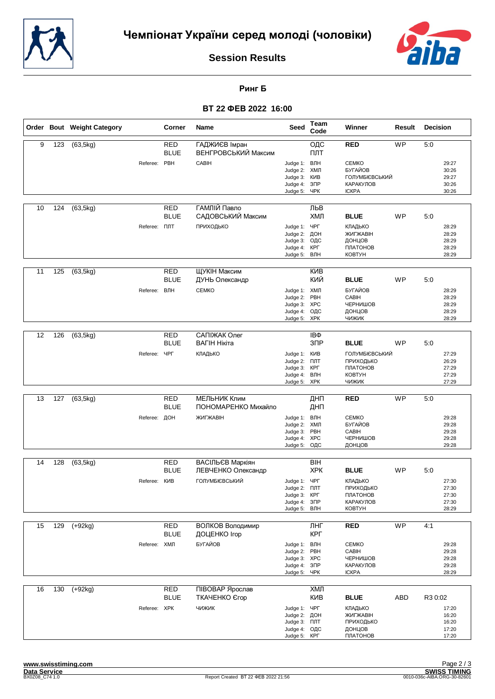



**Ринг Б**

|    |     | Order Bout Weight Category |                     | Corner                    | Name                                  | <b>Seed</b>                                                                  | Team<br>Code                            | Winner                                                                           | Result     | <b>Decision</b>                                  |
|----|-----|----------------------------|---------------------|---------------------------|---------------------------------------|------------------------------------------------------------------------------|-----------------------------------------|----------------------------------------------------------------------------------|------------|--------------------------------------------------|
| 9  | 123 | (63, 5kg)                  |                     | <b>RED</b><br><b>BLUE</b> | ГАДЖИЄВ Імран<br>ВЕНГРОВСЬКИЙ Максим  |                                                                              | ОДС<br>ПЛТ                              | <b>RED</b>                                                                       | <b>WP</b>  | 5:0                                              |
|    |     |                            | Referee: PBH        |                           | CABIH                                 | Judge 1:<br>Judge 2:<br>Judge 3:<br>Judge 4:<br>Judge 5:                     | ВЛН<br>ХМЛ<br>КИВ<br>$3$ $\Pi$ P<br>ЧРК | <b>CEMKO</b><br>БУГАЙОВ<br>ГОЛУМБІЄВСЬКИЙ<br>КАРАКУЛОВ<br><b>ICKPA</b>           |            | 29:27<br>30:26<br>29:27<br>30:26<br>30:26        |
| 10 | 124 | (63, 5kg)                  |                     | <b>RED</b><br><b>BLUE</b> | ГАМЛІЙ Павло<br>САДОВСЬКИЙ Максим     |                                                                              | ЛЬВ<br>ХМЛ                              | <b>BLUE</b>                                                                      | <b>WP</b>  | 5:0                                              |
|    |     |                            | Referee: <b>NNT</b> |                           | ПРИХОДЬКО                             | Judge 1: YPF<br>Judge 2:<br>Judge 3: ОДС<br>Judge 4:<br>Judge 5:             | ДОН<br>КРГ<br>ВЛН                       | КЛАДЬКО<br>ЖИГЖАВІН<br>ДОНЦОВ<br>ПЛАТОНОВ<br><b>KOBTYH</b>                       |            | 28:29<br>28:29<br>28:29<br>28:29<br>28:29        |
| 11 | 125 | (63, 5kg)                  |                     | <b>RED</b><br><b>BLUE</b> | <b>ЩУКІН Максим</b><br>ДУНЬ Олександр |                                                                              | <b>KNB</b><br>КИЙ                       | <b>BLUE</b>                                                                      | WP         | 5:0                                              |
|    |     |                            | Referee: ВЛН        |                           | <b>CEMKO</b>                          | Judge 1:<br>Judge 2:<br>Judge 3: XPC<br>Judge 4:<br>Judge 5: XPK             | ХМЛ<br>PBH<br>ОДС                       | БУГАЙОВ<br>CABIH<br>ЧЕРНИШОВ<br>ДОНЦОВ<br>чижик                                  |            | 28:29<br>28:29<br>28:29<br>28:29<br>28:29        |
| 12 | 126 | (63, 5kg)                  |                     | <b>RED</b>                | САПІЖАК Олег                          |                                                                              | IΒΦ                                     |                                                                                  |            |                                                  |
|    |     |                            | Referee:            | <b>BLUE</b><br><b>YPF</b> | ВАГІН Нікіта<br>КЛАДЬКО               | Judge 1: KVIB<br>Judge 2: FIJIT<br>Judge 3:<br>Judge 4: ВЛН<br>Judge 5:      | 3 <sub>DP</sub><br>КРГ<br><b>XPK</b>    | <b>BLUE</b><br>ГОЛУМБІЄВСЬКИЙ<br>ПРИХОДЬКО<br>ПЛАТОНОВ<br><b>KOBTYH</b><br>чижик | <b>WP</b>  | 5:0<br>27:29<br>26:29<br>27:29<br>27:29<br>27:29 |
|    |     |                            |                     |                           |                                       |                                                                              |                                         |                                                                                  |            |                                                  |
| 13 | 127 | (63, 5kg)                  |                     | <b>RED</b><br><b>BLUE</b> | МЕЛЬНИК Клим<br>ПОНОМАРЕНКО Михайло   |                                                                              | ДНП<br>ДНП                              | <b>RED</b>                                                                       | <b>WP</b>  | 5:0                                              |
|    |     |                            | Referee: ДОН        |                           | ЖИГЖАВІН                              | Judge 1: ВЛН<br>Judge 2:<br>Judge 3:<br>Judge 4: XPC<br>Judge 5:             | ХМЛ<br>PBH<br>ОДС                       | <b>CEMKO</b><br>БУГАЙОВ<br>CABIH<br>ЧЕРНИШОВ<br>ДОНЦОВ                           |            | 29:28<br>29:28<br>29:28<br>29:28<br>29:28        |
| 14 | 128 | (63, 5kg)                  |                     | <b>RED</b>                | ВАСІЛЬЄВ Маркіян                      |                                                                              | <b>BIH</b>                              |                                                                                  |            |                                                  |
|    |     |                            |                     | <b>BLUE</b>               | ЛЕВЧЕНКО Олександр                    |                                                                              | <b>XPK</b>                              | <b>BLUE</b>                                                                      | <b>WP</b>  | 5:0                                              |
|    |     |                            | Referee: KVIB       |                           | ГОЛУМБІЄВСЬКИЙ                        | Judge 1: ЧРГ<br>Judge 2: NJT<br>Judge 3: KPF<br>Judge 4: 3NP<br>Judge 5: ВЛН |                                         | КЛАДЬКО<br>ПРИХОДЬКО<br>ПЛАТОНОВ<br>КАРАКУЛОВ<br><b>KOBTYH</b>                   |            | 27:30<br>27:30<br>27:30<br>27:30<br>28:29        |
| 15 | 129 | $(+92kg)$                  |                     | <b>RED</b>                | ВОЛКОВ Володимир                      |                                                                              | ЛНГ                                     | <b>RED</b>                                                                       | <b>WP</b>  | 4:1                                              |
|    |     |                            | Referee: ХМЛ        | <b>BLUE</b>               | ДОЦЕНКО Ігор<br>БУГАЙОВ               | Judge 1: ВЛН                                                                 | КРГ                                     | <b>CEMKO</b>                                                                     |            | 29:28                                            |
|    |     |                            |                     |                           |                                       | Judge 2: PBH<br>Judge 3: XPC<br>Judge 4: 3NP<br>Judge 5:                     | ЧРК                                     | CABIH<br>ЧЕРНИШОВ<br>КАРАКУЛОВ<br><b>ICKPA</b>                                   |            | 29:28<br>29:28<br>29:28<br>28:29                 |
| 16 | 130 | $(+92kg)$                  |                     | <b>RED</b><br><b>BLUE</b> | ПІВОВАР Ярослав<br>ТКАЧЕНКО Єгор      |                                                                              | ХМЛ<br>КИВ                              | <b>BLUE</b>                                                                      | <b>ABD</b> | R3 0:02                                          |
|    |     |                            | Referee: XPK        |                           | ЧИЖИК                                 | Judge 1: ЧРГ<br>Judge 2: ДОН<br>Judge 3: NTT<br>Judge 4: ОДС<br>Judge 5:     | КРГ                                     | КЛАДЬКО<br>ЖИГЖАВІН<br>ПРИХОДЬКО<br>ДОНЦОВ<br>ПЛАТОНОВ                           |            | 17:20<br>16:20<br>16:20<br>17:20<br>17:20        |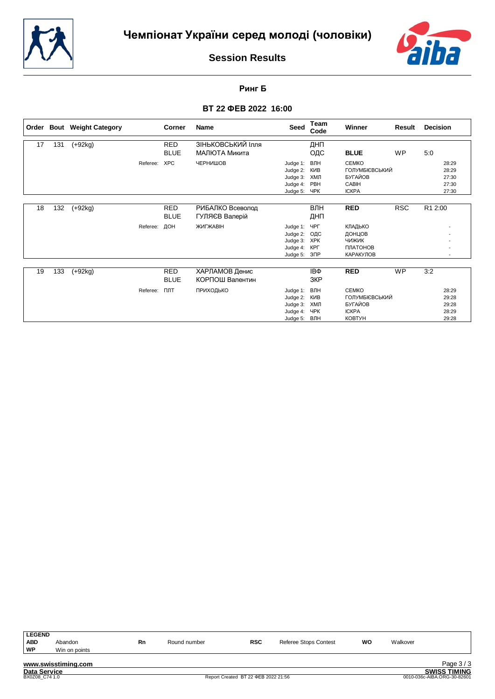



**Ринг Б**

|    |     | Order Bout Weight Category |          | Corner                    | <b>Name</b>                        | <b>Seed</b>                                              | Team<br>Code                                 | <b>Winner</b>                                                                     | Result     | <b>Decision</b>                           |
|----|-----|----------------------------|----------|---------------------------|------------------------------------|----------------------------------------------------------|----------------------------------------------|-----------------------------------------------------------------------------------|------------|-------------------------------------------|
| 17 | 131 | $(+92kg)$                  |          | <b>RED</b><br><b>BLUE</b> | ЗІНЬКОВСЬКИЙ Ілля<br>МАЛЮТА Микита |                                                          | ДНП<br>ОДС                                   | <b>BLUE</b>                                                                       | <b>WP</b>  | 5:0                                       |
|    |     |                            | Referee: | <b>XPC</b>                | ЧЕРНИШОВ                           | Judge 1:<br>Judge 2:<br>Judge 3:<br>Judge 4:<br>Judge 5: | ВЛН<br>КИВ<br>ХМЛ<br>PBH<br>ЧРК              | <b>CEMKO</b><br>ГОЛУМБІЄВСЬКИЙ<br><b>БУГАЙОВ</b><br>CABIH<br><b>ICKPA</b>         |            | 28:29<br>28:29<br>27:30<br>27:30<br>27:30 |
| 18 | 132 | $(+92kg)$                  |          | <b>RED</b><br><b>BLUE</b> | РИБАЛКО Всеволод<br>ГУЛЯЄВ Валерій |                                                          | ВЛН<br>ДНП                                   | <b>RED</b>                                                                        | <b>RSC</b> | R1 2:00                                   |
|    |     |                            | Referee: | ДОН                       | ЖИГЖАВІН                           | Judge 1:<br>Judge 2:<br>Judge 3:<br>Judge 4:<br>Judge 5: | ЧРГ<br>ОДС<br><b>XPK</b><br>КРГ<br>$3\Box P$ | КЛАДЬКО<br>ДОНЦОВ<br><b>ЧИЖИК</b><br>ПЛАТОНОВ<br>КАРАКУЛОВ                        |            |                                           |
| 19 | 133 | $(+92kg)$                  |          | <b>RED</b><br><b>BLUE</b> | ХАРЛАМОВ Денис<br>КОРПОШ Валентин  |                                                          | IΒΦ<br>3KP                                   | <b>RED</b>                                                                        | <b>WP</b>  | 3:2                                       |
|    |     |                            | Referee: | ПЛТ                       | ПРИХОДЬКО                          | Judge 1:<br>Judge 2:<br>Judge 3:<br>Judge 4:<br>Judge 5: | ВЛН<br>КИВ<br>ХМЛ<br>ЧPК<br>ВЛН              | <b>CEMKO</b><br>ГОЛУМБІЄВСЬКИЙ<br><b>БУГАЙОВ</b><br><b>ICKPA</b><br><b>KOBTYH</b> |            | 28:29<br>29:28<br>29:28<br>28:29<br>29:28 |

| <b>LEGEND</b> |                     |    |              |            |                              |    |          |          |
|---------------|---------------------|----|--------------|------------|------------------------------|----|----------|----------|
| <b>ABD</b>    | Abandon             | Rn | Round number | <b>RSC</b> | <b>Referee Stops Contest</b> | WO | Walkover |          |
| WP            | Win on points       |    |              |            |                              |    |          |          |
|               |                     |    |              |            |                              |    |          |          |
|               | www.swisstiming.com |    |              |            |                              |    |          | Page 3/3 |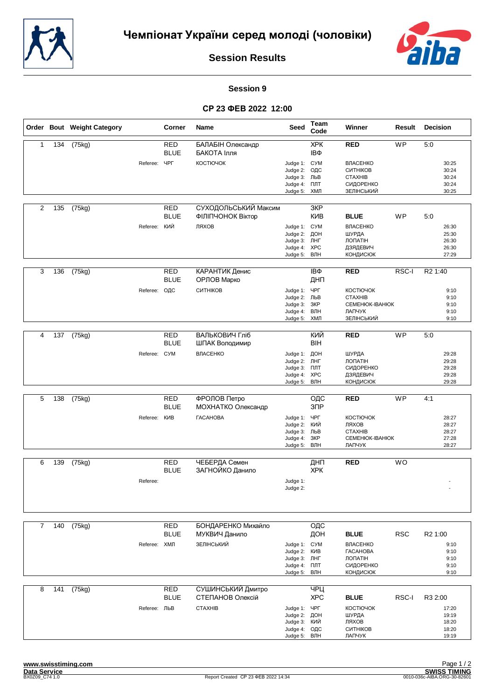



#### **Session 9**

|                |     | Order Bout Weight Category |              | Corner                    | Name                                      | <b>Seed</b>                                                                          | Team<br>Code      | Winner                                                                               | Result     | <b>Decision</b>                           |
|----------------|-----|----------------------------|--------------|---------------------------|-------------------------------------------|--------------------------------------------------------------------------------------|-------------------|--------------------------------------------------------------------------------------|------------|-------------------------------------------|
| 1              | 134 | (75kg)                     |              | <b>RED</b><br><b>BLUE</b> | БАЛАБІН Олександр<br>БАКОТА Ілля          |                                                                                      | <b>XPK</b><br>IΒΦ | <b>RED</b>                                                                           | <b>WP</b>  | 5:0                                       |
|                |     |                            | Referee:     | <b>YPF</b>                | КОСТЮЧОК                                  | Judge 1: CYM<br>Judge 2:<br>Judge 3:<br>Judge 4:<br>Judge 5: ХМЛ                     | ОДС<br>ЛЬВ<br>ПЛТ | <b>ВЛАСЕНКО</b><br>СИТНІКОВ<br><b>CTAXHIB</b><br>СИДОРЕНКО<br>ЗЕЛІНСЬКИЙ             |            | 30:25<br>30:24<br>30:24<br>30:24<br>30:25 |
| 2              | 135 | (75kg)                     |              | <b>RED</b><br><b>BLUE</b> | СУХОДОЛЬСЬКИЙ Максим<br>ФІЛІПЧОНОК Віктор |                                                                                      | 3KP<br>КИВ        | <b>BLUE</b>                                                                          | <b>WP</b>  | 5:0                                       |
|                |     |                            | Referee: КИЙ |                           | ЛЯХОВ                                     | Judge 1: CYM<br>Judge 2:<br>Judge 3: ЛНГ<br>Judge 4:<br>Judge 5: ВЛН                 | ДОН<br>XPC        | <b>ВЛАСЕНКО</b><br>ШУРДА<br>ЛОПАТІН<br>ДЗЯДЕВИЧ<br><b>КОНДИСЮК</b>                   |            | 26:30<br>25:30<br>26:30<br>26:30<br>27:29 |
| 3              | 136 | (75kg)                     |              | <b>RED</b><br><b>BLUE</b> | КАРАНТИК Денис<br>ОРЛОВ Марко             |                                                                                      | IΒΦ<br>ДНП        | <b>RED</b>                                                                           | RSC-I      | R <sub>2</sub> 1:40                       |
|                |     |                            | Referee:     | ОДС                       | СИТНІКОВ                                  | Judge 1:<br>Judge 2: ЛЬВ<br>Judge 3:<br>Judge 4: ВЛН<br>Judge 5: ХМЛ                 | ЧРГ<br>3KP        | КОСТЮЧОК<br><b>CTAXHIB</b><br>CEMEHIOK-IBAHIOK<br>ЛАПЧУК<br>ЗЕЛІНСЬКИЙ               |            | 9:10<br>9:10<br>9:10<br>9:10<br>9:10      |
|                |     |                            |              |                           |                                           |                                                                                      |                   |                                                                                      |            |                                           |
| 4              | 137 | (75kg)                     |              | <b>RED</b><br><b>BLUE</b> | ВАЛЬКОВИЧ Гліб<br>ШПАК Володимир          |                                                                                      | КИЙ<br><b>BIH</b> | <b>RED</b>                                                                           | <b>WP</b>  | 5:0                                       |
|                |     |                            | Referee: CYM |                           | ВЛАСЕНКО                                  | Judge 1: ДОН<br>Judge 2: ЛНГ<br>Judge 3:<br>Judge 4: XPC<br>Judge 5:                 | ПЛТ<br>ВЛН        | ШУРДА<br><b>ЛОПАТІН</b><br>СИДОРЕНКО<br>ДЗЯДЕВИЧ<br><b>КОНДИСЮК</b>                  |            | 29:28<br>29:28<br>29:28<br>29:28<br>29:28 |
| 5              | 138 | (75kg)                     |              | <b>RED</b>                | ФРОЛОВ Петро                              |                                                                                      | ОДС               | <b>RED</b>                                                                           | <b>WP</b>  | 4:1                                       |
|                |     |                            |              | <b>BLUE</b>               | МОХНАТКО Олександр                        |                                                                                      | 3 <sup>7</sup>    |                                                                                      |            |                                           |
|                |     |                            | Referee:     | КИВ                       | <b><i>TACAHOBA</i></b>                    | Judge 1:<br>Judge 2:<br>Judge 3: ЛЬВ<br>Judge 4:<br>Judge 5: ВЛН                     | ЧРГ<br>кий<br>3KP | КОСТЮЧОК<br>ЛЯХОВ<br><b>CTAXHIB</b><br><b>CEMEHIOK-IBAHIOK</b><br>ЛАПЧУК             |            | 28:27<br>28:27<br>28:27<br>27:28<br>28:27 |
| 6              | 139 | (75kg)                     |              | <b>RED</b>                | ЧЕБЕРДА Семен                             |                                                                                      | ДНП               | <b>RED</b>                                                                           | <b>WO</b>  |                                           |
|                |     |                            | Referee:     | <b>BLUE</b>               | ЗАГНОЙКО Данило                           | Judge 1:<br>Judge 2:                                                                 | <b>XPK</b>        |                                                                                      |            | $\overline{\phantom{a}}$                  |
|                |     |                            |              |                           |                                           |                                                                                      |                   |                                                                                      |            |                                           |
| $\overline{7}$ | 140 | (75kg)                     |              | <b>RED</b><br><b>BLUE</b> | БОНДАРЕНКО Михайло<br>МУКВИЧ Данило       |                                                                                      | ОДС<br>ДОН        | <b>BLUE</b>                                                                          | <b>RSC</b> | R <sub>2</sub> 1:00                       |
|                |     |                            | Referee: ХМЛ |                           | ЗЕЛІНСЬКИЙ                                | Judge 1: CYM<br>Judge 2: KVIB<br>Judge 3: ЛНГ<br>Judge 4: <b>NNT</b><br>Judge 5: ВЛН |                   | <b>ВЛАСЕНКО</b><br><b><i>TACAHOBA</i></b><br>ЛОПАТІН<br>СИДОРЕНКО<br><b>КОНДИСЮК</b> |            | 9:10<br>9:10<br>9:10<br>9:10<br>9:10      |
| 8              | 141 | (75kg)                     |              | RED<br><b>BLUE</b>        | СУШИНСЬКИЙ Дмитро<br>СТЕПАНОВ Олексій     |                                                                                      | ЧРЦ<br><b>XPC</b> | <b>BLUE</b>                                                                          | RSC-I      | R3 2:00                                   |
|                |     |                            | Referee: ЛЬВ |                           | <b>CTAXHIB</b>                            | Judge 1: YPF<br>Judge 2: ДОН<br>Judge 3: КИЙ<br>Judge 4: ОДС<br>Judge 5: ВЛН         |                   | КОСТЮЧОК<br>ШУРДА<br>ЛЯХОВ<br>СИТНІКОВ<br>ЛАПЧУК                                     |            | 17:20<br>19:19<br>18:20<br>18:20<br>19:19 |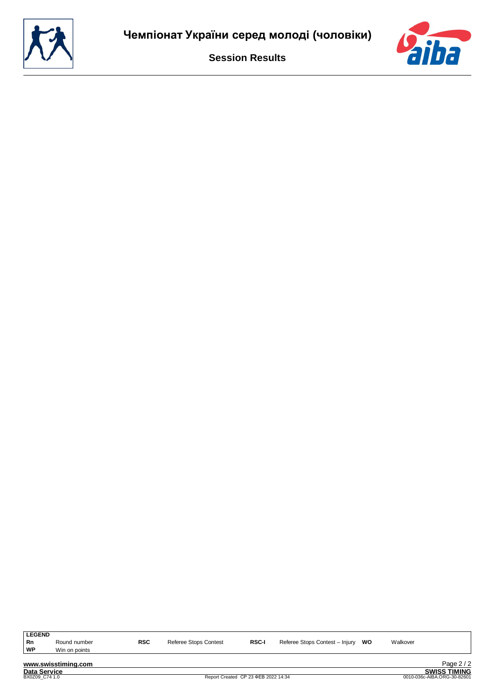

**LEGEND ROM ROUND RIGG REGALL REGALL REFERENT REFERENT REFERENT REFERENT REFERENT REFERENT REFERENT REFERENT REFERENT RI<br>
<b>RNP** Win on points

**Win on points** 

**www.swisstiming.com Data Service SWISS TIMING**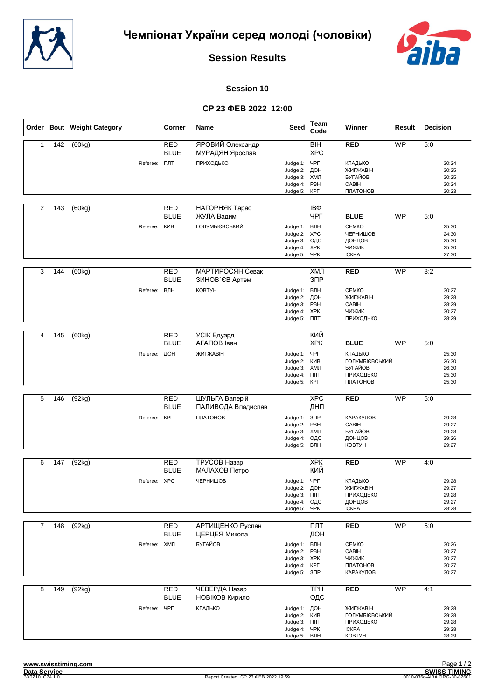



#### **Session 10**

|                |     | Order Bout Weight Category |                     | Corner                    | Name                                 | Seed                                                                          | Team<br>Code                    | Winner                                                            | Result    | <b>Decision</b>                           |
|----------------|-----|----------------------------|---------------------|---------------------------|--------------------------------------|-------------------------------------------------------------------------------|---------------------------------|-------------------------------------------------------------------|-----------|-------------------------------------------|
| $\mathbf{1}$   | 142 | (60kg)                     |                     | <b>RED</b><br><b>BLUE</b> | ЯРОВИЙ Олександр<br>МУРАДЯН Ярослав  |                                                                               | <b>BIH</b><br><b>XPC</b>        | <b>RED</b>                                                        | WP        | 5:0                                       |
|                |     |                            | Referee: <b>NNT</b> |                           | ПРИХОДЬКО                            | Judge 1: YPF<br>Judge 2:<br>Judge 3:<br>Judge 4:<br>Judge 5:                  | ДОН<br>ХМЛ<br>PBH<br>КРГ        | <b>КЛАДЬКО</b><br>ЖИГЖАВІН<br>БУГАЙОВ<br>CABIH<br>ПЛАТОНОВ        |           | 30:24<br>30:25<br>30:25<br>30:24<br>30:23 |
| 2              | 143 | (60kg)                     |                     | RED<br><b>BLUE</b>        | НАГОРНЯК Тарас<br>ЖУЛА Вадим         |                                                                               | IΒΦ<br>ЧРГ                      | <b>BLUE</b>                                                       | WP        | 5:0                                       |
|                |     |                            | Referee:            | КИВ                       | ГОЛУМБІЄВСЬКИЙ                       | Judge 1: ВЛН<br>Judge 2:<br>Judge 3:<br>Judge 4:<br>Judge 5: ЧРК              | <b>XPC</b><br>ОДС<br><b>XPK</b> | <b>CEMKO</b><br>ЧЕРНИШОВ<br>ДОНЦОВ<br>ЧИЖИК<br><b>ICKPA</b>       |           | 25:30<br>24:30<br>25:30<br>25:30<br>27:30 |
| 3              | 144 | (60kg)                     |                     | <b>RED</b><br><b>BLUE</b> | МАРТИРОСЯН Севак<br>ЗИНОВ`ЄВ Артем   |                                                                               | ХМЛ<br>3 <sub>DP</sub>          | <b>RED</b>                                                        | <b>WP</b> | 3:2                                       |
|                |     |                            | Referee:            | ВЛН                       | <b>KOBTYH</b>                        | Judge 1: ВЛН<br>Judge 2:<br>Judge 3:<br>Judge 4: XPK<br>Judge 5: NTT          | ДОН<br>PBH                      | <b>CEMKO</b><br>ЖИГЖАВІН<br>CABIH<br>ЧИЖИК<br>ПРИХОДЬКО           |           | 30:27<br>29:28<br>28:29<br>30:27<br>28:29 |
| 4              | 145 | (60kg)                     |                     | <b>RED</b>                | УСІК Едуард                          |                                                                               | КИЙ                             |                                                                   |           |                                           |
|                |     |                            |                     | <b>BLUE</b>               | АГАПОВ Іван                          |                                                                               | <b>XPK</b>                      | <b>BLUE</b>                                                       | WP        | 5:0                                       |
|                |     |                            | Referee: ДОН        |                           | ЖИГЖАВІН                             | Judge 1: ЧРГ<br>Judge 2:<br>Judge 3: ХМЛ<br>Judge 4: <b>NNT</b><br>Judge 5:   | КИВ<br>КРГ                      | КЛАДЬКО<br>ГОЛУМБІЄВСЬКИЙ<br>БУГАЙОВ<br>ПРИХОДЬКО<br>ПЛАТОНОВ     |           | 25:30<br>26:30<br>26:30<br>25:30<br>25:30 |
|                |     |                            |                     |                           |                                      |                                                                               |                                 |                                                                   |           |                                           |
| 5              | 146 | (92kg)                     |                     | <b>RED</b><br><b>BLUE</b> | ШУЛЬГА Валерій<br>ПАЛИВОДА Владислав |                                                                               | <b>XPC</b><br>ДНП               | <b>RED</b>                                                        | <b>WP</b> | 5:0                                       |
|                |     |                            | Referee:            | КРГ                       | ПЛАТОНОВ                             | Judge 1: 3NP<br>Judge 2: PBH<br>Judge 3:<br>Judge 4:<br>Judge 5:              | ХМЛ<br>ОДС<br>ВЛН               | КАРАКУЛОВ<br>CABIH<br>БУГАЙОВ<br>ДОНЦОВ<br><b>KOBTYH</b>          |           | 29:28<br>29:27<br>29:28<br>29:26<br>29:27 |
| 6              | 147 | (92kg)                     |                     | RED                       | TPYCOB Hasap                         |                                                                               | <b>XPK</b>                      | <b>RED</b>                                                        | <b>WP</b> | 4:0                                       |
|                |     |                            |                     | <b>BLUE</b>               | МАЛАХОВ Петро                        |                                                                               | КИЙ                             |                                                                   |           |                                           |
|                |     |                            | Referee: XPC        |                           | ЧЕРНИШОВ                             | Judge 1:<br>Judge 2: ДОН<br>Judge 3: NTT<br>Judge 4: ОДС<br>Judge 5: YPK      | ЧРГ                             | КЛАДЬКО<br>ЖИГЖАВІН<br>ПРИХОДЬКО<br>ДОНЦОВ<br><b>ICKPA</b>        |           | 29:28<br>29:27<br>29:28<br>29:27<br>28:28 |
| $\overline{7}$ | 148 | (92kg)                     |                     | <b>RED</b>                | <b>АРТИЩЕНКО Руслан</b>              |                                                                               | ПЛТ                             | <b>RED</b>                                                        | <b>WP</b> | 5:0                                       |
|                |     |                            |                     | <b>BLUE</b>               | ЦЕРЦЕЯ Микола                        |                                                                               | ДОН                             |                                                                   |           |                                           |
|                |     |                            | Referee:            | ХМЛ                       | БУГАЙОВ                              | Judge 1: ВЛН<br>Judge 2:<br>Judge 3: XPK<br>Judge 4: KPF<br>Judge 5: 3NP      | PBH                             | <b>CEMKO</b><br>CABIH<br>ЧИЖИК<br>ПЛАТОНОВ<br>КАРАКУЛОВ           |           | 30:26<br>30:27<br>30:27<br>30:27<br>30:27 |
| 8              | 149 | (92kg)                     |                     | <b>RED</b>                | ЧЕВЕРДА Назар                        |                                                                               | <b>TPH</b>                      | <b>RED</b>                                                        | WP        | 4:1                                       |
|                |     |                            | Referee:            | <b>BLUE</b><br>ЧРГ        | НОВІКОВ Кирило<br>КЛАДЬКО            | Judge 1: ДОН<br>Judge 2: KVIB<br>Judge 3: NTT<br>Judge 4: YPK<br>Judge 5: ВЛН | ОДС                             | ЖИГЖАВІН<br>ГОЛУМБІЄВСЬКИЙ<br>ПРИХОДЬКО<br><b>ICKPA</b><br>КОВТУН |           | 29:28<br>29:28<br>29:28<br>29:28<br>28:29 |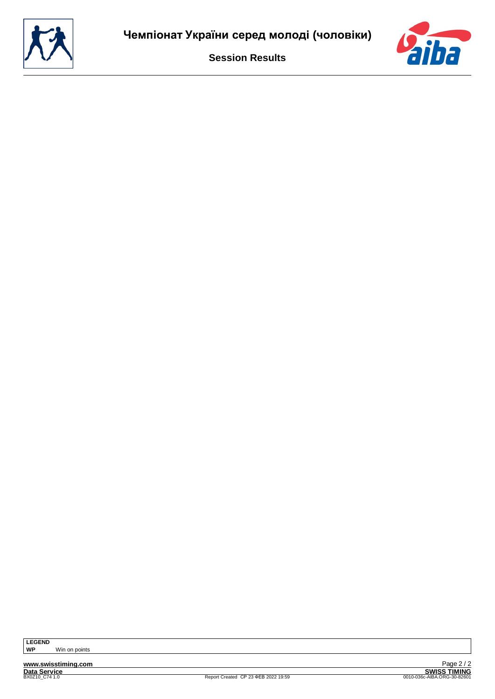

**Win on points**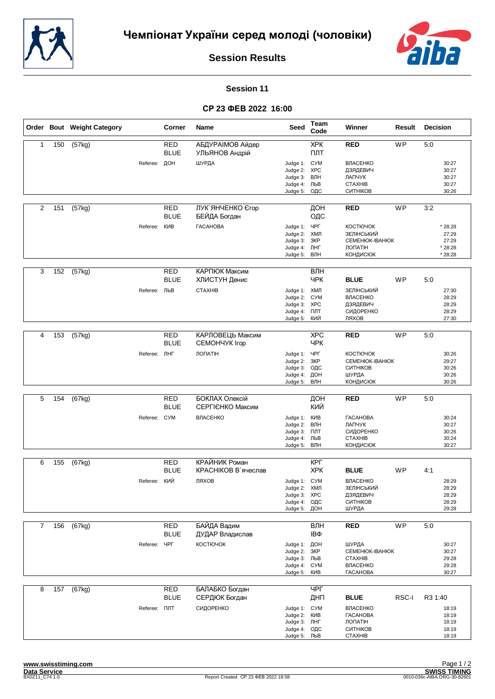



#### **Session 11**

|                |     | Order Bout Weight Category |                     | <b>Corner</b>             | Name                                      | Seed                                                                          | Team<br>Code                    | Winner                                                                                   | Result    | Decision                                        |
|----------------|-----|----------------------------|---------------------|---------------------------|-------------------------------------------|-------------------------------------------------------------------------------|---------------------------------|------------------------------------------------------------------------------------------|-----------|-------------------------------------------------|
| $\mathbf{1}$   | 150 | (57kg)                     |                     | <b>RED</b><br><b>BLUE</b> | <b>АБДУРАІМОВ Айдер</b><br>УЛЬЯНОВ Андрій |                                                                               | <b>XPK</b><br>ПЛТ               | <b>RED</b>                                                                               | <b>WP</b> | 5:0                                             |
|                |     |                            | Referee: ДОН        |                           | ШУРДА                                     | Judge 1: CYM<br>Judge 2: XPC<br>Judge 3:<br>Judge 4: ЛЬВ<br>Judge 5:          | ВЛН<br>ОДС                      | ВЛАСЕНКО<br>ДЗЯДЕВИЧ<br>ЛАПЧУК<br><b>CTAXHIB</b><br>СИТНІКОВ                             |           | 30:27<br>30:27<br>30:27<br>30:27<br>30:26       |
| 2              | 151 | (57kg)                     |                     | <b>RED</b><br><b>BLUE</b> | ЛУК ЯНЧЕНКО Єгор<br>БЕЙДА Богдан          |                                                                               | ДОН<br>ОДС                      | <b>RED</b>                                                                               | <b>WP</b> | 3:2                                             |
|                |     |                            | Referee:            | КИВ                       | <b><i>TACAHOBA</i></b>                    | Judge 1: ЧРГ<br>Judge 2: ХМЛ<br>Judge 3:<br>Judge 4: ЛНГ<br>Judge 5:          | ЗКР<br>ВЛН                      | <b>КОСТЮЧОК</b><br>ЗЕЛІНСЬКИЙ<br>CEMEHIOK-IBAHIOK<br>ЛОПАТІН<br><b>КОНДИСЮК</b>          |           | * 28:28<br>27:29<br>27:29<br>* 28:28<br>* 28:28 |
| 3              | 152 | (57kg)                     |                     | <b>RED</b><br><b>BLUE</b> | КАРПЮК Максим<br>ХЛИСТУН Денис            |                                                                               | $B\overline{J}$ H<br><b>YPK</b> | <b>BLUE</b>                                                                              | WP        | 5:0                                             |
|                |     |                            | Referee: ЛЬВ        |                           | <b>CTAXHIB</b>                            | Judge 1: ХМЛ<br>Judge 2: CYM<br>Judge 3: XPC<br>Judge 4: NTT<br>Judge 5:      | кий                             | ЗЕЛІНСЬКИЙ<br>ВЛАСЕНКО<br>ДЗЯДЕВИЧ<br>СИДОРЕНКО<br>ЛЯХОВ                                 |           | 27:30<br>28:29<br>28:29<br>28:29<br>27:30       |
|                |     |                            |                     |                           |                                           |                                                                               |                                 |                                                                                          |           |                                                 |
| 4              | 153 | (57kg)                     |                     | RED<br><b>BLUE</b>        | КАРЛОВЕЦЬ Максим<br>CEMOHYYK Irop         |                                                                               | <b>XPC</b><br><b>YPK</b>        | <b>RED</b>                                                                               | <b>WP</b> | 5:0                                             |
|                |     |                            | Referee: JIHF       |                           | ЛОПАТІН                                   | Judge 1: ЧРГ<br>Judge 2:<br>Judge 3:<br>Judge 4:<br>Judge 5:                  | 3KP<br>ОДС<br>ДОН<br>ВЛН        | <b>КОСТЮЧОК</b><br><b>CEMEHIOK-IBAHIOK</b><br>СИТНІКОВ<br>ШУРДА<br><b>КОНДИСЮК</b>       |           | 30:26<br>29:27<br>30:26<br>30:26<br>30:26       |
|                |     |                            |                     |                           |                                           |                                                                               |                                 |                                                                                          |           |                                                 |
| 5              | 154 | (67kg)                     |                     | RED<br><b>BLUE</b>        | БОКЛАХ Олексій<br>СЕРГІЄНКО Максим        |                                                                               | ДОН<br>КИЙ                      | <b>RED</b>                                                                               | WP        | 5:0                                             |
|                |     |                            | Referee: CYM        |                           | ВЛАСЕНКО                                  | Judge 1: KVIB<br>Judge 2:<br>Judge 3:<br>Judge 4: ЛЬВ<br>Judge 5:             | ВЛН<br>ПЛТ<br>ВЛН               | <b><i>TACAHOBA</i></b><br>ЛАПЧУК<br>СИДОРЕНКО<br><b>CTAXHIB</b><br><b>КОНДИСЮК</b>       |           | 30:24<br>30:27<br>30:26<br>30:24<br>30:27       |
| 6              | 155 | (67kg)                     |                     | RED                       | КРАЙНИК Роман                             |                                                                               | КРГ                             |                                                                                          |           |                                                 |
|                |     |                            |                     | <b>BLUE</b>               | КРАСНІКОВ В`ячеслав                       |                                                                               | <b>XPK</b>                      | <b>BLUE</b>                                                                              | <b>WP</b> | 4:1                                             |
|                |     |                            | Referee: КИЙ        |                           | ЛЯХОВ                                     | Judge 1: CYM<br>Judge 2: ХМЛ<br>Judge 3: XPC<br>Judge 4: ОДС<br>Judge 5: ДОН  |                                 | ВЛАСЕНКО<br>ЗЕЛІНСЬКИЙ<br>ДЗЯДЕВИЧ<br>СИТНІКОВ<br>ШУРДА                                  |           | 28:29<br>28:29<br>28:29<br>28:29<br>29:28       |
| $\overline{7}$ | 156 | (67kg)                     |                     | <b>RED</b>                | БАЙДА Вадим                               |                                                                               | ВЛН                             | <b>RED</b>                                                                               | <b>WP</b> | 5:0                                             |
|                |     |                            |                     | <b>BLUE</b>               | ДУДАР Владислав                           |                                                                               | IΒΦ                             |                                                                                          |           |                                                 |
|                |     |                            | Referee:            | ЧРГ                       | КОСТЮЧОК                                  | Judge 1: ДОН<br>Judge 2:<br>Judge 3: ЛЬВ<br>Judge 4: CYM<br>Judge 5:          | 3KP<br>КИВ                      | ШУРДА<br>CEMEHIOK-IBAHIOK<br><b>CTAXHIB</b><br><b>ВЛАСЕНКО</b><br><b><i>TACAHOBA</i></b> |           | 30:27<br>30:27<br>29:28<br>29:28<br>30:27       |
| 8              | 157 | (67kg)                     |                     | <b>RED</b><br><b>BLUE</b> | БАЛАБКО Богдан<br>СЕРДЮК Богдан           |                                                                               | ЧРГ<br>ДНП                      | <b>BLUE</b>                                                                              | RSC-I     | R3 1:40                                         |
|                |     |                            | Referee: <b>NNT</b> |                           | СИДОРЕНКО                                 | Judge 1: CYM<br>Judge 2: KVIB<br>Judge 3: JHF<br>Judge 4: ОДС<br>Judge 5: ЛЬВ |                                 | ВЛАСЕНКО<br><b><i>TACAHOBA</i></b><br>ЛОПАТІН<br>СИТНІКОВ<br><b>CTAXHIB</b>              |           | 18:19<br>18:19<br>18:19<br>18:19<br>18:19       |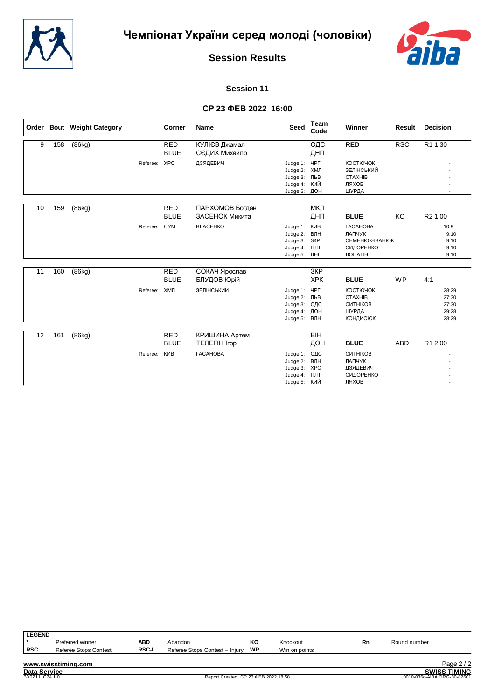



# **Session 11**

|    |     | Order Bout Weight Category |          | <b>Corner</b>             | <b>Name</b>                         | <b>Seed</b>                                                      | Team<br>Code                    | Winner                                                                              | <b>Result</b> | <b>Decision</b>                           |
|----|-----|----------------------------|----------|---------------------------|-------------------------------------|------------------------------------------------------------------|---------------------------------|-------------------------------------------------------------------------------------|---------------|-------------------------------------------|
| 9  | 158 | (86kg)                     |          | <b>RED</b><br><b>BLUE</b> | КУЛІЄВ Джамал<br>СЄДИХ Михайло      |                                                                  | ОДС<br>ДНП                      | <b>RED</b>                                                                          | <b>RSC</b>    | R1 1:30                                   |
|    |     |                            | Referee: | <b>XPC</b>                | ДЗЯДЕВИЧ                            | Judge 1:<br>Judge 2:<br>Judge 3:<br>Judge 4:<br>Judge 5:         | ЧРГ<br>ХМЛ<br>ЛЬВ<br>КИЙ<br>ДОН | <b>КОСТЮЧОК</b><br>ЗЕЛІНСЬКИЙ<br><b>CTAXHIB</b><br>ЛЯХОВ<br>ШУРДА                   |               |                                           |
| 10 | 159 | (86kg)                     |          | <b>RED</b><br><b>BLUE</b> | ПАРХОМОВ Богдан<br>ЗАСЕНОК Микита   |                                                                  | МКЛ<br>ДНП                      | <b>BLUE</b>                                                                         | KO            | R2 1:00                                   |
|    |     |                            | Referee: | <b>CYM</b>                | ВЛАСЕНКО                            | Judge 1:<br>Judge 2:<br>Judge 3:<br>Judge 4:<br>Judge 5: JHF     | КИВ<br>ВЛН<br>ЗКР<br>ПЛТ        | <b><i>TACAHOBA</i></b><br>ЛАПЧУК<br><b>CEMEHIOK-IBAHIOK</b><br>СИДОРЕНКО<br>ЛОПАТІН |               | 10:9<br>9:10<br>9:10<br>9:10<br>9:10      |
| 11 | 160 | (86kg)                     |          | <b>RED</b><br><b>BLUE</b> | СОКАЧ Ярослав<br><b>БЛУДОВ Юрій</b> |                                                                  | 3KP<br><b>XPK</b>               | <b>BLUE</b>                                                                         | <b>WP</b>     | 4:1                                       |
|    |     |                            | Referee: | ХМЛ                       | ЗЕЛІНСЬКИЙ                          | Judge 1:<br>Judge 2:<br>Judge 3:<br>Judge 4:<br>Judge 5:         | ЧРГ<br>ЛЬВ<br>ОДС<br>ДОН<br>ВЛН | КОСТЮЧОК<br><b>CTAXHIB</b><br>СИТНІКОВ<br>ШУРДА<br><b>КОНДИСЮК</b>                  |               | 28:29<br>27:30<br>27:30<br>29:28<br>28:29 |
| 12 | 161 | (86kg)                     |          | <b>RED</b>                | КРИШИНА Артем                       |                                                                  | BIH                             |                                                                                     |               |                                           |
|    |     |                            |          | <b>BLUE</b>               | <b>TEJIEFIH Irop</b>                |                                                                  | ДОН                             | <b>BLUE</b>                                                                         | <b>ABD</b>    | R1 2:00                                   |
|    |     |                            | Referee: | КИВ                       | <b><i>TACAHOBA</i></b>              | Judge 1:<br>Judge 2:<br>Judge 3: XPC<br>Judge 4:<br>Judge 5: КИЙ | ОДС<br>ВЛН<br>ПЛТ               | СИТНІКОВ<br>ЛАПЧУК<br>ДЗЯДЕВИЧ<br>СИДОРЕНКО<br>ЛЯХОВ                                |               |                                           |

| <b>LEGEND</b>       |                              |              |                                     |    |                             |    |              |                     |
|---------------------|------------------------------|--------------|-------------------------------------|----|-----------------------------|----|--------------|---------------------|
|                     | Preferred winner             | ABD          | Abandon                             | ĸо | Knockout                    | Rn | Round number |                     |
| <b>RSC</b>          | <b>Referee Stops Contest</b> | <b>RSC-I</b> | Referee Stops Contest - Injury      | WP | Win on points               |    |              |                     |
|                     |                              |              |                                     |    |                             |    |              |                     |
|                     | www.swisstiming.com          |              |                                     |    |                             |    |              | Page $2/2$          |
| <b>Data Service</b> |                              |              |                                     |    |                             |    |              | <b>SWISS TIMING</b> |
| BX0Z11 C74 1.0      |                              |              | Report Created CP 23 ΦEB 2022 18:58 |    | 0010-036c-AIBA.ORG-30-82601 |    |              |                     |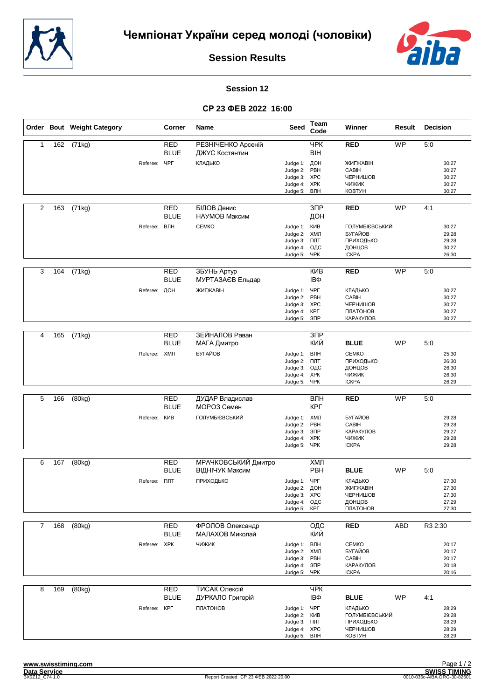



#### **Session 12**

|                |     | Order Bout Weight Category |                     | Corner                    | Name                                 | <b>Seed</b>                                                                   | Team<br>Code             | Winner                                                              | Result     | Decision                                  |
|----------------|-----|----------------------------|---------------------|---------------------------|--------------------------------------|-------------------------------------------------------------------------------|--------------------------|---------------------------------------------------------------------|------------|-------------------------------------------|
| $\mathbf{1}$   | 162 | (71kg)                     |                     | <b>RED</b><br><b>BLUE</b> | РЕЗНІЧЕНКО Арсеній<br>ДЖУС Костянтин |                                                                               | <b>YPK</b><br><b>BIH</b> | <b>RED</b>                                                          | <b>WP</b>  | 5:0                                       |
|                |     |                            | Referee:            | ЧРГ                       | КЛАДЬКО                              | Judge 1: ДОН<br>Judge 2:<br>Judge 3:<br>Judge 4: XPK<br>Judge 5:              | PBH<br><b>XPC</b><br>ВЛН | ЖИГЖАВІН<br>CABIH<br>ЧЕРНИШОВ<br><b>ЧИЖИК</b><br><b>KOBTYH</b>      |            | 30:27<br>30:27<br>30:27<br>30:27<br>30:27 |
| 2              | 163 | (71kg)                     |                     | RED<br><b>BLUE</b>        | БІЛОВ Денис<br>НАУМОВ Максим         |                                                                               | 3 <sub>DP</sub><br>ДОН   | <b>RED</b>                                                          | <b>WP</b>  | 4:1                                       |
|                |     |                            | Referee: ВЛН        |                           | <b>CEMKO</b>                         | Judge 1: KVIB<br>Judge 2:<br>Judge 3:<br>Judge 4:<br>Judge 5: YPK             | ХМЛ<br>ПЛТ<br>ОДС        | ГОЛУМБІЄВСЬКИЙ<br>БУГАЙОВ<br>ПРИХОДЬКО<br>ДОНЦОВ<br><b>ICKPA</b>    |            | 30:27<br>29:28<br>29:28<br>30:27<br>26:30 |
| 3              | 164 | (71kg)                     |                     | <b>RED</b><br><b>BLUE</b> | ЗБУНЬ Артур<br>МУРТАЗАЄВ Ельдар      |                                                                               | <b>KNB</b><br>IΒΦ        | <b>RED</b>                                                          | <b>WP</b>  | 5:0                                       |
|                |     |                            | Referee: ДОН        |                           | ЖИГЖАВІН                             | Judge 1:<br>Judge 2: PBH<br>Judge 3: XPC<br>Judge 4:<br>Judge 5:              | ЧРГ<br>КРГ<br>$3\Box P$  | <b>КЛАДЬКО</b><br>CABIH<br>ЧЕРНИШОВ<br>ПЛАТОНОВ<br>КАРАКУЛОВ        |            | 30:27<br>30:27<br>30:27<br>30:27<br>30:27 |
|                |     |                            |                     |                           |                                      |                                                                               |                          |                                                                     |            |                                           |
| 4              | 165 | (71kg)                     |                     | <b>RED</b><br><b>BLUE</b> | ЗЕЙНАЛОВ Раван<br>МАГА Дмитро        |                                                                               | $\overline{3}$<br>КИЙ    | <b>BLUE</b>                                                         | WP         | 5:0                                       |
|                |     |                            | Referee: ХМЛ        |                           | БУГАЙОВ                              | Judge 1: ВЛН<br>Judge 2: FIJIT<br>Judge 3:<br>Judge 4: XPK<br>Judge 5:        | ОДС<br>ЧРК               | <b>CEMKO</b><br>ПРИХОДЬКО<br>ДОНЦОВ<br>ЧИЖИК<br><b>ICKPA</b>        |            | 25:30<br>26:30<br>26:30<br>26:30<br>26:29 |
|                |     |                            |                     |                           |                                      |                                                                               |                          |                                                                     | <b>WP</b>  |                                           |
| 5              | 166 | (80kg)                     |                     | <b>RED</b><br><b>BLUE</b> | ДУДАР Владислав<br>МОРОЗ Семен       |                                                                               | ВЛН<br>КРГ               | <b>RED</b>                                                          |            | 5:0                                       |
|                |     |                            | Referee: KVIB       |                           | ГОЛУМБІЄВСЬКИЙ                       | Judge 1: ХМЛ<br>Judge 2:<br>Judge 3:<br>Judge 4: XPK<br>Judge 5: YPK          | PBH<br>3 <sup>7</sup>    | БУГАЙОВ<br>CABIH<br>КАРАКУЛОВ<br><b>ЧИЖИК</b><br><b>ICKPA</b>       |            | 29:28<br>29:28<br>29:27<br>29:28<br>29:28 |
| 6              | 167 | (80kg)                     |                     | <b>RED</b>                | МРАЧКОВСЬКИЙ Дмитро                  |                                                                               | ХМЛ                      |                                                                     |            |                                           |
|                |     |                            |                     | <b>BLUE</b>               | ВІДНІЧУК Максим                      |                                                                               | PBH                      | <b>BLUE</b>                                                         | <b>WP</b>  | 5:0                                       |
|                |     |                            | Referee: <b>NNT</b> |                           | ПРИХОДЬКО                            | Judge 1: ЧРГ<br>Judge 2: ДОН<br>Judge 3: XPC<br>Judge 4: ОДС<br>Judge 5: KPL  |                          | КЛАДЬКО<br>ЖИГЖАВІН<br>ЧЕРНИШОВ<br>ДОНЦОВ<br>ПЛАТОНОВ               |            | 27:30<br>27:30<br>27:30<br>27:29<br>27:30 |
| $\overline{7}$ | 168 | (80kg)                     |                     | <b>RED</b>                | ФРОЛОВ Олександр                     |                                                                               | ОДС                      | <b>RED</b>                                                          | <b>ABD</b> | R3 2:30                                   |
|                |     |                            |                     | <b>BLUE</b>               | МАЛАХОВ Миколай                      |                                                                               | КИЙ                      |                                                                     |            |                                           |
|                |     |                            | Referee: XPK        |                           | <b>ЧИЖИК</b>                         | Judge 1: ВЛН<br>Judge 2: ХМЛ<br>Judge 3: PBH<br>Judge 4: 3NP<br>Judge 5: YPK  |                          | <b>CEMKO</b><br>БУГАЙОВ<br>CABIH<br>КАРАКУЛОВ<br><b>ICKPA</b>       |            | 20:17<br>20:17<br>20:17<br>20:18<br>20:16 |
| 8              | 169 | (80kg)                     |                     | <b>RED</b><br><b>BLUE</b> | ТИСАК Олексій<br>ДУРКАЛО Григорій    |                                                                               | <b>YPK</b><br>IΒΦ        | <b>BLUE</b>                                                         | WP         | 4:1                                       |
|                |     |                            | Referee: KPF        |                           | ПЛАТОНОВ                             | Judge 1: YPF<br>Judge 2: KVIB<br>Judge 3: NTT<br>Judge 4: XPC<br>Judge 5: ВЛН |                          | КЛАДЬКО<br>ГОЛУМБІЄВСЬКИЙ<br>ПРИХОДЬКО<br>ЧЕРНИШОВ<br><b>KOBTYH</b> |            | 28:29<br>29:28<br>28:29<br>28:29<br>28:29 |